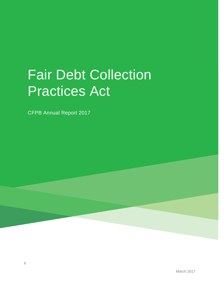# Fair Debt Collection Practices Act

CFPB Annual Report 2017

1

March 2017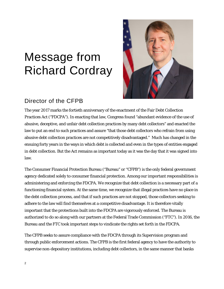# Message from Richard Cordray



## Director of the CFPB

The year 2017 marks the fortieth anniversary of the enactment of the Fair Debt Collection Practices Act ("FDCPA"). In enacting that law, Congress found "abundant evidence of the use of abusive, deceptive, and unfair debt collection practices by many debt collectors" and enacted the law to put an end to such practices and assure "that those debt collectors who refrain from using abusive debt collection practices are not competitively disadvantaged." Much has changed in the ensuing forty years in the ways in which debt is collected and even in the types of entities engaged in debt collection. But the Act remains as important today as it was the day that it was signed into law.

The Consumer Financial Protection Bureau ("Bureau" or "CFPB") is the only federal government agency dedicated solely to consumer financial protection. Among our important responsibilities is administering and enforcing the FDCPA. We recognize that debt collection is a necessary part of a functioning financial system. At the same time, we recognize that illegal practices have no place in the debt collection process, and that if such practices are not stopped, those collectors seeking to adhere to the law will find themselves at a competitive disadvantage. It is therefore vitally important that the protections built into the FDCPA are vigorously enforced. The Bureau is authorized to do so along with our partners at the Federal Trade Commission ("FTC"). In 2016, the Bureau and the FTC took important steps to vindicate the rights set forth in the FDCPA.

The CFPB seeks to assure compliance with the FDCPA through its Supervision program and through public enforcement actions. The CFPB is the first federal agency to have the authority to supervise non-depository institutions, including debt collectors, in the same manner that banks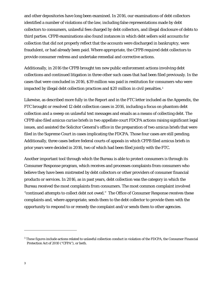and other depositories have long been examined. In 2016, our examinations of debt collectors identified a number of violations of the law, including false representations made by debt collectors to consumers, unlawful fees charged by debt collectors, and illegal disclosure of debts to third parties. CFPB examinations also found instances in which debt sellers sold accounts for collection that did not properly reflect that the accounts were discharged in bankruptcy, were fraudulent, or had already been paid. Where appropriate, the CFPB required debt collectors to provide consumer redress and undertake remedial and corrective actions.

Additionally, in 2016 the CFPB brought ten new public enforcement actions involving debt collections and continued litigation in three other such cases that had been filed previously. In the cases that were concluded in 2016, \$39 million was paid in restitution for consumers who were impacted by illegal debt collection practices and \$20 million in civil penalties.<sup>[1](#page-2-0)</sup>

Likewise, as described more fully in the Report and in the FTC letter included as the Appendix, the FTC brought or resolved 12 debt collection cases in 2016, including a focus on phantom debt collection and a sweep on unlawful text messages and emails as a means of collecting debt. The CFPB also filed *amicus curiae* briefs in two appellate court FDCPA actions raising significant legal issues, and assisted the Solicitor General's office in the preparation of two *amicus* briefs that were filed in the Supreme Court in cases implicating the FDCPA. Those four cases are still pending. Additionally, three cases before federal courts of appeals in which CFPB filed *amicus* briefs in prior years were decided in 2016, two of which had been filed jointly with the FTC.

Another important tool through which the Bureau is able to protect consumers is through its Consumer Response program, which receives and processes complaints from consumers who believe they have been mistreated by debt collectors or other providers of consumer financial products or services. In 2016, as in past years, debt collection was the category in which the Bureau received the most complaints from consumers. The most common complaint involved "continued attempts to collect debt not owed." The Office of Consumer Response receives these complaints and, where appropriate, sends them to the debt collector to provide them with the opportunity to respond to or remedy the complaint and/or sends them to other agencies.

<span id="page-2-0"></span><sup>&</sup>lt;sup>1</sup> These figures include actions related to unlawful collection conduct in violation of the FDCPA, the Consumer Financial Protection Act of 2010 ("CFPA"), or both.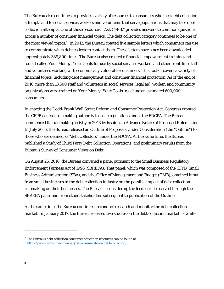The Bureau also continues to provide a variety of resources to consumers who face debt collection attempts and to social services workers and volunteers that serve populations that may face debt collection attempts. One of these resources, "Ask CFPB," provides answers to common questions across a number of consumer financial topics. The debt collection category continues to be one of the most viewed topics.<sup>2</sup> In 2013, the Bureau created five sample letters which consumers can use to communicate when debt collectors contact them. These letters have since been downloaded approximately 389,800 times. The Bureau also created a financial empowerment training and toolkit called *Your Money, Your Goals* for use by social services workers and other front-line staff and volunteers working with economically vulnerable consumers. This toolkit covers a variety of financial topics, including debt management and consumer financial protection. As of the end of 2016, more than 13,500 staff and volunteers in social services, legal aid, worker, and community organizations were trained on *Your Money, Your Goals*, reaching an estimated 600,000 consumers.

In enacting the Dodd-Frank Wall Street Reform and Consumer Protection Act, Congress granted the CFPB general rulemaking authority to issue regulations under the FDCPA. The Bureau commenced its rulemaking activity in 2013 by issuing an Advance Notice of Proposed Rulemaking. In July 2016, the Bureau released an Outline of Proposals Under Consideration (the "Outline") for those who are defined as "debt collectors" under the FDCPA. At the same time, the Bureau published a Study of Third Party Debt Collection Operations, and preliminary results from the Bureau's Survey of Consumer Views on Debt.

On August 25, 2016, the Bureau convened a panel pursuant to the Small Business Regulatory Enforcement Fairness Act of 1996 (SBREFA). That panel, which was composed of the CFPB, Small Business Administration (SBA), and the Office of Management and Budget (OMB), obtained input from small businesses in the debt collection industry on the possible impact of debt collection rulemaking on their businesses. The Bureau is considering the feedback it received through the SBREFA panel and from other stakeholders subsequent to publication of the Outline.

At the same time, the Bureau continues to conduct research and monitor the debt collection market. In January 2017, the Bureau released two studies on the debt collection market: a white

<span id="page-3-0"></span><sup>&</sup>lt;sup>2</sup> The Bureau's debt collection consumer education resources can be found at [https://www.consumerfinance.gov/consumer-tools/debt-collection/.](https://www.consumerfinance.gov/consumer-tools/debt-collection/)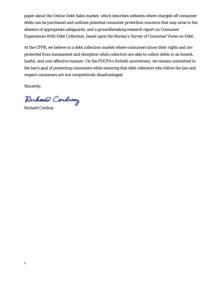paper about the Online Debt Sales market, which describes websites where charged-off consumer debts can be purchased and outlines potential consumer protection concerns that may arise in the absence of appropriate safeguards; and a groundbreaking research report on Consumer Experiences With Debt Collection, based upon the Bureau's Survey of Consumer Views on Debt.

At the CFPB, we believe in a debt collection market where consumers know their rights and are protected from harassment and deception while collectors are able to collect debts in an honest, lawful, and cost-effective manner. On the FDCPA's fortieth anniversary, we remain committed to the law's goal of protecting consumers while ensuring that debt collectors who follow the law and respect consumers are not competitively disadvantaged.

Sincerely,

Ruhano Cordiany

Richard Cordray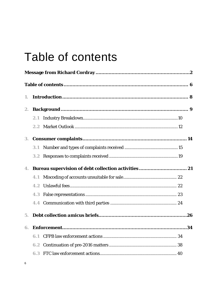# Table of contents

| 1.             |     |  |
|----------------|-----|--|
| 2.             |     |  |
|                | 2.1 |  |
|                |     |  |
| 3.             |     |  |
|                | 3.1 |  |
|                |     |  |
|                |     |  |
|                | 4.1 |  |
|                | 4.2 |  |
|                | 4.3 |  |
|                |     |  |
| 5 <sub>1</sub> |     |  |
| 6.             |     |  |
|                | 6.1 |  |
|                | 6.2 |  |
|                |     |  |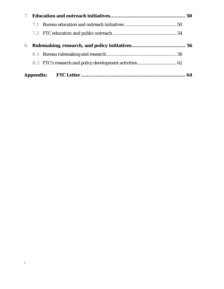|    | 7.1 |  |
|----|-----|--|
|    |     |  |
| 8. |     |  |
|    |     |  |
|    |     |  |
|    |     |  |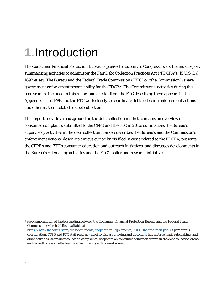# **1.**Introduction

The Consumer Financial Protection Bureau is pleased to submit to Congress its sixth annual report summarizing activities to administer the Fair Debt Collection Practices Act ("FDCPA"), 15 U.S.C. § 1692 *et seq.* The Bureau and the Federal Trade Commission ("FTC" or "the Commission") share government enforcement responsibility for the FDCPA. The Commission's activities during the past year are included in this report and a letter from the FTC describing them appears in the Appendix. The CFPB and the FTC work closely to coordinate debt collection enforcement actions and other matters related to debt collection.[3](#page-7-0)

This report provides a background on the debt collection market; contains an overview of consumer complaints submitted to the CFPB and the FTC in 2016; summarizes the Bureau's supervisory activities in the debt collection market; describes the Bureau's and the Commission's enforcement actions; describes *amicus curiae* briefs filed in cases related to the FDCPA; presents the CFPB's and FTC's consumer education and outreach initiatives; and discusses developments in the Bureau's rulemaking activities and the FTC's policy and research initiatives.

<span id="page-7-0"></span><sup>3</sup> *See* Memorandum of Understanding between the Consumer Financial Protection Bureau and the Federal Trade Commission (March 2015), *available at*  [https://www.ftc.gov/system/files/documents/cooperation\\_agreements/150312ftc-cfpb-mou.pdf.](https://www.ftc.gov/system/files/documents/cooperation_agreements/150312ftc-cfpb-mou.pdf) As part of this coordination, CFPB and FTC staff regularly meet to discuss ongoing and upcoming law enforcement, rulemaking, and other activities, share debt collection complaints, cooperate on consumer education efforts in the debt collection arena, and consult on debt collection rulemaking and guidance initiatives.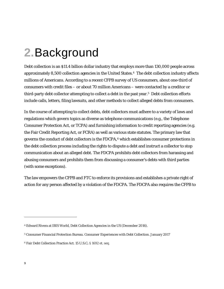# **2.**Background

Debt collection is an \$11.4 billion dollar industry that employs more than 130,000 people across approximately 8,500 collection agencies in the United States.[4](#page-8-0) The debt collection industry affects millions of Americans. According to a recent CFPB survey of US consumers, about one-third of consumers with credit files – or about 70 million Americans – were contacted by a creditor or third-party debt collector attempting to collect a debt in the past year.[5](#page-8-1) Debt collection efforts include calls, letters, filing lawsuits, and other methods to collect alleged debts from consumers.

In the course of attempting to collect debts, debt collectors must adhere to a variety of laws and regulations which govern topics as diverse as telephone communications (e.g., the Telephone Consumer Protection Act, or TCPA) and furnishing information to credit reporting agencies (e.g. the Fair Credit Reporting Act, or FCRA) as well as various state statutes. The primary law that governs the conduct of debt collectors is the FDCPA,<sup>[6](#page-8-2)</sup> which establishes consumer protections in the debt collection process including the rights to dispute a debt and instruct a collector to stop communication about an alleged debt. The FDCPA prohibits debt collectors from harassing and abusing consumers and prohibits them from discussing a consumer's debts with third parties (with some exceptions).

The law empowers the CFPB and FTC to enforce its provisions and establishes a private right of action for any person affected by a violation of the FDCPA. The FDCPA also requires the CFPB to

<span id="page-8-0"></span><sup>4</sup> Edward Rivera at IBIS World, *Debt Collection Agencies in the US* (December 2016).

<span id="page-8-1"></span><sup>5</sup> Consumer Financial Protection Bureau. *Consumer Experiences with Debt Collection.* January 2017

<span id="page-8-2"></span><sup>6</sup> Fair Debt Collection Practice Act. 15 U.S.C**.** § 1692 et. seq.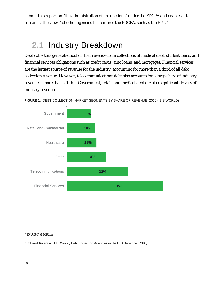submit this report on "the administration of its functions" under the FDCPA and enables it to "obtain … the views" of other agencies that enforce the FDCPA, such as the FTC.[7](#page-9-0)

## **2.1** Industry Breakdown

Debt collectors generate most of their revenue from collections of medical debt, student loans, and financial services obligations such as credit cards, auto loans, and mortgages. Financial services are the largest source of revenue for the industry, accounting for more than a third of all debt collection revenue. However, telecommunications debt also accounts for a large share of industry revenue – more than a fifth.[8](#page-9-1) Government, retail, and medical debt are also significant drivers of industry revenue.



**FIGURE 1:** DEBT COLLECTION MARKET SEGMENTS BY SHARE OF REVENUE, 2016 (IBIS WORLD)

<span id="page-9-0"></span><sup>7</sup> 15 U.S.C. § 1692m

<span id="page-9-1"></span><sup>8</sup> Edward Rivera at IBIS World, *Debt Collection Agencies in the US* (December 2016).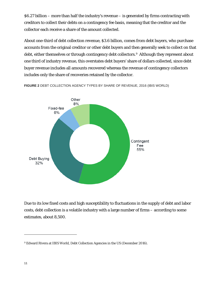\$6.27 billion – more than half the industry's revenue – is generated by firms contracting with creditors to collect their debts on a contingency fee basis, meaning that the creditor and the collector each receive a share of the amount collected.

About one-third of debt collection revenue, \$3.6 billion, comes from debt buyers, who purchase accounts from the original creditor or other debt buyers and then generally seek to collect on that debt, either themselves or through contingency debt collectors.<sup>[9](#page-10-0)</sup> Although they represent about one third of industry revenue, this overstates debt buyers' share of dollars collected, since debt buyer revenue includes all amounts recovered whereas the revenue of contingency collectors includes only the share of recoveries retained by the collector.

Other 8% Fixed-fee 6% Contingent Fee 55% Debt Buying 32%

**FIGURE 2** DEBT COLLECTION AGENCY TYPES BY SHARE OF REVENUE, 2016 (IBIS WORLD)

Due to its low fixed costs and high susceptibility to fluctuations in the supply of debt and labor costs, debt collection is a volatile industry with a large number of firms – according to some estimates, about 8,500.

<span id="page-10-0"></span><sup>9</sup> Edward Rivera at IBIS World, *Debt Collection Agencies in the US* (December 2016).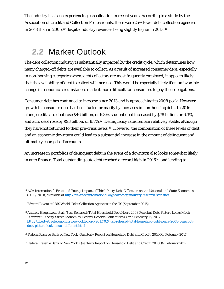The industry has been experiencing consolidation in recent years. According to a study by the Association of Credit and Collection Professionals, there were 25% fewer debt collection agencies in 2013 than in 2005,<sup>[10](#page-11-0)</sup> despite industry revenues being slightly higher in 2013.<sup>[11](#page-11-1)</sup>

## **2.2** Market Outlook

The debt collection industry is substantially impacted by the credit cycle, which determines how many charged-off debts are available to collect. As a result of increased consumer debt, especially in non-housing categories where debt collectors are most frequently employed, it appears likely that the availability of debt to collect will increase. This would be especially likely if an unfavorable change in economic circumstances made it more difficult for consumers to pay their obligations.

Consumer debt has continued to increase since 2013 and is approaching its 2008 peak. However, growth in consumer debt has been fueled primarily by increases in non-housing debt. In 2016 alone, credit card debt rose \$46 billion, or 6.3%, student debt increased by \$78 billion, or 6.3%, and auto debt rose by \$93 billion, or 8.7%.<sup>[12](#page-11-2)</sup> Delinquency rates remain relatively stable, although they have not returned to their pre-crisis levels.[13](#page-11-3) However, the combination of these levels of debt and an economic downturn could lead to a substantial increase in the amount of delinquent and ultimately charged-off accounts.

An increase in portfolios of delinquent debt in the event of a downturn also looks somewhat likely in auto finance. Total outstanding auto debt reached a record high in 2016[14,](#page-11-4) and lending to

<span id="page-11-0"></span><sup>10</sup> ACA International, Ernst and Young, *Impact of Third-Party Debt Collection on the National and State Economies* (2013, 2011), *available at* <http://www.acainternational.org/advocacy/industry-research-statistics>

<span id="page-11-1"></span><sup>11</sup> Edward Rivera at IBIS World, *Debt Collection Agencies in the US* (September 2015).

<span id="page-11-2"></span><sup>12</sup> Andrew Haughwout et al. "Just Released: Total Household Debt Nears 2008 Peak but Debt Picture Looks Much Different." *Liberty Street Economics.* Federal Reserve Bank of New York. February 16, 2017. [http://libertystreeteconomics.newyorkfed.org/2017/02/just-released-total-household-debt-nears-2008-peak-but](http://libertystreeteconomics.newyorkfed.org/2017/02/just-released-total-household-debt-nears-2008-peak-but-debt-picture-looks-much-different.html)[debt-picture-looks-much-different.html](http://libertystreeteconomics.newyorkfed.org/2017/02/just-released-total-household-debt-nears-2008-peak-but-debt-picture-looks-much-different.html)

<span id="page-11-3"></span><sup>13</sup> Federal Reserve Bank of New York. *Quarterly Report on Household Debt and Credit.* 2016Q4. February 2017

<span id="page-11-4"></span><sup>14</sup> Federal Reserve Bank of New York. *Quarterly Report on Household Debt and Credit.* 2016Q4. February 2017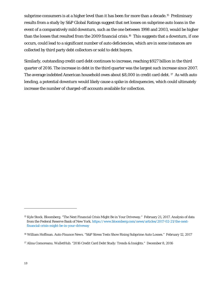subprime consumers is at a higher level than it has been for more than a decade.<sup>[15](#page-12-0)</sup> Preliminary results from a study by S&P Global Ratings suggest that net losses on subprime auto loans in the event of a comparatively mild downturn, such as the one between 1998 and 2003, would be higher than the losses that resulted from the 2009 financial crisis.[16](#page-12-1) This suggests that a downturn, if one occurs, could lead to a significant number of auto deficiencies, which are in some instances are collected by third party debt collectors or sold to debt buyers.

Similarly, outstanding credit card debt continues to increase, reaching \$927 billion in the third quarter of 2016. The increase in debt in the third quarter was the largest such increase since 2007. The average indebted American household owes about \$8,000 in credit card debt. [17](#page-12-2) As with auto lending, a potential downturn would likely cause a spike in delinquencies, which could ultimately increase the number of charged-off accounts available for collection.

<span id="page-12-0"></span><sup>15</sup> Kyle Stock. *Bloomberg.* "The Next Financial Crisis Might Be in Your Driveway." February 21, 2017. Analysis of data from the Federal Reserve Bank of New York[. https://www.bloomberg.com/news/articles/2017-02-21/the-next](https://www.bloomberg.com/news/articles/2017-02-21/the-next-financial-crisis-might-be-in-your-driveway)[financial-crisis-might-be-in-your-driveway](https://www.bloomberg.com/news/articles/2017-02-21/the-next-financial-crisis-might-be-in-your-driveway)

<span id="page-12-1"></span><sup>16</sup> William Hoffman. *Auto Finance News.* "S&P Stress Tests Show Rising Subprime Auto Losses." February 12, 2017

<span id="page-12-2"></span><sup>17</sup> Alina Comoreanu. *WalletHub.* "2016 Credit Card Debt Study: Trends & Insights." December 8, 2016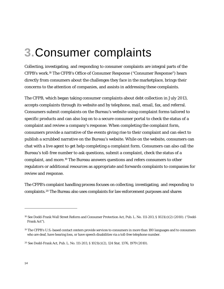# **3.**Consumer complaints

Collecting, investigating, and responding to consumer complaints are integral parts of the CFPB's work.[18](#page-13-0) The CFPB's Office of Consumer Response ("Consumer Response") hears directly from consumers about the challenges they face in the marketplace, brings their concerns to the attention of companies, and assists in addressing these complaints.

The CFPB, which began taking consumer complaints about debt collection in July 2013, accepts complaints through its website and by telephone, mail, email, fax, and referral. Consumers submit complaints on the Bureau's website using complaint forms tailored to specific products and can also log on to a secure consumer portal to check the status of a complaint and review a company's response. When completing the complaint form, consumers provide a narrative of the events giving rise to their complaint and can elect to publish a scrubbed narrative on the Bureau's website. While on the website, consumers can chat with a live agent to get help completing a complaint form. Consumers can also call the Bureau's toll-free number to ask questions, submit a complaint, check the status of a complaint, and more.[19](#page-13-1) The Bureau answers questions and refers consumers to other regulators or additional resources as appropriate and forwards complaints to companies for review and response.

The CFPB's complaint handling process focuses on collecting, investigating, and responding to complaints.[20](#page-13-2) The Bureau also uses complaints for law enforcement purposes and shares

<span id="page-13-0"></span><sup>18</sup> See Dodd-Frank Wall Street Reform and Consumer Protection Act, Pub. L. No. 111-203, § 1021(c)(2) (2010). ("Dodd-Frank Act").

<span id="page-13-1"></span><sup>19</sup> The CFPB's U.S.-based contact centers provide services to consumers in more than 180 languages and to consumers who are deaf, have hearing loss, or have speech disabilities via a toll-free telephone number.

<span id="page-13-2"></span><sup>20</sup> See Dodd-Frank Act, Pub. L. No. 111-203, § 1021(c)(2), 124 Stat. 1376, 1979 (2010).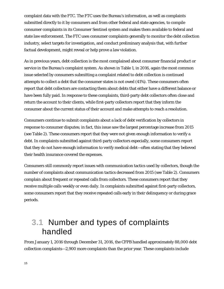complaint data with the FTC. The FTC uses the Bureau's information, as well as complaints submitted directly to it by consumers and from other federal and state agencies, to compile consumer complaints in its Consumer Sentinel system and makes them available to federal and state law enforcement. The FTC uses consumer complaints generally to monitor the debt collection industry, select targets for investigation, and conduct preliminary analysis that, with further factual development, might reveal or help prove a law violation.

As in previous years, debt collection is the most complained about consumer financial product or service in the Bureau's complaint system. As shown in Table 1, in 2016, again the most common issue selected by consumers submitting a complaint related to debt collection is continued attempts to collect a debt that the consumer states is not owed (41%). These consumers often report that debt collectors are contacting them about debts that either have a different balance or have been fully paid. In response to these complaints, third-party debt collectors often close and return the account to their clients, while first-party collectors report that they inform the consumer about the current status of their account and make attempts to reach a resolution.

Consumers continue to submit complaints about a lack of debt verification by collectors in response to consumer disputes; in fact, this issue saw the largest percentage increase from 2015 (see Table 2). These consumers report that they were not given enough information to verify a debt. In complaints submitted against third-party collectors especially, some consumers report that they do not have enough information to verify medical debt—often stating that they believed their health insurance covered the expenses.

Consumers still commonly report issues with communication tactics used by collectors, though the number of complaints about communication tactics decreased from 2015 (see Table 2). Consumers complain about frequent or repeated calls from collectors. These consumers report that they receive multiple calls weekly or even daily. In complaints submitted against first-party collectors, some consumers report that they receive repeated calls early in their delinquency or during grace periods.

## **3.1** Number and types of complaints handled

From January 1, 2016 through December 31, 2016, the CFPB handled approximately 88,000 debt collection complaints—2,900 more complaints than the prior year. These complaints include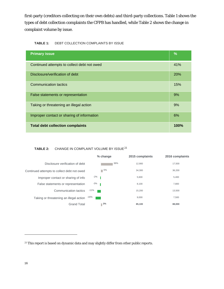first-party (creditors collecting on their own debts) and third-party collections. Table 1 shows the types of debt collection complaints the CFPB has handled, while Table 2 shows the change in complaint volume by issue.

| <b>Primary issue</b>                        | $\frac{9}{6}$ |
|---------------------------------------------|---------------|
| Continued attempts to collect debt not owed | 41%           |
| Disclosure/verification of debt             | 20%           |
| <b>Communication tactics</b>                | 15%           |
| False statements or representation          | 9%            |
| Taking or threatening an illegal action     | 9%            |
| Improper contact or sharing of information  | 6%            |
| <b>Total debt collection complaints</b>     | <b>100%</b>   |

#### TABLE 2: CHANGE IN COMPLAINT VOLUME BY ISSUE<sup>[21](#page-15-0)</sup>

|                                             | % change | 2015 complaints | 2016 complaints |
|---------------------------------------------|----------|-----------------|-----------------|
| Disclosure verification of debt             | 36%      | 12.900          | 17.500          |
| Continued attempts to collect debt not owed | 5%       | 34,300          | 36,200          |
| Improper contact or sharing of info         | $-2\%$   | 5,600           | 5,400           |
| False statements or representation          | $-3%$    | 8.100           | 7,800           |
| Communication tactics                       | $-11%$   | 15,200          | 13,500          |
| Taking or threatening an illegal action     | -16%     | 9,000           | 7,500           |
| <b>Grand Total</b>                          | 3%       | 85,100          | 88,000          |

<span id="page-15-0"></span><sup>&</sup>lt;sup>21</sup> This report is based on dynamic data and may slightly differ from other public reports.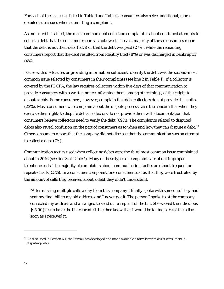For each of the six issues listed in Table 1 and Table 2, consumers also select additional, moredetailed sub-issues when submitting a complaint.

As indicated in Table 1, the most common debt collection complaint is about continued attempts to collect a debt that the consumer reports is not owed. The vast majority of these consumers report that the debt is not their debt (61%) or that the debt was paid (27%), while the remaining consumers report that the debt resulted from identity theft (8%) or was discharged in bankruptcy (4%).

Issues with disclosures or providing information sufficient to verify the debt was the second-most common issue selected by consumers in their complaints (see line 2 in Table 1). If a collector is covered by the FDCPA, the law requires collectors within five days of that communication to provide consumers with a written notice informing them, among other things, of their right to dispute debts. Some consumers, however, complain that debt collectors do not provide this notice (23%). Most consumers who complain about the dispute process raise the concern that when they exercise their rights to dispute debts, collectors do not provide them with documentation that consumers believe collectors need to verify the debt (69%). The complaints related to disputed debts also reveal confusion on the part of consumers as to when and how they can dispute a debt.<sup>[22](#page-16-0)</sup> Other consumers report that the company did not disclose that the communication was an attempt to collect a debt (7%).

Communication tactics used when collecting debts were the third most common issue complained about in 2016 (see line 3 of Table 1). Many of these types of complaints are about improper telephone calls. The majority of complaints about communication tactics are about frequent or repeated calls (53%). In a consumer complaint, one consumer told us that they were frustrated by the amount of calls they received about a debt they didn't understand.

*"After missing multiple calls a day from this company I finally spoke with someone. They had sent my final bill to my old address and I never got it. The person I spoke to at the company corrected my address and arranged to send out a reprint of the bill. She waved the ridiculous {\$5.00} fee to have the bill reprinted. I let her know that I would be taking care of the bill as soon as I received it.* 

<span id="page-16-0"></span><sup>&</sup>lt;sup>22</sup> As discussed in Section 6.1, the Bureau has developed and made available a form letter to assist consumers in disputing debts.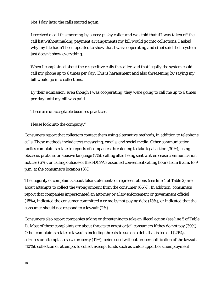*Not 1 day later the calls started again.* 

*I received a call this morning by a very pushy caller and was told that if I was taken off the call list without making payment arrangements my bill would go into collections. I asked why my file hadn't been updated to show that I was cooperating and s(he) said their system just doesn't show everything.* 

*When I complained about their repetitive calls the caller said that legally the system could call my phone up to 6 times per day. This is harassment and also threatening by saying my bill would go into collections.* 

*By their admission, even though I was cooperating, they were going to call me up to 6 times per day until my bill was paid.* 

*These are unacceptable business practices.* 

*Please look into the company."* 

Consumers report that collectors contact them using alternative methods, in addition to telephone calls. These methods include text messaging, emails, and social media. Other communication tactics complaints relate to reports of companies threatening to take legal action (30%), using obscene, profane, or abusive language (7%), calling after being sent written cease communication notices (6%), or calling outside of the FDCPA's assumed convenient calling hours from 8 a.m. to 9 p.m. at the consumer's location (3%).

The majority of complaints about false statements or representations (see line 4 of Table 2) are about attempts to collect the wrong amount from the consumer (66%). In addition, consumers report that companies impersonated an attorney or a law enforcement or government official (18%), indicated the consumer committed a crime by not paying debt (13%), or indicated that the consumer should not respond to a lawsuit (2%).

Consumers also report companies taking or threatening to take an illegal action (see line 5 of Table 1). Most of these complaints are about threats to arrest or jail consumers if they do not pay (39%). Other complaints relate to lawsuits including threats to sue on a debt that is too old (29%), seizures or attempts to seize property (11%), being sued without proper notification of the lawsuit (10%), collection or attempts to collect exempt funds such as child support or unemployment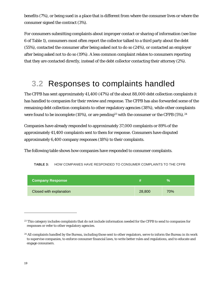benefits (7%), or being sued in a place that is different from where the consumer lives or where the consumer signed the contract (3%).

For consumers submitting complaints about improper contact or sharing of information (see line 6 of Table 1), consumers most often report the collector talked to a third party about the debt (55%), contacted the consumer after being asked not to do so (24%), or contacted an employer after being asked not to do so (19%). A less common complaint relates to consumers reporting that they are contacted directly, instead of the debt collector contacting their attorney (2%).

## **3.2** Responses to complaints handled

The CFPB has sent approximately 41,400 (47%) of the about 88,000 debt collection complaints it has handled to companies for their review and response. The CFPB has also forwarded some of the remaining debt collection complaints to other regulatory agencies (38%), while other complaints were found to be incomplete (10%), or are pending<sup>[23](#page-18-0)</sup> with the consumer or the CFPB  $(5\%)$ .<sup>[24](#page-18-1)</sup>

Companies have already responded to approximately 37,000 complaints or 89% of the approximately 41,400 complaints sent to them for response. Consumers have disputed approximately 6,400 company responses (18%) to their complaints.

The following table shows how companies have responded to consumer complaints.

| <b>Company Response</b> |        | V.  |
|-------------------------|--------|-----|
| Closed with explanation | 28,800 | 70% |

**TABLE 3:** HOW COMPANIES HAVE RESPONDED TO CONSUMER COMPLAINTS TO THE CFPB

<span id="page-18-0"></span><sup>&</sup>lt;sup>23</sup> This category includes complaints that do not include information needed for the CFPB to send to companies for responses or refer to other regulatory agencies.

<span id="page-18-1"></span><sup>&</sup>lt;sup>24</sup> All complaints handled by the Bureau, including those sent to other regulators, serve to inform the Bureau in its work to supervise companies, to enforce consumer financial laws, to write better rules and regulations, and to educate and engage consumers.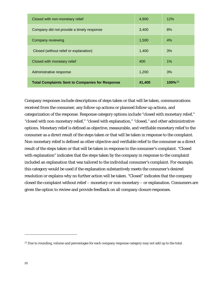| Closed with monetary relief<br>Administrative response | 400<br>1,200 | $1\%$<br>3% |
|--------------------------------------------------------|--------------|-------------|
| Closed (without relief or explanation)                 | 1,400        | 3%          |
| Company reviewing                                      | 1,500        | 4%          |
| Company did not provide a timely response              | 3.400        | 8%          |
| Closed with non-monetary relief                        | 4,900        | 12%         |

Company responses include descriptions of steps taken or that will be taken, communications received from the consumer, any follow-up actions or planned follow-up actions, and categorization of the response. Response category options include "closed with monetary relief," "closed with non-monetary relief," "closed with explanation," "closed," and other administrative options. Monetary relief is defined as objective, measurable, and verifiable monetary relief to the consumer as a direct result of the steps taken or that will be taken in response to the complaint. Non-monetary relief is defined as other objective and verifiable relief to the consumer as a direct result of the steps taken or that will be taken in response to the consumer's complaint. "Closed with explanation" indicates that the steps taken by the company in response to the complaint included an explanation that was tailored to the individual consumer's complaint. For example, this category would be used if the explanation substantively meets the consumer's desired resolution or explains why no further action will be taken. "Closed" indicates that the company closed the complaint without relief – monetary or non-monetary – or explanation. Consumers are given the option to review and provide feedback on all company closure responses.

<span id="page-19-0"></span><sup>&</sup>lt;sup>25</sup> Due to rounding, volume and percentages for each company response category may not add up to the total.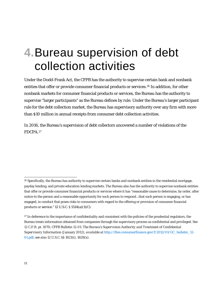# **4.**Bureau supervision of debt collection activities

Under the Dodd-Frank Act, the CFPB has the authority to supervise certain bank and nonbank entities that offer or provide consumer financial products or services.[26](#page-20-0) In addition, for other nonbank markets for consumer financial products or services, the Bureau has the authority to supervise "larger participants" as the Bureau defines by rule. Under the Bureau's larger participant rule for the debt collection market, the Bureau has supervisory authority over any firm with more than \$10 million in annual receipts from consumer debt collection activities.

In 2016, the Bureau's supervision of debt collectors uncovered a number of violations of the FDCPA.[27](#page-20-1)

<span id="page-20-0"></span><sup>&</sup>lt;sup>26</sup> Specifically, the Bureau has authority to supervise certain banks and nonbank entities in the residential mortgage, payday lending, and private education lending markets. The Bureau also has the authority to supervise nonbank entities that offer or provide consumer financial products or services where it has "reasonable cause to determine, by order, after notice to the person and a reasonable opportunity for such person to respond…that such person is engaging, or has engaged, in conduct that poses risks to consumers with regard to the offering or provision of consumer financial products or service." 12 U.S.C. § 5514(a)(1)(C).

<span id="page-20-1"></span><sup>&</sup>lt;sup>27</sup> In deference to the importance of confidentiality and consistent with the policies of the prudential regulators, the Bureau treats information obtained from companies through the supervisory process as confidential and privileged. *See*  12 C.F.R. pt. 1070; CFPB Bulletin 12-01: *The Bureau's Supervision Authority and Treatment of Confidential Supervisory Information* (January 2012), *available at* [http://files.consumerfinance.gov/f/2012/01/GC\\_bulletin\\_12-](http://files.consumerfinance.gov/f/2012/01/GC_bulletin_12-01.pdf) [01.pdf;](http://files.consumerfinance.gov/f/2012/01/GC_bulletin_12-01.pdf) s*ee also* 12 U.S.C. §§ 1821(t), 1828(x).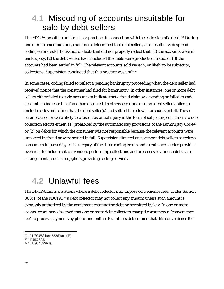## **4.1** Miscoding of accounts unsuitable for sale by debt sellers

The FDCPA prohibits unfair acts or practices in connection with the collection of a debt. <sup>[28](#page-21-0)</sup> During one or more examinations, examiners determined that debt sellers, as a result of widespread coding errors, sold thousands of debts that did not properly reflect that: (1) the accounts were in bankruptcy, (2) the debt sellers had concluded the debts were products of fraud, or (3) the accounts had been settled in full. The relevant accounts sold were in, or likely to be subject to, collections. Supervision concluded that this practice was unfair.

In some cases, coding failed to reflect a pending bankruptcy proceeding when the debt seller had received notice that the consumer had filed for bankruptcy. In other instances, one or more debt sellers either failed to code accounts to indicate that a fraud claim was pending or failed to code accounts to indicate that fraud had occurred. In other cases, one or more debt sellers failed to include codes indicating that the debt seller(s) had settled the relevant accounts in full. These errors caused or were likely to cause substantial injury in the form of subjecting consumers to debt collection efforts either: (1) prohibited by the automatic stay provisions of the Bankruptcy Code<sup>[29](#page-21-0)</sup> or (2) on debts for which the consumer was not responsible because the relevant accounts were impacted by fraud or were settled in full. Supervision directed one or more debt sellers to redress consumers impacted by each category of the three coding errors and to enhance service provider oversight to include critical vendors performing collections and processes relating to debt sale arrangements, such as suppliers providing coding services.

## **4.2** Unlawful fees

The FDCPA limits situations where a debt collector may impose convenience fees. Under Section  $808(1)$  of the FDCPA,  $30$  a debt collector may not collect any amount unless such amount is expressly authorized by the agreement creating the debt or permitted by law. In one or more exams, examiners observed that one or more debt collectors charged consumers a "convenience fee" to process payments by phone and online. Examiners determined that this convenience fee

 $28$  12 USC 5531(c); 5536(a)(1)(B).

<span id="page-21-0"></span><sup>29</sup> 11 USC 362.

<span id="page-21-1"></span><sup>30</sup> 15 USC 1692f(1).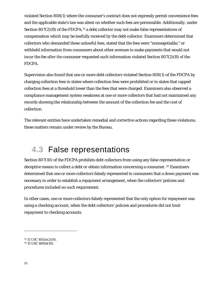violated Section 808(1) where the consumer's contract does not expressly permit convenience fees and the applicable state's law was silent on whether such fees are permissible. Additionally, under Section 807(2)(B) of the FDCPA,<sup>[31](#page-22-0)</sup> a debt collector may not make false representations of compensation which may be lawfully received by the debt collector. Examiners determined that collectors who demanded these unlawful fees, stated that the fees were "nonnegotiable," or withheld information from consumers about other avenues to make payments that would not incur the fee after the consumer requested such information violated Section 807(2)(B) of the FDCPA.

Supervision also found that one or more debt collectors violated Section 808(1) of the FDCPA by charging collection fees in states where collection fees were prohibited or in states that capped collection fees at a threshold lower than the fees that were charged. Examiners also observed a compliance management system weakness at one or more collectors that had not maintained any records showing the relationship between the amount of the collection fee and the cost of collection.

The relevant entities have undertaken remedial and corrective actions regarding these violations; these matters remain under review by the Bureau.

## **4.3** False representations

Section 807(10) of the FDCPA prohibits debt collectors from using any false representation or deceptive means to collect a debt or obtain information concerning a consumer. [32](#page-22-1) Examiners determined that one or more collectors falsely represented to consumers that a down payment was necessary in order to establish a repayment arrangement, when the collectors' policies and procedures included no such requirement.

In other cases, one or more collectors falsely represented that the only option for repayment was using a checking account, when the debt collectors' policies and procedures did not limit repayment to checking accounts.

 $\overline{a}$ 

<span id="page-22-0"></span><sup>31</sup> 15 USC 1692e(2)(B).

<span id="page-22-1"></span><sup>32</sup> 15 USC 1692e(10).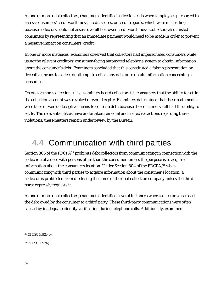At one or more debt collectors, examiners identified collection calls where employees purported to assess consumers' creditworthiness, credit scores, or credit reports, which were misleading because collectors could not assess overall borrower creditworthiness. Collectors also misled consumers by representing that an immediate payment would need to be made in order to prevent a negative impact on consumers' credit.

In one or more instances, examiners observed that collectors had impersonated consumers while using the relevant creditors' consumer-facing automated telephone system to obtain information about the consumer's debt. Examiners concluded that this constituted a false representation or deceptive means to collect or attempt to collect any debt or to obtain information concerning a consumer.

On one or more collection calls, examiners heard collectors tell consumers that the ability to settle the collection account was revoked or would expire. Examiners determined that these statements were false or were a deceptive means to collect a debt because the consumers still had the ability to settle. The relevant entities have undertaken remedial and corrective actions regarding these violations; these matters remain under review by the Bureau.

## **4.4** Communication with third parties

Section 805 of the FDCPA<sup>[33](#page-23-0)</sup> prohibits debt collectors from communicating in connection with the collection of a debt with persons other than the consumer, unless the purpose is to acquire information about the consumer's location. Under Section 804 of the FDCPA, [34](#page-23-1) when communicating with third parties to acquire information about the consumer's location, a collector is prohibited from disclosing the name of the debt collection company unless the third party expressly requests it.

At one or more debt collectors, examiners identified several instances where collectors disclosed the debt owed by the consumer to a third party. These third-party communications were often caused by inadequate identity verification during telephone calls. Additionally, examiners

<span id="page-23-0"></span><sup>33</sup> 15 USC 1692c(b).

<span id="page-23-1"></span><sup>34</sup> 15 USC 1692b(1).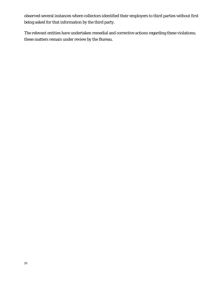observed several instances where collectors identified their employers to third parties without first being asked for that information by the third party.

The relevant entities have undertaken remedial and corrective actions regarding these violations; these matters remain under review by the Bureau.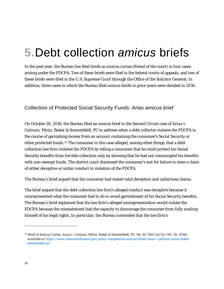# **5.**Debt collection *amicus* briefs

In the past year, the Bureau has filed briefs as *amicus curiae* (friend of the court) in four cases arising under the FDCPA. Two of these briefs were filed in the federal courts of appeals, and two of these briefs were filed in the U.S. Supreme Court through the Office of the Solicitor General. In addition, three cases in which the Bureau filed *amicus* briefs in prior years were decided in 2016.

### Collection of Protected Social Security Funds: *Arias* amicus brief

On October 26, 2016, the Bureau filed an *amicus* brief in the Second Circuit case of *Arias v. Gutman, Mintz, Baker & Sonnenfeldt, PC* to address when a debt collector violates the FDCPA in the course of garnishing money from an account containing the consumer's Social Security or other protected funds.<sup>[35](#page-25-0)</sup> The consumer in this case alleged, among other things, that a debt collection law firm violated the FDCPA by telling a consumer that he could protect his Social Security benefits from forcible collection only by showing that he had not commingled his benefits with non-exempt funds. The district court dismissed the consumer's suit for failure to state a claim of either deceptive or unfair conduct in violation of the FDCPA.

The Bureau's brief argued that the consumer had stated valid deception and unfairness claims.

The brief argued that the debt collection law firm's alleged conduct was deceptive because it misrepresented what the consumer had to do to avoid garnishment of his Social Security benefits. The Bureau's brief explained that the law firm's alleged misrepresentation would violate the FDCPA because the misstatement had the capacity to discourage the consumer from fully availing himself of his legal rights. In particular, the Bureau contended that the law firm's

<span id="page-25-0"></span><sup>35</sup> Brief of Amicus Curiae, *Arias v. Gutman, Mintz, Baker & Sonnenfeldt, PC*, No. 16-2165 (2d Cir. Oct. 28, 2016), *available at* [https://www.consumerfinance.gov/policy-compliance/amicus/briefs/arias-v-gutman-mintz-baker](https://www.consumerfinance.gov/policy-compliance/amicus/briefs/arias-v-gutman-mintz-baker-sonnenfeldt-pc/)[sonnenfeldt-pc/.](https://www.consumerfinance.gov/policy-compliance/amicus/briefs/arias-v-gutman-mintz-baker-sonnenfeldt-pc/)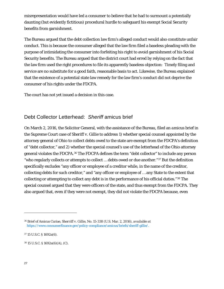misrepresentation would have led a consumer to believe that he had to surmount a potentially daunting (but evidently fictitious) procedural hurdle to safeguard his exempt Social Security benefits from garnishment.

The Bureau argued that the debt collection law firm's alleged conduct would also constitute unfair conduct. This is because the consumer alleged that the law firm filed a baseless pleading with the purpose of intimidating the consumer into forfeiting his right to avoid garnishment of his Social Security benefits. The Bureau argued that the district court had erred by relying on the fact that the law firm used the right procedures to file its apparently baseless objection: Timely filing and service are no substitute for a good faith, reasonable basis to act. Likewise, the Bureau explained that the existence of a potential state law remedy for the law firm's conduct did not deprive the consumer of his rights under the FDCPA.

The court has not yet issued a decision in this case.

### Debt Collector Letterhead: *Sheriff* amicus brief

On March 2, 2016, the Solicitor General, with the assistance of the Bureau, filed an *amicus* brief in the Supreme Court case of *Sheriff v. Gillie* to address 1) whether special counsel appointed by the attorney general of Ohio to collect debts owed to the state are exempt from the FDCPA's definition of "debt collector," and 2) whether the special counsel's use of the letterhead of the Ohio attorney general violates the FDCPA.[36](#page-26-0) The FDCPA defines the term "debt collector" to include any person "who regularly collects or attempts to collect … debts owed or due another."[37](#page-26-1) But the definition specifically excludes "any officer or employee of a creditor while, in the name of the creditor, collecting debts for such creditor," and "any officer or employee of … any State to the extent that collecting or attempting to collect any debt is in the performance of his official duties."[38](#page-26-2) The special counsel argued that they were officers of the state, and thus exempt from the FDCPA. They also argued that, even if they were not exempt, they did not violate the FDCPA because, even

<span id="page-26-0"></span><sup>36</sup> Brief of Amicus Curiae, *Sherriff v. Gillie*, No. 15-338 (U.S. Mar. 2, 2016), *available at* [https://www.consumerfinance.gov/policy-compliance/amicus/briefs/sheriff-gillie/.](https://www.consumerfinance.gov/policy-compliance/amicus/briefs/sheriff-gillie/)

<span id="page-26-1"></span><sup>37</sup> 15 U.S.C. § 1692a(6).

<span id="page-26-2"></span><sup>38</sup> 15 U.S.C. § 1692a(6)(A), (C).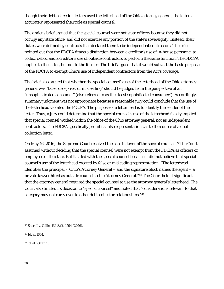though their debt collection letters used the letterhead of the Ohio attorney general, the letters accurately represented their role as special counsel.

The *amicus* brief argued that the special counsel were not state officers because they did not occupy any state office, and did not exercise any portion of the state's sovereignty. Instead, their duties were defined by contracts that declared them to be independent contractors. The brief pointed out that the FDCPA draws a distinction between a creditor's use of in-house personnel to collect debts, and a creditor's use of outside contractors to perform the same function. The FDCPA applies to the latter, but not to the former. The brief argued that it would subvert the basic purpose of the FDCPA to exempt Ohio's use of independent contractors from the Act's coverage.

The brief also argued that whether the special counsel's use of the letterhead of the Ohio attorney general was "false, deceptive, or misleading" should be judged from the perspective of an "unsophisticated consumer" (also referred to as the "least sophisticated consumer"). Accordingly, summary judgment was not appropriate because a reasonable jury could conclude that the use of the letterhead violated the FDCPA. The purpose of a letterhead is to identify the sender of the letter. Thus, a jury could determine that the special counsel's use of the letterhead falsely implied that special counsel worked within the office of the Ohio attorney general, not as independent contractors. The FDCPA specifically prohibits false representations as to the source of a debt collection letter.

On May 16, 2016, the Supreme Court resolved the case in favor of the special counsel.<sup>[39](#page-27-0)</sup> The Court assumed without deciding that the special counsel were not exempt from the FDCPA as officers or employees of the state. But it sided with the special counsel because it did not believe that special counsel's use of the letterhead created by false or misleading representation. "The letterhead identifies the principal – Ohio's Attorney General – and the signature block names the agent – a private lawyer hired as outside counsel to the Attorney General."[40](#page-27-1) The Court held it significant that the attorney general required the special counsel to use the attorney general's letterhead. The Court also limited its decision to "special counsel" and noted that "considerations relevant to that category may not carry over to other debt-collector relationships."[41](#page-27-2)

<span id="page-27-0"></span><sup>39</sup> *Sheriff v. Gillie*, 136 S.Ct. 1594 (2016).

<span id="page-27-1"></span><sup>40</sup> *Id*. at 1601.

<span id="page-27-2"></span><sup>41</sup> *Id.* at 1601 n.5.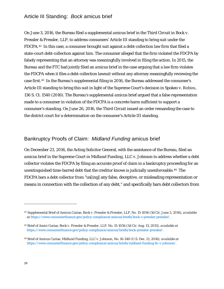### Article III Standing: *Bock* amicus brief

On June 3, 2016, the Bureau filed a supplemental *amicus* brief in the Third Circuit in *Bock v. Pressler & Pressler, LLP*, to address consumers' Article III standing to bring suit under the FDCPA.[42](#page-28-0) In this case, a consumer brought suit against a debt-collection law firm that filed a state-court debt-collection against him. The consumer alleged that the firm violated the FDCPA by falsely representing that an attorney was meaningfully involved in filing the action. In 2015, the Bureau and the FTC had jointly filed an *amicus* brief in the case arguing that a law firm violates the FDCPA when it files a debt-collection lawsuit without any attorney meaningfully reviewing the case first.[43](#page-28-1) In the Bureau's supplemental filing in 2016, the Bureau addressed the consumer's Article III standing to bring this suit in light of the Supreme Court's decision in *Spokeo v.* Robins, 136 S. Ct. 1540 (2016). The Bureau's supplemental *amicus* brief argued that a false representation made to a consumer in violation of the FDCPA is a concrete harm sufficient to support a consumer's standing. On June 26, 2016, the Third Circuit issued an order remanding the case to the district court for a determination on the consumer's Article III standing.

### Bankruptcy Proofs of Claim: *Midland Funding* amicus brief

On December 23, 2016, the Acting Solicitor General, with the assistance of the Bureau, filed an *amicus* brief in the Supreme Court in *Midland Funding, LLC v. Johnson* to address whether a debt collector violates the FDCPA by filing an accurate proof of claim in a bankruptcy proceeding for an unextinguished time-barred debt that the creditor knows is judicially unenforceable.[44](#page-28-2) The FDCPA bars a debt collector from "us[ing] any false, deceptive, or misleading representation or means in connection with the collection of any debt," and specifically bars debt collectors from

<span id="page-28-0"></span><sup>42</sup> Supplemental Brief of Amicus Curiae, *Bock v. Pressler & Pressler, LLP*, No. 15-1056 (3d Cir. June 3, 2016), *available at* [https://www.consumerfinance.gov/policy-compliance/amicus/briefs/bock-v-pressler-pressler/.](https://www.consumerfinance.gov/policy-compliance/amicus/briefs/bock-v-pressler-pressler/)

<span id="page-28-1"></span><sup>43</sup> Brief of Amici Curiae, *Bock v. Pressler & Pressler, LLP*, No. 15-1056 (3d Cir. Aug. 13, 2015), *available at*  https://www.consumerfinance.gov/policy-compliance/amicus/briefs/bock-pressler-pressler/.

<span id="page-28-2"></span><sup>44</sup> Brief of Amicus Curiae, *Midland Funding, LLC v. Johnson*, No. 16-348 (U.S. Dec. 21, 2016), *available at* [https://www.consumerfinance.gov/policy-compliance/amicus/briefs/midland-funding-llc-v-johnson/.](https://www.consumerfinance.gov/policy-compliance/amicus/briefs/midland-funding-llc-v-johnson/)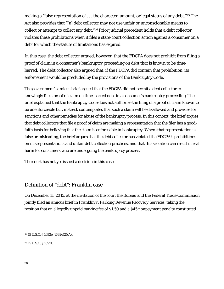making a "false representation of . . . the character, amount, or legal status of any debt."<sup>[45](#page-29-0)</sup> The Act also provides that "[a] debt collector may not use unfair or unconscionable means to collect or attempt to collect any debt."[46](#page-29-1) Prior judicial precedent holds that a debt collector violates these prohibitions when it files a state-court collection action against a consumer on a debt for which the statute of limitations has expired.

In this case, the debt collector argued, however, that the FDCPA does not prohibit from filing a proof of claim in a consumer's bankruptcy proceeding on debt that is known to be timebarred. The debt collector also argued that, if the FDCPA did contain that prohibition, its enforcement would be precluded by the provisions of the Bankruptcy Code.

The government's *amicus* brief argued that the FDCPA did not permit a debt collector to knowingly file a proof of claim on time-barred debt in a consumer's bankruptcy proceeding. The brief explained that the Bankruptcy Code does not authorize the filing of a proof of claim known to be unenforceable but, instead, contemplates that such a claim will be disallowed and provides for sanctions and other remedies for abuse of the bankruptcy process. In this context, the brief argues that debt collectors that file a proof of claim are making a representation that the filer has a goodfaith basis for believing that the claim is enforceable in bankruptcy. Where that representation is false or misleading, the brief argues that the debt collector has violated the FDCPA's prohibitions on misrepresentations and unfair debt collection practices, and that this violation can result in real harm for consumers who are undergoing the bankruptcy process.

The court has not yet issued a decision in this case.

### Definition of "debt": *Franklin* case

On December 11, 2015, at the invitation of the court the Bureau and the Federal Trade Commission jointly filed an *amicus* brief in *Franklin v. Parking Revenue Recovery Services*, taking the position that an allegedly unpaid parking fee of \$1.50 and a \$45 nonpayment penalty constituted

<span id="page-29-1"></span><sup>46</sup> 15 U.S.C. § 1692f.

<span id="page-29-0"></span><sup>45</sup> 15 U.S.C. § 1692e, 1692e(2)(A).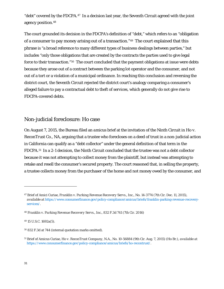"debt" covered by the FDCPA.<sup>[47](#page-30-0)</sup> In a decision last year, the Seventh Circuit agreed with the joint agency position.[48](#page-30-1)

The court grounded its decision in the FDCPA's definition of "debt," which refers to an "obligation of a consumer to pay money arising out of a transaction."[49](#page-30-2) The court explained that this phrase is "a broad reference to many different types of business dealings between parties," but includes "only those obligations that are created by the contracts the parties used to give legal force to their transaction."<sup>[50](#page-30-3)</sup> The court concluded that the payment obligations at issue were debts because they arose out of a contract between the parking lot operator and the consumer, and not out of a tort or a violation of a municipal ordinance. In reaching this conclusion and reversing the district court, the Seventh Circuit rejected the district court's analogy comparing a consumer's alleged failure to pay a contractual debt to theft of services, which generally do not give rise to FDCPA-covered debts.

### Non-judicial foreclosure: *Ho* case

On August 7, 2015, the Bureau filed an *amicus* brief at the invitation of the Ninth Circuit in *Ho v. ReconTrust Co., NA*, arguing that a trustee who forecloses on a deed of trust in a non-judicial action in California can qualify as a "debt collector" under the general definition of that term in the FDCPA.[51](#page-30-4) In a 2-1 decision, the Ninth Circuit concluded that the trustee was not a debt collector because it was not attempting to collect money from the plaintiff, but instead was attempting to retake and resell the consumer's secured property. The court reasoned that, in selling the property, a trustee collects money from the purchaser of the home and not money owed by the consumer, and

<span id="page-30-0"></span><sup>47</sup> Brief of Amici Curiae, *Franklin v. Parking Revenue Recovery Servs., Inc.*, No. 14-3774 (7th Cir. Dec. 11, 2015), *available at* [https://www.consumerfinance.gov/policy-compliance/amicus/briefs/franklin-parking-revenue-recovery](https://www.consumerfinance.gov/policy-compliance/amicus/briefs/franklin-parking-revenue-recovery-services/)[services/.](https://www.consumerfinance.gov/policy-compliance/amicus/briefs/franklin-parking-revenue-recovery-services/)

<span id="page-30-1"></span><sup>48</sup> *Franklin v. Parking Revenue Recovery Servs., Inc.*, 832 F.3d 741 (7th Cir. 2016)

<span id="page-30-2"></span><sup>49</sup> 15 U.S.C. 1692a(5).

<span id="page-30-3"></span><sup>50</sup> 832 F.3d at 744 (internal quotation marks omitted).

<span id="page-30-4"></span><sup>51</sup> Brief of Amicus Curiae, *Ho v. ReconTrust Company, N.A.*, No. 10-56884 (9th Cir. Aug. 7, 2015) (*Ho* Br.), *available at*  [https://www.consumerfinance.gov/policy-compliance/amicus/briefs/ho-recontrust/.](https://www.consumerfinance.gov/policy-compliance/amicus/briefs/ho-recontrust/)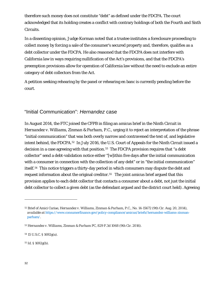therefore such money does not constitute "debt" as defined under the FDCPA. The court acknowledged that its holding creates a conflict with contrary holdings of both the Fourth and Sixth Circuits.

In a dissenting opinion, Judge Korman noted that a trustee institutes a foreclosure proceeding to collect money by forcing a sale of the consumer's secured property and, therefore, qualifies as a debt collector under the FDCPA. He also reasoned that the FDCPA does not interfere with California law in ways requiring nullification of the Act's provisions, and that the FDCPA's preemption provisions allow for operation of California law without the need to exclude an entire category of debt collectors from the Act.

A petition seeking rehearing by the panel or rehearing en banc is currently pending before the court.

### "Initial Communication": *Hernandez* case

In August 2014, the FTC joined the CFPB in filing an *amicus* brief in the Ninth Circuit in *Hernandez v. Williams, Zinman & Parham, P.C.*, urging it to reject an interpretation of the phrase "initial communication" that was both overly narrow and contravened the text of, and legislative intent behind, the FDCPA.[52](#page-31-0) In July 2016, the U.S. Court of Appeals for the Ninth Circuit issued a decision in a case agreeing with that position.<sup>[53](#page-31-1)</sup> The FDCPA provision requires that "a debt collector" send a debt-validation notice either "[w]ithin five days after the initial communication with a consumer in connection with the collection of any debt" or in "the initial communication" itself.[54](#page-31-2) This notice triggers a thirty-day period in which consumers may dispute the debt and request information about the original creditor.[55](#page-31-3) The joint *amicus* brief argued that this provision applies to each debt collector that contacts a consumer about a debt, not just the initial debt collector to collect a given debt (as the defendant argued and the district court held). Agreeing

<span id="page-31-2"></span><sup>54</sup> 15 U.S.C. § 1692g(a).

<span id="page-31-3"></span><sup>55</sup> *Id.* § 1692g(b).

<span id="page-31-0"></span><sup>52</sup> Brief of Amici Curiae, *Hernandez v. Williams, Zinman & Parham, P.C.*, No. 14-15672 (9th Cir. Aug. 20, 2014), *available at* [https://www.consumerfinance.gov/policy-compliance/amicus/briefs/hernandez-williams-zinman](https://www.consumerfinance.gov/policy-compliance/amicus/briefs/hernandez-williams-zinman-parham/)[parham/.](https://www.consumerfinance.gov/policy-compliance/amicus/briefs/hernandez-williams-zinman-parham/) 

<span id="page-31-1"></span><sup>53</sup> *Hernandez v. Williams, Zinman & Parham PC*, 829 F.3d 1068 (9th Cir. 2016).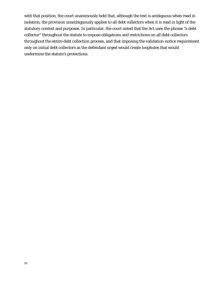with that position, the court unanimously held that, although the text is ambiguous when read in isolation, the provision unambiguously applies to all debt collectors when it is read in light of the statutory context and purposes. In particular, the court noted that the Act uses the phrase "a debt collector" throughout the statute to impose obligations and restrictions on all debt collectors throughout the entire debt collection process, and that imposing the validation-notice requirement only on initial debt collectors as the defendant urged would create loopholes that would undermine the statute's protections.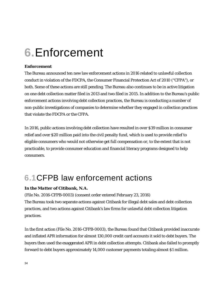# **6.**Enforcement

### **Enforcement**

The Bureau announced ten new law enforcement actions in 2016 related to unlawful collection conduct in violation of the FDCPA, the Consumer Financial Protection Act of 2010 ("CFPA"), or both. Some of these actions are still pending. The Bureau also continues to be in active litigation on one debt collection matter filed in 2013 and two filed in 2015. In addition to the Bureau's public enforcement actions involving debt collection practices, the Bureau is conducting a number of non-public investigations of companies to determine whether they engaged in collection practices that violate the FDCPA or the CFPA.

In 2016, public actions involving debt collection have resulted in over \$39 million in consumer relief and over \$20 million paid into the civil penalty fund, which is used to provide relief to eligible consumers who would not otherwise get full compensation or, to the extent that is not practicable, to provide consumer education and financial literacy programs designed to help consumers.

## **6.1**CFPB law enforcement actions

### *In the Matter of Citibank, N.A.*

(File No. 2016-CFPB-0003) (consent order entered February 23, 2016) The Bureau took two separate actions against Citibank for illegal debt sales and debt collection practices, and two actions against Citibank's law firms for unlawful debt collection litigation practices.

In the first action (File No. 2016-CFPB-0003), the Bureau found that Citibank provided inaccurate and inflated APR information for almost 130,000 credit card accounts it sold to debt buyers. The buyers then used the exaggerated APR in debt collection attempts. Citibank also failed to promptly forward to debt buyers approximately 14,000 customer payments totaling almost \$1 million.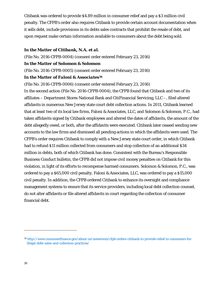Citibank was ordered to provide \$4.89 million in consumer relief and pay a \$3 million civil penalty. The CFPB's order also requires Citibank to provide certain account documentation when it sells debt, include provisions in its debts sales contracts that prohibit the resale of debt, and upon request make certain information available to consumers about the debt being sold.

#### *In the Matter of Citibank, N.A. et al.*

(File No. 2016-CFPB-0004) (consent order entered February 23, 2016)

#### *In the Matter of Solomon & Solomon*

(File No. 2016-CFPB-0005) (consent order entered February 23, 2016)

#### *In the Matter of Faloni & Associates[56](#page-34-0)*

(File No. 2016-CFPB-0006) (consent order entered February 23, 2016)

In the second action (File No. 2016-CFPB-0004), the CFPB found that Citibank and two of its affiliates – Department Stores National Bank and CitiFinancial Servicing, LLC –, filed altered affidavits in numerous New Jersey state court debt collection actions. In 2011, Citibank learned that at least two of its local law firms, Faloni & Associates, LLC, and Solomon & Solomon, P.C., had taken affidavits signed by Citibank employees and altered the dates of affidavits, the amount of the debt allegedly owed, or both, after the affidavits were executed. Citibank later ceased sending new accounts to the law firms and dismissed all pending actions in which the affidavits were used. The CFPB's order requires Citibank to comply with a New Jersey state court order, in which Citibank had to refund \$11 million collected from consumers and stop collection of an additional \$34 million in debts, both of which Citibank has done. Consistent with the Bureau's Responsible Business Conduct bulletin, the CFPB did not impose civil money penalties on Citibank for this violation, in light of its efforts to recompense harmed consumers. Solomon & Solomon, P.C., was ordered to pay a \$65,000 civil penalty. Faloni & Associates, LLC, was ordered to pay a \$15,000 civil penalty. In addition, the CFPB ordered Citibank to enhance its oversight and compliance management systems to ensure that its service providers, including local debt collection counsel, do not alter affidavits or file altered affidavits in court regarding the collection of consumer financial debt.

<span id="page-34-0"></span><sup>56</sup> [http://www.consumerfinance.gov/about-us/newsroom/cfpb-orders-citibank-to-provide-relief-to-consumers-for](http://www.consumerfinance.gov/about-us/newsroom/cfpb-orders-citibank-to-provide-relief-to-consumers-for-illegal-debt-sales-and-collection-practices/)[illegal-debt-sales-and-collection-practices/](http://www.consumerfinance.gov/about-us/newsroom/cfpb-orders-citibank-to-provide-relief-to-consumers-for-illegal-debt-sales-and-collection-practices/)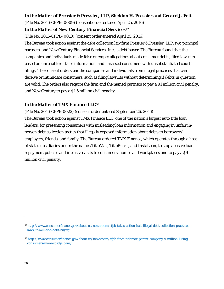#### *In the Matter of Pressler & Pressler, LLP, Sheldon H. Pressler and Gerard J. Felt*

(File No. 2016-CFPB- 0009) (consent order entered April 25, 2016)

#### *In the Matter of New Century Financial Services[57](#page-35-0)*

(File No. 2016-CFPB- 0010) (consent order entered April 25, 2016)

The Bureau took action against the debt collection law firm Pressler & Pressler, LLP, two principal partners, and New Century Financial Services, Inc., a debt buyer. The Bureau found that the companies and individuals made false or empty allegations about consumer debts, filed lawsuits based on unreliable or false information, and harassed consumers with unsubstantiated court filings. The consent orders bar the companies and individuals from illegal practices that can deceive or intimidate consumers, such as filing lawsuits without determining if debts in question are valid. The orders also require the firm and the named partners to pay a \$1 million civil penalty, and New Century to pay a \$1.5 million civil penalty.

#### *In the Matter of TMX Finance LLC[58](#page-35-1)*

(File No. 2016-CFPB-0022) (consent order entered September 26, 2016) The Bureau took action against TMX Finance LLC, one of the nation's largest auto title loan lenders, for presenting consumers with misleading loan information and engaging in unfair inperson debt collection tactics that illegally exposed information about debts to borrowers' employers, friends, and family. The Bureau ordered TMX Finance, which operates through a host of state subsidiaries under the names TitleMax, TitleBucks, and InstaLoan, to stop abusive loanrepayment policies and intrusive visits to consumers' homes and workplaces and to pay a \$9 million civil penalty.

<span id="page-35-0"></span><sup>57</sup> [http://www.consumerfinance.gov/about-us/newsroom/cfpb-takes-action-halt-illegal-debt-collection-practices](http://www.consumerfinance.gov/about-us/newsroom/cfpb-takes-action-halt-illegal-debt-collection-practices-lawsuit-mill-and-debt-buyer/)[lawsuit-mill-and-debt-buyer/](http://www.consumerfinance.gov/about-us/newsroom/cfpb-takes-action-halt-illegal-debt-collection-practices-lawsuit-mill-and-debt-buyer/)

<span id="page-35-1"></span><sup>58</sup> [http://www.consumerfinance.gov/about-us/newsroom/cfpb-fines-titlemax-parent-company-9-million-luring](http://www.consumerfinance.gov/about-us/newsroom/cfpb-fines-titlemax-parent-company-9-million-luring-consumers-more-costly-loans/)[consumers-more-costly-loans/](http://www.consumerfinance.gov/about-us/newsroom/cfpb-fines-titlemax-parent-company-9-million-luring-consumers-more-costly-loans/)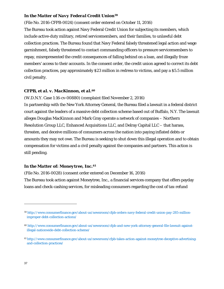### *In the Matter of Navy Federal Credit Union[59](#page-36-0)*

(File No. 2016-CFPB-0024) (consent order entered on October 11, 2016)

The Bureau took action against Navy Federal Credit Union for subjecting its members, which include active-duty military, retired servicemembers, and their families, to unlawful debt collection practices. The Bureau found that Navy Federal falsely threatened legal action and wage garnishment, falsely threatened to contact commanding officers to pressure servicemembers to repay, misrepresented the credit consequences of falling behind on a loan, and illegally froze members' access to their accounts. In the consent order, the credit union agreed to correct its debt collection practices, pay approximately \$23 million in redress to victims, and pay a \$5.5 million civil penalty.

### *CFPB, et al. v. MacKinnon, et al.[60](#page-36-1)*

(W.D.N.Y. Case 1:16-cv-00880) (complaint filed November 2, 2016)

In partnership with the New York Attorney General, the Bureau filed a lawsuit in a federal district court against the leaders of a massive debt collection scheme based out of Buffalo, N.Y. The lawsuit alleges Douglas MacKinnon and Mark Gray operate a network of companies – Northern Resolution Group LLC, Enhanced Acquisitions LLC, and Delray Capital LLC – that harass, threaten, and deceive millions of consumers across the nation into paying inflated debts or amounts they may not owe. The Bureau is seeking to shut down this illegal operation and to obtain compensation for victims and a civil penalty against the companies and partners. This action is still pending.

#### *In the Matter of: Moneytree, Inc.[61](#page-36-2)*

(File No. 2016-0028) (consent order entered on December 16, 2016)

The Bureau took action against Moneytree, Inc., a financial services company that offers payday loans and check-cashing services, for misleading consumers regarding the cost of tax-refund

<span id="page-36-0"></span><sup>59</sup> [http://www.consumerfinance.gov/about-us/newsroom/cfpb-orders-navy-federal-credit-union-pay-285-million](http://www.consumerfinance.gov/about-us/newsroom/cfpb-orders-navy-federal-credit-union-pay-285-million-improper-debt-collection-actions/)[improper-debt-collection-actions/](http://www.consumerfinance.gov/about-us/newsroom/cfpb-orders-navy-federal-credit-union-pay-285-million-improper-debt-collection-actions/)

<span id="page-36-1"></span><sup>60</sup> [http://www.consumerfinance.gov/about-us/newsroom/cfpb-and-new-york-attorney-general-file-lawsuit-against](http://www.consumerfinance.gov/about-us/newsroom/cfpb-and-new-york-attorney-general-file-lawsuit-against-illegal-nationwide-debt-collection-scheme/)[illegal-nationwide-debt-collection-scheme/](http://www.consumerfinance.gov/about-us/newsroom/cfpb-and-new-york-attorney-general-file-lawsuit-against-illegal-nationwide-debt-collection-scheme/)

<span id="page-36-2"></span><sup>61</sup> [http://www.consumerfinance.gov/about-us/newsroom/cfpb-takes-action-against-moneytree-deceptive-advertising](http://www.consumerfinance.gov/about-us/newsroom/cfpb-takes-action-against-moneytree-deceptive-advertising-and-collection-practices/)[and-collection-practices/](http://www.consumerfinance.gov/about-us/newsroom/cfpb-takes-action-against-moneytree-deceptive-advertising-and-collection-practices/)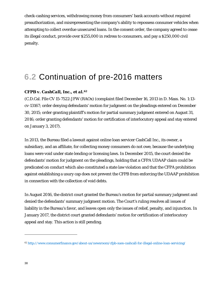check-cashing services, withdrawing money from consumers' bank accounts without required preauthorization, and misrepresenting the company's ability to repossess consumer vehicles when attempting to collect overdue unsecured loans. In the consent order, the company agreed to cease its illegal conduct, provide over \$255,000 in redress to consumers, and pay a \$250,000 civil penalty.

# **6.2** Continuation of pre-2016 matters

## *CFPB v. CashCall, Inc., et al.[62](#page-37-0)*

(C.D.Cal. File CV 15-7522-JFW (RAOx) (complaint filed December 16, 2013 in D. Mass. No. 1:13 cv-13167; order denying defendants' motion for judgment on the pleadings entered on December 30, 2015; order granting plaintiff's motion for partial summary judgment entered on August 31, 2016; order granting defendants' motion for certification of interlocutory appeal and stay entered on January 3, 2017).

In 2013, the Bureau filed a lawsuit against online loan servicer CashCall Inc., its owner, a subsidiary, and an affiliate, for collecting money consumers do not owe, because the underlying loans were void under state lending or licensing laws. In December 2015, the court denied the defendants' motion for judgment on the pleadings, holding that a CFPA UDAAP claim could be predicated on conduct which also constituted a state law violation and that the CFPA prohibition against establishing a usury cap does not prevent the CFPB from enforcing the UDAAP prohibition in connection with the collection of void debts.

In August 2016, the district court granted the Bureau's motion for partial summary judgment and denied the defendants' summary judgment motion. The Court's ruling resolves all issues of liability in the Bureau's favor, and leaves open only the issues of relief, penalty, and injunction. In January 2017, the district court granted defendants' motion for certification of interlocutory appeal and stay. This action is still pending.

<span id="page-37-0"></span><sup>62</sup> <http://www.consumerfinance.gov/about-us/newsroom/cfpb-sues-cashcall-for-illegal-online-loan-servicing/>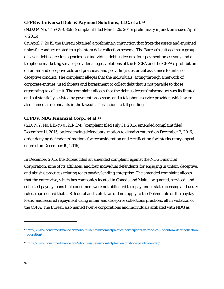### *CFPB v. Universal Debt & Payment Solutions, LLC, et al.[63](#page-38-0)*

(N.D.GA No. 1:15-CV-0859) (complaint filed March 26, 2015; preliminary injunction issued April 7, 2015).

On April 7, 2015, the Bureau obtained a preliminary injunction that froze the assets and enjoined unlawful conduct related to a phantom debt collection scheme. The Bureau's suit against a group of seven debt collection agencies, six individual debt collectors, four payment processors, and a telephone marketing service provider alleges violations of the FDCPA and the CFPA's prohibition on unfair and deceptive acts and practices, and providing substantial assistance to unfair or deceptive conduct. The complaint alleges that the individuals, acting through a network of corporate entities, used threats and harassment to collect debt that is not payable to those attempting to collect it. The complaint alleges that the debt collectors' misconduct was facilitated and substantially assisted by payment processors and a telephone service provider, which were also named as defendants in the lawsuit. This action is still pending.

### *CFPB v. NDG Financial Corp., et al.[64](#page-38-1)*

(S.D. N.Y. No.1:15-cv-05211-CM) (complaint filed July 31, 2015; amended complaint filed December 11, 2015; order denying defendants' motion to dismiss entered on December 2, 2016; order denying defendants' motions for reconsideration and certification for interlocutory appeal entered on December 19, 2016).

In December 2015, the Bureau filed an amended complaint against the NDG Financial Corporation, nine of its affiliates, and four individual defendants for engaging in unfair, deceptive, and abusive practices relating to its payday lending enterprise. The amended complaint alleges that the enterprise, which has companies located in Canada and Malta, originated, serviced, and collected payday loans that consumers were not obligated to repay under state licensing and usury rules, represented that U.S. federal and state laws did not apply to the Defendants or the payday loans, and secured repayment using unfair and deceptive collections practices, all in violation of the CFPA. The Bureau also named twelve corporations and individuals affiliated with NDG as

<span id="page-38-0"></span><sup>63</sup> [http://www.consumerfinance.gov/about-us/newsroom/cfpb-sues-participants-in-robo-call-phantom-debt-collection](http://www.consumerfinance.gov/about-us/newsroom/cfpb-sues-participants-in-robo-call-phantom-debt-collection-operation/)[operation/](http://www.consumerfinance.gov/about-us/newsroom/cfpb-sues-participants-in-robo-call-phantom-debt-collection-operation/)

<span id="page-38-1"></span><sup>64</sup> <http://www.consumerfinance.gov/about-us/newsroom/cfpb-sues-offshore-payday-lender/>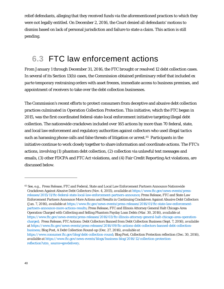relief defendants, alleging that they received funds via the aforementioned practices to which they were not legally entitled. On December 2, 2016, the Court denied all defendants' motions to dismiss based on lack of personal jurisdiction and failure to state a claim. This action is still pending.

# **6.3** FTC law enforcement actions

From January 1 through December 31, 2016, the FTC brought or resolved 12 debt collection cases. In several of its Section 13(b) cases, the Commission obtained preliminary relief that included *ex parte* temporary restraining orders with asset freezes, immediate access to business premises, and appointment of receivers to take over the debt collection businesses.

The Commission's recent efforts to protect consumers from deceptive and abusive debt collection practices culminated in Operation Collection Protection. This initiative, which the FTC began in 2015, was the first coordinated federal-state-local enforcement initiative targeting illegal debt collection. The nationwide crackdown included over 165 actions by more than 70 federal, state, and local law enforcement and regulatory authorities against collectors who used illegal tactics such as harassing phone calls and false threats of litigation or arrest.[65](#page-39-0) Participants in the initiative continue to work closely together to share information and coordinate actions. The FTC's actions, involving (1) phantom debt collection, (2) collection via unlawful text messages and emails, (3) other FDCPA and FTC Act violations, and (4) Fair Credit Reporting Act violations, are discussed below.

<span id="page-39-0"></span><sup>65</sup> *See, e.g.,* Press Release, FTC and Federal, State and Local Law Enforcement Partners Announce Nationwide Crackdown Against Abusive Debt Collectors (Nov. 4, 2015), *available at* [https://www.ftc.gov/news-events/press](https://www.ftc.gov/news-events/press-releases/2015/11/ftc-federal-state-local-law-enforcement-partners-announce)[releases/2015/11/ftc-federal-state-local-law-enforcement-partners-announce;](https://www.ftc.gov/news-events/press-releases/2015/11/ftc-federal-state-local-law-enforcement-partners-announce) Press Release, FTC and State Law Enforcement Partners Announce More Actions and Results in Continuing Crackdown Against Abusive Debt Collectors (Jan. 7, 2016), *available at* [https://www.ftc.gov/news-events/press-releases/2016/01/ftc-state-law-enforcement](https://www.ftc.gov/news-events/press-releases/2016/01/ftc-state-law-enforcement-partners-announce-more-actions-results)[partners-announce-more-actions-results;](https://www.ftc.gov/news-events/press-releases/2016/01/ftc-state-law-enforcement-partners-announce-more-actions-results) Press Release, FTC and Illinois Attorney General Halt Chicago-Area Operation Charged with Collecting and Selling Phantom Payday Loan Debts (Mar. 30, 2016), *available at* [https://www.ftc.gov/news-events/press-releases/2016/03/ftc-illinois-attorney-general-halt-chicago-area-operation](https://www.ftc.gov/news-events/press-releases/2016/03/ftc-illinois-attorney-general-halt-chicago-area-operation-charged)[charged;](https://www.ftc.gov/news-events/press-releases/2016/03/ftc-illinois-attorney-general-halt-chicago-area-operation-charged) Press Release, FTC Actions: Debt Collectors Banned from Debt Collection Business (Sept. 7, 2016), *available at* [https://www.ftc.gov/news-events/press-releases/2016/09/ftc-actions-debt-collectors-banned-debt-collection](https://www.ftc.gov/news-events/press-releases/2016/09/ftc-actions-debt-collectors-banned-debt-collection-business)[business;](https://www.ftc.gov/news-events/press-releases/2016/09/ftc-actions-debt-collectors-banned-debt-collection-business) Blog Post, A Debt Collection Round-up (Dec. 27, 2016), *available at* [https://www.consumer.ftc.gov/blog/debt-collection-round;](https://www.consumer.ftc.gov/blog/debt-collection-round) Blog Post, Collection Protection reflection (Dec. 30, 2016), *available at* [https://www.ftc.gov/news-events/blogs/business-blog/2016/12/collection-protection-](https://www.ftc.gov/news-events/blogs/business-blog/2016/12/collection-protection-reflection?utm_source=govdelivery)

[reflection?utm\\_source=govdelivery.](https://www.ftc.gov/news-events/blogs/business-blog/2016/12/collection-protection-reflection?utm_source=govdelivery)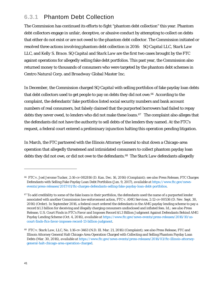# **6.3.1** Phantom Debt Collection

The Commission has continued its efforts to fight "phantom debt collection" this year. Phantom debt collectors engage in unfair, deceptive, or abusive conduct by attempting to collect on debts that either do not exist or are not owed to the phantom debt collector. The Commission initiated or resolved three actions involving phantom debt collection in 2016:*SQ Capital LLC*, *Stark Law LLC*, and *Kelly S. Brace*. *SQ Capital* and *Stark Law* are the first two cases brought by the FTC against operations for allegedly selling fake debt portfolios. This past year, the Commission also returned money to thousands of consumers who were targeted by the phantom debt schemes in *Centro Natural Corp.* and *Broadway Global Master Inc*.

In December, the Commission charged *SQ Capital* with selling portfolios of fake payday loan debts that debt collectors used to get people to pay on debts they did not owe.<sup>66</sup> According to the complaint, the defendants' fake portfolios listed social security numbers and bank account numbers of real consumers, but falsely claimed that the purported borrowers had failed to repay debts they never owed, to lenders who did not make these loans.<sup>[67](#page-40-1)</sup> The complaint also alleges that the defendants did not have the authority to sell debts of the lenders they named. At the FTC's request, a federal court entered a preliminary injunction halting this operation pending litigation.

In March, the FTC partnered with the Illinois Attorney General to shut down a Chicago-area operation that allegedly threatened and intimidated consumers to collect phantom payday loan debts they did not owe, or did not owe to the defendants.[68](#page-40-2) The *Stark Law* defendants allegedly

<span id="page-40-0"></span><sup>66</sup> *FTC v. Joel Jerome Tucker*, 2:16-cv-082816 (D. Kan. Dec. 16, 2016) (Complaint); *see also* Press Release, FTC Charges Defendants with Selling Fake Payday Loan Debt Portfolios (Jan. 9, 2017), *available at* [https://www.ftc.gov/news](https://www.ftc.gov/news-events/press-releases/2017/01/ftc-charges-defendants-selling-fake-payday-loan-debt-portfolios)[events/press-releases/2017/01/ftc-charges-defendants-selling-fake-payday-loan-debt-portfolios.](https://www.ftc.gov/news-events/press-releases/2017/01/ftc-charges-defendants-selling-fake-payday-loan-debt-portfolios)

<span id="page-40-1"></span><sup>&</sup>lt;sup>67</sup> To add credibility to some of the fake loans in their portfolios, the defendants used the name of a purported lender associated with another Commission law enforcement action, *FTC v. AMG Services*, 2:12-cv-00536 (D. Nev. Sept. 30, 2016) (Order). In September 2016, a federal court ordered the defendants in the *AMG* payday lending scheme to pay a record \$1.3 billion for deceiving and illegally charging consumers undisclosed and inflated fees. *Id.; see also* Press Release, U.S. Court Finds in FTC's Favor and Imposes Record \$1.3 Billion Judgment Against Defendants Behind AMG Payday Lending Scheme (Oct. 4, 2016), *available at* [https://www.ftc.gov/news-events/press-releases/2016/10/us](https://www.ftc.gov/news-events/press-releases/2016/10/us-court-finds-ftcs-favor-imposes-record-13-billion-judgment)[court-finds-ftcs-favor-imposes-record-13-billion-judgment.](https://www.ftc.gov/news-events/press-releases/2016/10/us-court-finds-ftcs-favor-imposes-record-13-billion-judgment)

<span id="page-40-2"></span><sup>68</sup> *FTC v. Stark Law, LLC*, No. 1:16-cv-3463 (N.D. Ill. Mar. 21, 2016) (Complaint); *see also* Press Release, FTC and Illinois Attorney General Halt Chicago-Area Operation Charged with Collecting and Selling Phantom Payday Loan Debts (Mar. 30, 2016), *available at* [https://www.ftc.gov/news-events/press-releases/2016/03/ftc-illinois-attorney](https://www.ftc.gov/news-events/press-releases/2016/03/ftc-illinois-attorney-general-halt-chicago-area-operation-charged)[general-halt-chicago-area-operation-charged](https://www.ftc.gov/news-events/press-releases/2016/03/ftc-illinois-attorney-general-halt-chicago-area-operation-charged)*.*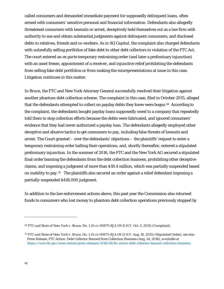called consumers and demanded immediate payment for supposedly delinquent loans, often armed with consumers' sensitive personal and financial information. Defendants also allegedly threatened consumers with lawsuits or arrest, deceptively held themselves out as a law firm with authority to sue and obtain substantial judgments against delinquent consumers, and disclosed debts to relatives, friends and co-workers. As in *SQ Capital,* the complaint also charged defendants with unlawfully selling portfolios of fake debt to other debt collectors in violation of the FTC Act. The court entered an *ex parte* temporary restraining order (and later a preliminary injunction) with an asset freeze, appointment of a receiver, and injunctive relief prohibiting the defendants from selling fake debt portfolios or from making the misrepresentations at issue in this case. Litigation continues in this matter.

In *Brace*, the FTC and New York Attorney General successfully resolved their litigation against another phantom debt collection scheme*.* The complaint in this case, filed in October 2015, alleged that the defendants attempted to collect on payday debts they knew were bogus.<sup>[69](#page-41-0)</sup> According to the complaint, the defendants bought payday loans supposedly owed to a company that repeatedly told them to stop collection efforts because the debts were fabricated, and ignored consumers' evidence that they had never authorized a payday loan. The defendants allegedly employed other deceptive and abusive tactics to get consumers to pay, including false threats of lawsuits and arrest. The Court granted – over the defendants' objections – the plaintiffs' request to enter a temporary restraining order halting their operations, and, shortly thereafter, entered a stipulated preliminary injunction. In the summer of 2016, the FTC and the New York AG secured a stipulated final order banning the defendants from the debt collection business, prohibiting other deceptive claims, and imposing a judgment of more than \$18.4 million, which was partially suspended based on inability to pay.<sup>70</sup> The plaintiffs also secured an order against a relief defendant imposing a partially-suspended \$418,000 judgment.

In addition to the law enforcement actions above, this past year the Commission also returned funds to consumers who lost money to phantom debt collection operations previously stopped by

<span id="page-41-0"></span><sup>69</sup> *FTC and State of New York v. Brace*, No. 1:15-cv-00875-RJA (W.D.N.Y. Oct. 5, 2015) (Complaint).

<span id="page-41-1"></span><sup>70</sup> *FTC and State of New York v. Brace*, No. 1:15-cv-00875-RJA (W.D.N.Y. Aug. 18, 2015) (Stipulated Order), *see also*  Press Release, FTC Action: Debt Collector Banned from Collection Business (Aug, 24, 2016), *available at*  [https://www.ftc.gov/news-events/press-releases/2016/08/ftc-action-debt-collector-banned-collection-business.](https://www.ftc.gov/news-events/press-releases/2016/08/ftc-action-debt-collector-banned-collection-business)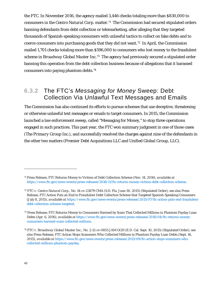the FTC. In November 2016, the agency mailed 3,446 checks totaling more than \$830,000 to consumers in the *Centro Natural Corp.* matter.[71](#page-42-0) The Commission had secured stipulated orders banning defendants from debt collection or telemarketing, after alleging that they targeted thousands of Spanish-speaking consumers with unlawful tactics to collect on fake debts and to coerce consumers into purchasing goods that they did not want.[72](#page-42-1) In April, the Commission mailed 1,701 checks totaling more than \$596,000 to consumers who lost money to the fraudulent scheme in *Broadway Global Master Inc*.[73](#page-42-2) The agency had previously secured a stipulated order banning this operation from the debt collection business because of allegations that it harassed consumers into paying phantom debts.[74](#page-42-3) 

## **6.3.2** The FTC's *Messaging for Money* Sweep: Debt Collection Via Unlawful Text Messages and Emails

The Commission has also continued its efforts to pursue schemes that use deceptive, threatening or otherwise unlawful text messages or emails to target consumers. In 2015, the Commission launched a law enforcement sweep, called "Messaging for Money," to stop three operations engaged in such practices. This past year, the FTC won summary judgment in one of those cases (*The Primary Group Inc.*), and successfully resolved the charges against nine of the defendants in the other two matters (*Premier Debt Acquisitions LLC* and *Unified Global Group, LLC*).

<span id="page-42-0"></span><sup>71</sup> Press Release, FTC Returns Money to Victims of Debt Collection Scheme (Nov. 14, 2016), *available at*  [https://www.ftc.gov/news-events/press-releases/2016/11/ftc-returns-money-victims-debt-collection-scheme.](https://www.ftc.gov/news-events/press-releases/2016/11/ftc-returns-money-victims-debt-collection-scheme)

<span id="page-42-1"></span><sup>72</sup> *FTC v. Centro Natural Corp.,* No. 14-cv-23879 CMA (S.D. Fla. June 30, 2015) (Stipulated Order); *see also* Press Release, FTC Action Puts an End to Fraudulent Debt Collection Scheme that Targeted Spanish-Speaking Consumers (July 8, 2015), *available at* [https://www.ftc.gov/news-events/press-releases/2015/07/ftc-action-puts-end-fraudulent](https://www.ftc.gov/news-events/press-releases/2015/07/ftc-action-puts-end-fraudulent-debt-collection-scheme-targeted)[debt-collection-scheme-targeted.](https://www.ftc.gov/news-events/press-releases/2015/07/ftc-action-puts-end-fraudulent-debt-collection-scheme-targeted)

<span id="page-42-2"></span><sup>73</sup> Press Release, FTC Returns Money to Consumers Harmed by Scam That Collected Millions in Phantom Payday Loan Debts (Apr. 6, 2016), *available at* [https://www.ftc.gov/news-events/press-releases/2016/04/ftc-returns-money](https://www.ftc.gov/news-events/press-releases/2016/04/ftc-returns-money-consumers-harmed-scam-collected-millions)[consumers-harmed-scam-collected-millions.](https://www.ftc.gov/news-events/press-releases/2016/04/ftc-returns-money-consumers-harmed-scam-collected-millions)

<span id="page-42-3"></span><sup>74</sup> *FTC v. Broadway Global Master Inc.*, No. 2:12-cv-0855 JAM GGH (E.D. Cal. Sept. 10, 2015) (Stipulated Order); *see also* Press Release, FTC Action Stops Scammers Who Collected Millions in Phantom Payday Loan Debts (Sept. 16, 2015), *available at* [https://www.ftc.gov/news-events/press-releases/2015/09/ftc-action-stops-scammers-who](https://www.ftc.gov/news-events/press-releases/2015/09/ftc-action-stops-scammers-who-collected-millions-phantom-payday)[collected-millions-phantom-payday.](https://www.ftc.gov/news-events/press-releases/2015/09/ftc-action-stops-scammers-who-collected-millions-phantom-payday)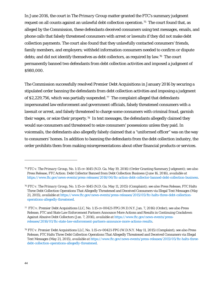In June 2016, the court in *The Primary Group* matter granted the FTC's summary judgment request on all counts against an unlawful debt collection operation.<sup>75</sup> The court found that, as alleged by the Commission, these defendants deceived consumers using text messages, emails, and phone calls that falsely threatened consumers with arrest or lawsuits if they did not make debt collection payments. The court also found that they unlawfully contacted consumers' friends, family members, and employers; withheld information consumers needed to confirm or dispute debts; and did not identify themselves as debt collectors, as required by law.<sup>[76](#page-43-1)</sup> The court permanently banned two defendants from debt collection activities and imposed a judgment of \$980,000.

The Commission successfully resolved *Premier Debt Acquisitions* in January 2016 by securing a stipulated order banning the defendants from debt collection activities and imposing a judgment of \$2,229,756, which was partially suspended.<sup>[77](#page-43-2)</sup> The complaint alleged that defendants impersonated law enforcement and government officials, falsely threatened consumers with a lawsuit or arrest, and falsely threatened to charge some consumers with criminal fraud, garnish their wages, or seize their property.<sup>[78](#page-43-3)</sup> In text messages, the defendants allegedly claimed they would sue consumers and threatened to seize consumers' possessions unless they paid. In voicemails, the defendants also allegedly falsely claimed that a "uniformed officer" was on the way to consumers' homes. In addition to banning the defendants from the debt collection industry, the order prohibits them from making misrepresentations about other financial products or services.

<span id="page-43-0"></span><sup>75</sup> *FTC v. The Primary Group*, No. 1:15-cv-1645 (N.D. Ga. May 19, 2016) (Order Granting Summary Judgment); *see also*  Press Release, FTC Action: Debt Collector Banned from Debt Collection Business (June 16, 2016), *available at* [https://www.ftc.gov/news-events/press-releases/2016/06/ftc-action-debt-collector-banned-debt-collection-business.](https://www.ftc.gov/news-events/press-releases/2016/06/ftc-action-debt-collector-banned-debt-collection-business)

<span id="page-43-1"></span><sup>76</sup> *FTC v. The Primary Group*, No. 1:15-cv-1645 (N.D. Ga. May 11, 2015) (Complaint); *see also* Press Release, FTC Halts Three Debt Collection Operations That Allegedly Threatened and Deceived Consumers via Illegal Text Messages (May 21, 2015), *available at* [https://www.ftc.gov/news-events/press-releases/2015/05/ftc-halts-three-debt-collection](https://www.ftc.gov/news-events/press-releases/2015/05/ftc-halts-three-debt-collection-operations-allegedly-threatened)[operations-allegedly-threatened.](https://www.ftc.gov/news-events/press-releases/2015/05/ftc-halts-three-debt-collection-operations-allegedly-threatened)

<span id="page-43-2"></span><sup>77</sup> *FTC v. Premier Debt Acquisitions LLC*, No. 1:15-cv-00421-FPG (W.D.N.Y. Jan. 7, 2016) (Order); *see also* Press Release, FTC and State Law Enforcement Partners Announce More Actions and Results in Continuing Crackdown Against Abusive Debt Collectors (Jan. 7, 2016), *available at* [https://www.ftc.gov/news-events/press](https://www.ftc.gov/news-events/press-releases/2016/01/ftc-state-law-enforcement-partners-announce-more-actions-results)[releases/2016/01/ftc-state-law-enforcement-partners-announce-more-actions-results.](https://www.ftc.gov/news-events/press-releases/2016/01/ftc-state-law-enforcement-partners-announce-more-actions-results)

<span id="page-43-3"></span><sup>78</sup> *FTC v. Premier Debt Acquisitions LLC*, No. 1:15-cv-00421-FPG (W.D.N.Y. May 11, 2015) (Complaint); *see also* Press Release, FTC Halts Three Debt Collection Operations That Allegedly Threatened and Deceived Consumers via Illegal Text Messages (May 21, 2015), *available at* [https://www.ftc.gov/news-events/press-releases/2015/05/ftc-halts-three](https://www.ftc.gov/news-events/press-releases/2015/05/ftc-halts-three-debt-collection-operations-allegedly-threatened)[debt-collection-operations-allegedly-threatened.](https://www.ftc.gov/news-events/press-releases/2015/05/ftc-halts-three-debt-collection-operations-allegedly-threatened)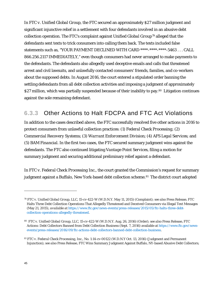In *FTC v. Unified Global Group*, the FTC secured an approximately \$27 million judgment and significant injunctive relief in a settlement with four defendants involved in an abusive debt collection operation. The FTC's complaint against *Unified Global Group*[79](#page-44-0) alleged that the defendants sent texts to trick consumers into calling them back. The texts included false statements such as, "YOUR PAYMENT DECLINED WITH CARD \*\*\*\*-\*\*\*\*-\*\*\*\*-5463 . . . CALL 866.256.2117 IMMEDIATELY," even though consumers had never arranged to make payments to the defendants. The defendants also allegedly used deceptive emails and calls that threatened arrest and civil lawsuits, and unlawfully contacted consumers' friends, families, and co-workers about the supposed debts. In August 2016, the court entered a stipulated order banning the settling defendants from all debt collection activities and imposing a judgment of approximately \$27 million, which was partially suspended because of their inability to pay.<sup>80</sup> Litigation continues against the sole remaining defendant.

## **6.3.3** Other Actions to Halt FDCPA and FTC Act Violations

In addition to the cases described above, the FTC successfully resolved five other actions in 2016 to protect consumers from unlawful collection practices: (1) *Federal Check Processing*; (2) *Commercial Recovery Systems*; (3) *Warrant Enforcement Division*; (4) *AFS Legal Services*; and (5) *BAM Financial*. In the first two cases, the FTC secured summary judgment wins against the defendants. The FTC also continued litigating *Vantage Point Services*, filing a motion for summary judgment and securing additional preliminary relief against a defendant.

In *FTC v. Federal Check Processing Inc.*, the court granted the Commission's request for summary judgment against a Buffalo, New York-based debt collection scheme.<sup>81</sup> The district court adopted

<span id="page-44-0"></span><sup>79</sup> *FTC v. Unified Global Group, LLC*, 15-cv-422-W (W.D.N.Y. May 11, 2015) (Complaint); *see also* Press Release, FTC Halts Three Debt Collection Operations That Allegedly Threatened and Deceived Consumers via Illegal Text Messages (May 21, 2015), *available at* [https://www.ftc.gov/news-events/press-releases/2015/05/ftc-halts-three-debt](https://www.ftc.gov/news-events/press-releases/2015/05/ftc-halts-three-debt-collection-operations-allegedly-threatened)[collection-operations-allegedly-threatened.](https://www.ftc.gov/news-events/press-releases/2015/05/ftc-halts-three-debt-collection-operations-allegedly-threatened)

<span id="page-44-1"></span><sup>80</sup> *FTC v. Unified Global Group, LLC*, 15-cv-422-W (W.D.N.Y. Aug. 26, 2016) (Order); *see also* Press Release, FTC Actions: Debt Collectors Banned from Debt Collection Business (Sept. 7, 2016) available a[t https://www.ftc.gov/news](https://www.ftc.gov/news-events/press-releases/2016/09/ftc-actions-debt-collectors-banned-debt-collection-business)[events/press-releases/2016/09/ftc-actions-debt-collectors-banned-debt-collection-business.](https://www.ftc.gov/news-events/press-releases/2016/09/ftc-actions-debt-collectors-banned-debt-collection-business)

<span id="page-44-2"></span><sup>81</sup> *FTC v. Federal Check Processing, Inc.*, No. 1:14-cv-00122 (W.D.N.Y Oct. 13, 2016) (Judgment and Permanent Injunction); *see also* Press Release, FTC Wins Summary Judgment Against Buffalo, NY-based Abusive Debt Collectors;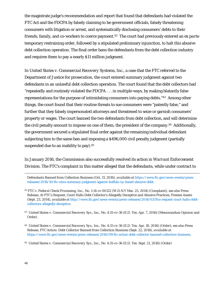the magistrate judge's recommendation and report that found that defendants had violated the FTC Act and the FDCPA by falsely claiming to be government officials, falsely threatening consumers with litigation or arrest, and systematically disclosing consumers' debts to their friends, family, and co-workers to coerce payment.[82](#page-45-0) The court had previously entered an *ex parte* temporary restraining order, followed by a stipulated preliminary injunction, to halt this abusive debt collection operation. The final order bans the defendants from the debt collection industry and requires them to pay a nearly \$11 million judgment.

In *United States v. Commercial Recovery Systems, Inc.*, a case that the FTC referred to the Department of Justice for prosecution, the court entered summary judgment against two defendants in an unlawful debt collection operation. The court found that the debt collectors had "repeatedly and routinely violated the FDCPA . . . in multiple ways, by making blatantly false representations for the purpose of intimidating consumers into paying debts."[83](#page-45-1) Among other things, the court found that their routine threats to sue consumers were "patently false," and further that they falsely impersonated attorneys and threatened to seize or garnish consumers' property or wages. The court banned the two defendants from debt collection, and will determine the civil penalty amount to impose on one of them, the president of the company.[84](#page-45-2) Additionally, the government secured a stipulated final order against the remaining individual defendant subjecting him to the same ban and imposing a \$496,000 civil penalty judgment (partially suspended due to an inability to pay). [85](#page-45-3)

In January 2016, the Commission also successfully resolved its action in *Warrant Enforcement Division*. The FTC's complaint in this matter alleged that the defendants, while under contract to

<span id="page-45-0"></span><sup>82</sup> *FTC v. Federal Check Processing, Inc.*, No. 1:14-cv-00122 (W.D.N.Y Mar. 25, 2014) (Complaint), *see also* Press Release, At FTC's Request, Court Halts Debt Collector's Allegedly Deceptive and Abusive Practices, Freezes Assets (Sept. 23, 2014), *available at* [http://www.ftc.gov/news-events/press-releases/2014/03/ftcs-request-court-halts-debt](http://www.ftc.gov/news-events/press-releases/2014/03/ftcs-request-court-halts-debt-collectors-allegedly-deceptive)[collectors-allegedly-deceptive.](http://www.ftc.gov/news-events/press-releases/2014/03/ftcs-request-court-halts-debt-collectors-allegedly-deceptive)

<span id="page-45-1"></span>83 *United States v. Commercial Recovery Sys., Inc.*, No. 4:15-cv-36 (E.D. Tex. Apr. 7, 2016) (Memorandum Opinion and Order).

Defendants Banned from Collection Business (Oct. 31, 2016), *available at* [https://www.ftc.gov/news-events/press](https://www.ftc.gov/news-events/press-releases/2016/10/ftc-wins-summary-judgment-against-buffalo-ny-based-abusive-debt)[releases/2016/10/ftc-wins-summary-judgment-against-buffalo-ny-based-abusive-debt.](https://www.ftc.gov/news-events/press-releases/2016/10/ftc-wins-summary-judgment-against-buffalo-ny-based-abusive-debt)

<span id="page-45-2"></span><sup>84</sup> *United States v. Commercial Recovery Sys., Inc.*, No. 4:15-cv-36 (E.D. Tex. Apr. 18, 2016) (Order); s*ee also* Press Release, FTC Action: Debt Collector Banned from Collection Business (Sept. 22, 2016), *available at* [https://www.ftc.gov/news-events/press-releases/2016/09/ftc-action-debt-collector-banned-collection-business.](https://www.ftc.gov/news-events/press-releases/2016/09/ftc-action-debt-collector-banned-collection-business)

<span id="page-45-3"></span><sup>85</sup> *United States v. Commercial Recovery Sys*., Inc., No. 4:15-cv-36 (E.D. Tex. Sept. 21, 2016) (Order)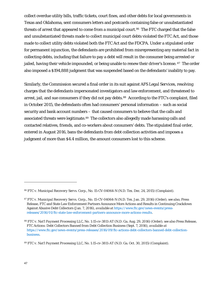collect overdue utility bills, traffic tickets, court fines, and other debts for local governments in Texas and Oklahoma, sent consumers letters and postcards containing false or unsubstantiated threats of arrest that appeared to come from a municipal court.<sup>[86](#page-46-0)</sup> The FTC charged that the false and unsubstantiated threats made to collect municipal court debts violated the FTC Act, and those made to collect utility debts violated both the FTC Act and the FDCPA. Under a stipulated order for permanent injunction, the defendants are prohibited from misrepresenting any material fact in collecting debts, including that failure to pay a debt will result in the consumer being arrested or jailed, having their vehicle impounded, or being unable to renew their driver's license. [87](#page-46-1) The order also imposed a \$194,888 judgment that was suspended based on the defendants' inability to pay.

Similarly, the Commission secured a final order in its suit against *AFS Legal Services*, resolving charges that the defendants impersonated investigators and law enforcement, and threatened to arrest, jail, and sue consumers if they did not pay debts.<sup>88</sup> According to the FTC's complaint, filed in October 2015, the defendants often had consumers' personal information – such as social security and bank account numbers – that caused consumers to believe that the calls and associated threats were legitimate.<sup>89</sup> The collectors also allegedly made harassing calls and contacted relatives, friends, and co-workers about consumers' debts. The stipulated final order, entered in August 2016, bans the defendants from debt collection activities and imposes a judgment of more than \$4.4 million, the amount consumers lost to this scheme.

<span id="page-46-0"></span><sup>86</sup> *FTC v. Municipal Recovery Servs. Corp*., No. 15-CV-04064-N (N.D. Tex. Dec. 24, 2015) (Complaint).

<span id="page-46-1"></span><sup>87</sup> *FTC v. Municipal Recovery Servs. Corp*., No. 15-CV-04064-N (N.D. Tex. Jan. 29, 2016) (Order); *see also*, Press Release, FTC and State Law Enforcement Partners Announce More Actions and Results in Continuing Crackdown Against Abusive Debt Collectors (Jan. 7, 2016), *available at* [https://www.ftc.gov/news-events/press](https://www.ftc.gov/news-events/press-releases/2016/01/ftc-state-law-enforcement-partners-announce-more-actions-results)[releases/2016/01/ftc-state-law-enforcement-partners-announce-more-actions-results.](https://www.ftc.gov/news-events/press-releases/2016/01/ftc-state-law-enforcement-partners-announce-more-actions-results)

<span id="page-46-2"></span><sup>88</sup> *FTC v. Nat'l Payment Processing LLC*, No. 1:15-cv-3811-AT (N.D. Ga. Aug. 29, 2016) (Order); *see also* Press Release, FTC Actions: Debt Collectors Banned from Debt Collection Business (Sept. 7, 2016), *available at* [https://www.ftc.gov/news-events/press-releases/2016/09/ftc-actions-debt-collectors-banned-debt-collection](https://www.ftc.gov/news-events/press-releases/2016/09/ftc-actions-debt-collectors-banned-debt-collection-business)[business.](https://www.ftc.gov/news-events/press-releases/2016/09/ftc-actions-debt-collectors-banned-debt-collection-business)

<span id="page-46-3"></span><sup>89</sup> *FTC v. Nat'l Payment Processing LLC*, No. 1:15-cv-3811-AT (N.D. Ga. Oct. 30, 2015) (Complaint).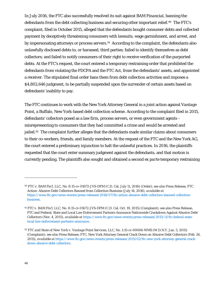In July 2016, the FTC also successfully resolved its suit against *BAM Financial*, banning the defendants from the debt collecting business and securing other important relief.<sup>[90](#page-47-0)</sup> The FTC's complaint, filed in October 2015, alleged that the defendants bought consumer debts and collected payment by deceptively threatening consumers with lawsuits, wage garnishment, and arrest, and by impersonating attorneys or process servers.<sup>[91](#page-47-1)</sup> According to the complaint, the defendants also unlawfully disclosed debts to, or harassed, third parties; failed to identify themselves as debt collectors; and failed to notify consumers of their right to receive verification of the purported debts. At the FTC's request, the court entered a temporary restraining order that prohibited the defendants from violating the FDCPA and the FTC Act, froze the defendants' assets, and appointed a receiver. The stipulated final order bans them from debt collection activities and imposes a \$4,802,646 judgment, to be partially suspended upon the surrender of certain assets based on defendants' inability to pay.

The FTC continues to work with the New York Attorney General in a joint action against *Vantage Point*, a Buffalo, New York-based debt collection scheme. According to the complaint filed in 2015, defendants' collectors posed as a law firm, process servers, or even government agents – misrepresenting to consumers that they had committed a crime and would be arrested and jailed.<sup>[92](#page-47-2)</sup> The complaint further alleges that the defendants made similar claims about consumers to their co-workers, friends, and family members. At the request of the FTC and the New York AG, the court entered a preliminary injunction to halt the unlawful practices. In 2016, the plaintiffs requested that the court enter summary judgment against the defendants, and that motion is currently pending. The plaintiffs also sought and obtained a second *ex parte* temporary restraining

<span id="page-47-0"></span><sup>90</sup> *FTC v. BAM Fin'l, LLC*, No. 8:15-cv-01672-JVS-DFM (C.D. Cal. July 11, 2016) (Order); *see also* Press Release, FTC Action: Abusive Debt Collectors Banned from Collection Business (July 14, 2016), *available at* [https://www.ftc.gov/news-events/press-releases/2016/07/ftc-action-abusive-debt-collectors-banned-collection](https://www.ftc.gov/news-events/press-releases/2016/07/ftc-action-abusive-debt-collectors-banned-collection-business)[business.](https://www.ftc.gov/news-events/press-releases/2016/07/ftc-action-abusive-debt-collectors-banned-collection-business)

<span id="page-47-1"></span><sup>91</sup> *FTC v. BAM Fin'l, LLC*, No. 8:15-cv-01672-JVS-DFM (C.D. Cal. Oct. 19, 2015) (Complaint); *see also* Press Release, FTC and Federal, State and Local Law Enforcement Partners Announce Nationwide Crackdown Against Abusive Debt Collectors (Nov. 4, 2015), *available at* [https://www.ftc.gov/news-events/press-releases/2015/11/ftc-federal-state](https://www.ftc.gov/news-events/press-releases/2015/11/ftc-federal-state-local-law-enforcement-partners-announce)[local-law-enforcement-partners-announce.](https://www.ftc.gov/news-events/press-releases/2015/11/ftc-federal-state-local-law-enforcement-partners-announce)

<span id="page-47-2"></span><sup>92</sup> *FTC and State of New York v. Vantage Point Services, LLC*, No. 1:15-cv-00006-WMS (W.D.N.Y. Jan. 5, 2015) (Complaint); *see also* Press Release, FTC, New York Attorney General Crack Down on Abusive Debt Collectors (Feb. 26, 2015), *available at* [https://www.ftc.gov/news-events/press-releases/2015/02/ftc-new-york-attorney-general-crack](https://www.ftc.gov/news-events/press-releases/2015/02/ftc-new-york-attorney-general-crack-down-abusive-debt-collectors)[down-abusive-debt-collectors.](https://www.ftc.gov/news-events/press-releases/2015/02/ftc-new-york-attorney-general-crack-down-abusive-debt-collectors)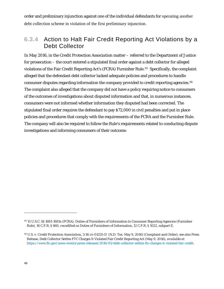order and preliminary injunction against one of the individual defendants for operating another debt collection scheme in violation of the first preliminary injunction.

## **6.3.4** Action to Halt Fair Credit Reporting Act Violations by a Debt Collector

In May 2016, in the *Credit Protection Association* matter – referred to the Department of Justice for prosecution – the court entered a stipulated final order against a debt collector for alleged violations of the Fair Credit Reporting Act's (FCRA) Furnisher Rule.<sup>93</sup> Specifically, the complaint alleged that the defendant debt collector lacked adequate policies and procedures to handle consumer disputes regarding information the company provided to credit reporting agencies.<sup>[94](#page-48-1)</sup> The complaint also alleged that the company did not have a policy requiring notice to consumers of the outcomes of investigations about disputed information and that, in numerous instances, consumers were not informed whether information they disputed had been corrected. The stipulated final order requires the defendant to pay \$72,000 in civil penalties and put in place policies and procedures that comply with the requirements of the FCRA and the Furnisher Rule. The company will also be required to follow the Rule's requirements related to conducting dispute investigations and informing consumers of their outcome.

<span id="page-48-0"></span><sup>93</sup> 15 U.S.C. §§ 1681-1681x (FCRA); Duties of Furnishers of Information to Consumer Reporting Agencies (Furnisher Rule), 16 C.F.R. § 660, *recodified as* Duties of Furnishers of Information, 12 C.F.R. § 1022, subpart E.

<span id="page-48-1"></span><sup>94</sup> *U.S. v. Credit Protection Association*, 3:16-cv-01255-D (N.D. Tex. May 9, 2016) (Complaint and Order); *see also* Press Release, Debt Collector Settles FTC Charges It Violated Fair Credit Reporting Act (May 9, 2016), *available at* [https://www.ftc.gov/news-events/press-releases/2016/05/debt-collector-settles-ftc-charges-it-violated-fair-credit.](https://www.ftc.gov/news-events/press-releases/2016/05/debt-collector-settles-ftc-charges-it-violated-fair-credit)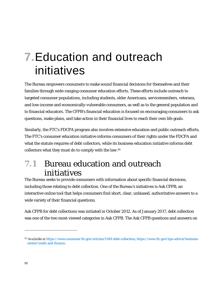# **7.**Education and outreach initiatives

The Bureau empowers consumers to make sound financial decisions for themselves and their families through wide-ranging consumer education efforts. These efforts include outreach to targeted consumer populations, including students, older Americans, servicemembers, veterans, and low-income and economically-vulnerable consumers, as well as to the general population and to financial educators. The CFPB's financial education is focused on encouraging consumers to ask questions, make plans, and take action in their financial lives to reach their own life goals.

Similarly, the FTC's FDCPA program also involves extensive education and public outreach efforts. The FTC's consumer education initiative informs consumers of their rights under the FDCPA and what the statute requires of debt collectors, while its business education initiative informs debt collectors what they must do to comply with the law.[95](#page-49-0)

# **7.1** Bureau education and outreach initiatives

The Bureau seeks to provide consumers with information about specific financial decisions, including those relating to debt collection. One of the Bureau's initiatives is Ask CFPB, an interactive online tool that helps consumers find short, clear, unbiased, authoritative answers to a wide variety of their financial questions.

Ask CFPB for debt collections was initiated in October 2012. As of January 2017, debt collection was one of the two most-viewed categories in Ask CFPB. The Ask CFPB questions and answers on

<span id="page-49-0"></span><sup>95</sup> *Available at* [https://www.consumer.ftc.gov/articles/0149-debt-collection;](https://www.consumer.ftc.gov/articles/0149-debt-collection) [https://www.ftc.gov/tips-advice/business](https://www.ftc.gov/tips-advice/business-center/credit-and-finance)[center/credit-and-finance.](https://www.ftc.gov/tips-advice/business-center/credit-and-finance)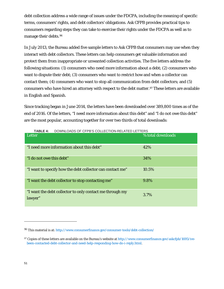debt collection address a wide range of issues under the FDCPA, including the meaning of specific terms, consumers' rights, and debt collectors' obligations. Ask CFPB provides practical tips to consumers regarding steps they can take to exercise their rights under the FDCPA as well as to manage their debts.[96](#page-50-0)

In July 2013, the Bureau added five sample letters to Ask CFPB that consumers may use when they interact with debt collectors. These letters can help consumers get valuable information and protect them from inappropriate or unwanted collection activities. The five letters address the following situations: (1) consumers who need more information about a debt; (2) consumers who want to dispute their debt; (3) consumers who want to restrict how and when a collector can contact them; (4) consumers who want to stop all communication from debt collectors; and (5) consumers who have hired an attorney with respect to the debt matter.<sup>[97](#page-50-1)</sup> These letters are available in English and Spanish.

Since tracking began in June 2014, the letters have been downloaded over 389,800 times as of the end of 2016. Of the letters, "I need more information about this debt" and "I do not owe this debt" are the most popular, accounting together for over two thirds of total downloads:

| Letter                                                              | % total downloads |
|---------------------------------------------------------------------|-------------------|
| "I need more information about this debt"                           | 42%               |
| "I do not owe this debt"                                            | 34%               |
| "I want to specify how the debt collector can contact me"           | 10.5%             |
| "I want the debt collector to stop contacting me"                   | 9.8%              |
| "I want the debt collector to only contact me through my<br>lawyer" | 3.7%              |

**TABLE 4:** DOWNLOADS OF CFPB'S COLLECTION-RELATED LETTERS

<span id="page-50-0"></span><sup>96</sup> This material is at: <http://www.consumerfinance.gov/consumer-tools/debt-collection/>

<span id="page-50-1"></span><sup>97</sup> Copies of these letters are available on the Bureau's website at [http://www.consumerfinance.gov/askcfpb/1695/ive](http://www.consumerfinance.gov/askcfpb/1695/ive-been-contacted-debt-collector-and-need-help-responding-how-do-i-reply.html)[been-contacted-debt-collector-and-need-help-responding-how-do-i-reply.html.](http://www.consumerfinance.gov/askcfpb/1695/ive-been-contacted-debt-collector-and-need-help-responding-how-do-i-reply.html)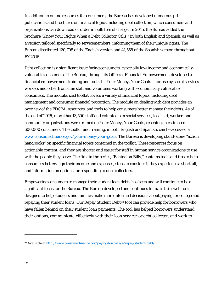In addition to online resources for consumers, the Bureau has developed numerous print publications and brochures on financial topics including debt collection, which consumers and organizations can download or order in bulk free of charge. In 2015, the Bureau added the brochure "Know Your Rights When a Debt Collector Calls," in both English and Spanish, as well as a version tailored specifically to servicemembers, informing them of their unique rights. The Bureau distributed 120,705 of the English version and 41,558 of the Spanish version throughout FY 2016.

Debt collection is a significant issue facing consumers, especially low-income and economicallyvulnerable consumers. The Bureau, through its Office of Financial Empowerment, developed a financial empowerment training and toolkit – *Your Money, Your Goals* – for use by social services workers and other front-line staff and volunteers working with economically vulnerable consumers. The modularized toolkit covers a variety of financial topics, including debt management and consumer financial protection. The module on dealing with debt provides an overview of the FDCPA, resources, and tools to help consumers better manage their debts. As of the end of 2016, more than13,500 staff and volunteers in social services, legal aid, worker, and community organizations were trained on *Your Money, Your Goals*, reaching an estimated 600,000 consumers. The toolkit and training, in both English and Spanish, can be accessed at [www.consumerfinance.gov/your-money-your-goals.](http://www.consumerfinance.gov/your-money-your-goals) The Bureau is developing stand-alone "action handbooks" on specific financial topics contained in the toolkit. These resources focus on actionable content, and they are shorter and easier for staff in human service organizations to use with the people they serve. The first in the series, "Behind on Bills," contains tools and tips to help consumers better align their income and expenses, steps to consider if they experience a shortfall, and information on options for responding to debt collectors.

Empowering consumers to manage their student loan debts has been and will continue to be a significant focus for the Bureau. The Bureau developed and continues to maintain web tools designed to help students and families make more informed decisions about paying for college and repaying their student loans. Our Repay Student Debt<sup>[98](#page-51-0)</sup> tool can provide help for borrowers who have fallen behind on their student loan payments. The tool has helped borrowers understand their options, communicate effectively with their loan servicer or debt collector, and work to

<span id="page-51-0"></span><sup>98</sup>*Available at* [http://www.consumerfinance.gov/paying-for-college/repay-student-debt/.](http://www.consumerfinance.gov/paying-for-college/repay-student-debt/)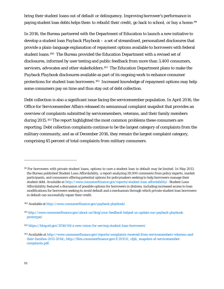bring their student loans out of default or delinquency. Improving borrower's performance in paying student loan debts helps them to rebuild their credit, go back to school, or buy a home.<sup>[99](#page-52-0)</sup>

In 2016, the Bureau partnered with the Department of Education to launch a new initiative to develop a student loan *Payback Playbook* – a set of streamlined, personalized disclosures that provide a plain-language explanation of repayment options available to borrowers with federal student loans.[100](#page-52-1) The Bureau provided the Education Department with a revised set of disclosures, informed by user testing and public feedback from more than 3,400 consumers, servicers, advocates and other stakeholders.<sup>[101](#page-52-2)</sup> The Education Department plans to make the *Payback Playbook* disclosures available as part of its ongoing work to enhance consumer protections for student loan borrowers.[102](#page-52-3) Increased knowledge of repayment options may help some consumers pay on time and thus stay out of debt collection.

Debt collection is also a significant issue facing the servicemember population. In April 2016, the Office for Servicemember Affairs released its semiannual complaint snapshot that provides an overview of complaints submitted by servicemembers, veterans, and their family members during 2015.[103](#page-52-4) The report highlighted the most common problems these consumers are reporting. Debt collection complaints continue to be the largest category of complaints from the military community, and as of December 2016, they remain the largest complaint category, comprising 45 percent of total complaints from military consumers.

<span id="page-52-0"></span><sup>99</sup> For borrowers with private student loans, options to cure a student loan in default may be limited. In May 2013, the Bureau published *Student Loan Affordability*, a report analyzing 28,000 comments from policy experts, market participants, and consumers offering potential options for policymakers seeking to help borrowers manage their student debt. *Available at* [http://www.consumerfinance.gov/reports/student-loan-affordability/.](http://www.consumerfinance.gov/reports/student-loan-affordability/) *Student Loan Affordability* featured a discussion of possible options for borrowers in distress, including increased access to loan modifications for borrowers seeking to avoid default and a mechanism through which private student loan borrowers in default can successfully repair their credit.

<span id="page-52-1"></span><sup>100</sup> Available at<http://www.consumerfinance.gov/payback-playbook/>

<span id="page-52-2"></span><sup>101</sup> [http://www.consumerfinance.gov/about-us/blog/your-feedback-helped-us-update-our-payback-playbook](http://www.consumerfinance.gov/about-us/blog/your-feedback-helped-us-update-our-payback-playbook-prototype/)[prototype/](http://www.consumerfinance.gov/about-us/blog/your-feedback-helped-us-update-our-payback-playbook-prototype/)

<span id="page-52-3"></span><sup>102</sup> <https://blog.ed.gov/2016/04/a-new-vision-for-serving-student-loan-borrowers/>

<span id="page-52-4"></span><sup>103</sup> *Available at* [http://www.consumerfinance.gov/reports/complaints-received-from-servicemembers-veterans-and](http://www.consumerfinance.gov/reports/complaints-received-from-servicemembers-veterans-and-their-families-2011-2014/)[their-families-2011-2014/;](http://www.consumerfinance.gov/reports/complaints-received-from-servicemembers-veterans-and-their-families-2011-2014/) [http://files.consumerfinance.gov/f/201511\\_cfpb\\_snapshot-of-servicemember](http://files.consumerfinance.gov/f/201511_cfpb_snapshot-of-servicemember-complaints.pdf)[complaints.pdf.](http://files.consumerfinance.gov/f/201511_cfpb_snapshot-of-servicemember-complaints.pdf)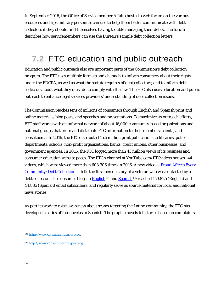In September 2016, the Office of Servicemember Affairs hosted a web forum on the various resources and tips military personnel can use to help them better communicate with debt collectors if they should find themselves having trouble managing their debts. The forum describes how servicemembers can use the Bureau's sample debt collection letters.

# **7.2** FTC education and public outreach

Education and public outreach also are important parts of the Commission's debt collection program. The FTC uses multiple formats and channels to inform consumers about their rights under the FDCPA, as well as what the statute requires of debt collectors; and to inform debt collectors about what they must do to comply with the law. The FTC also uses education and public outreach to enhance legal services providers' understanding of debt collection issues.

The Commission reaches tens of millions of consumers through English and Spanish print and online materials, blog posts, and speeches and presentations. To maximize its outreach efforts, FTC staff works with an informal network of about 16,000 community-based organizations and national groups that order and distribute FTC information to their members, clients, and constituents. In 2016, the FTC distributed 15.5 million print publications to libraries, police departments, schools, non-profit organizations, banks, credit unions, other businesses, and government agencies. In 2016, the FTC logged more than 43 million views of its business and consumer education website pages. The FTC's channel at YouTube.com/FTCvideos houses 144 videos, which were viewed more than 603,306 times in 2016. A new video  $-$  Fraud Affects Every [Community: Debt Collection](https://www.consumer.ftc.gov/media/video-0115-fraud-affects-every-community-debt-collection) – tells the first-person story of a veteran who was contacted by a debt collector. The consumer blogs in [English](http://www.consumer.ftc.gov/blog)<sup>[104](#page-53-0)</sup> and [Spanish](http://www.consumidor.ftc.gov/blog)<sup>[105](#page-53-1)</sup> reached 159,825 (English) and 44,835 (Spanish) email subscribers, and regularly serve as source material for local and national news stories.

As part its work to raise awareness about scams targeting the Latino community, the FTC has developed a series of fotonovelas in Spanish. The graphic novels tell stories based on complaints

<span id="page-53-0"></span><sup>104</sup> [http://www.consumer.ftc.gov/blog.](http://www.consumer.ftc.gov/blog)

<span id="page-53-1"></span><sup>105</sup> [http://www.consumidor.ftc.gov/blog.](http://www.consumidor.ftc.gov/blog)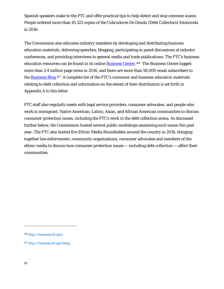Spanish speakers make to the FTC and offer practical tips to help detect and stop common scams. People ordered more than 45,125 copies of the *Cobradores De Deuda* (Debt Collectors) fotonovela in 2016.

The Commission also educates industry members by developing and distributing business education materials, delivering speeches, blogging, participating in panel discussions at industry conferences, and providing interviews to general media and trade publications. The FTC's business education resources can be found in its online **Business Center**.<sup>106</sup> The Business Center logged more than 3.4 million page views in 2016, and there are more than 58,000 email subscribers to the **Business Blog.**<sup>107</sup> A complete list of the FTC's consumer and business education materials relating to debt collection and information on the extent of their distribution is set forth in Appendix A to this letter.

FTC staff also regularly meets with legal service providers, consumer advocates, and people who work in immigrant, Native American, Latino, Asian, and African American communities to discuss consumer protection issues, including the FTC's work in the debt collection arena. As discussed further below, the Commission hosted several public workshops examining such issues this past year. The FTC also hosted five Ethnic Media Roundtables around the country in 2016, bringing together law enforcement, community organizations, consumer advocates and members of the ethnic media to discuss how consumer protection issues — including debt collection — affect their communities.

<span id="page-54-0"></span><sup>106</sup> [http://business.ftc.gov/.](http://business.ftc.gov/)

<span id="page-54-1"></span><sup>107</sup> [http://business.ftc.gov/blog.](http://business.ftc.gov/blog)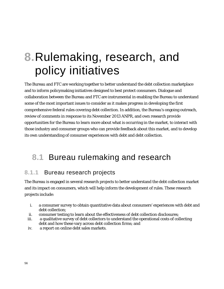# **8.**Rulemaking, research, and policy initiatives

The Bureau and FTC are working together to better understand the debt collection marketplace and to inform policymaking initiatives designed to best protect consumers. Dialogue and collaboration between the Bureau and FTC are instrumental in enabling the Bureau to understand some of the most important issues to consider as it makes progress in developing the first comprehensive federal rules covering debt collection. In addition, the Bureau's ongoing outreach, review of comments in response to its November 2013 ANPR, and own research provide opportunities for the Bureau to learn more about what is occurring in the market, to interact with those industry and consumer groups who can provide feedback about this market, and to develop its own understanding of consumer experiences with debt and debt collection.

# **8.1** Bureau rulemaking and research

## **8.1.1** Bureau research projects

The Bureau is engaged in several research projects to better understand the debt collection market and its impact on consumers, which will help inform the development of rules. These research projects include:

- i. a consumer survey to obtain quantitative data about consumers' experiences with debt and debt collection;
- ii. consumer testing to learn about the effectiveness of debt collection disclosures;
- iii. a qualitative survey of debt collectors to understand the operational costs of collecting debt and how these vary across debt collection firms; and
- iv. a report on online debt sales markets.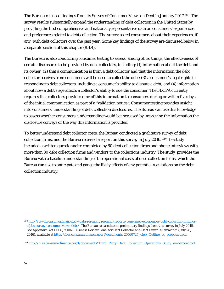The Bureau released findings from its Survey of Consumer Views on Debt in January 2017.[108](#page-56-0) The survey results substantially expand the understanding of debt collection in the United States by providing the first comprehensive and nationally representative data on consumers' experiences and preferences related to debt collection. The survey asked consumers about their experiences, if any, with debt collectors over the past year. Some key findings of the survey are discussed below in a separate section of this chapter (8.1.4).

The Bureau is also conducting consumer testing to assess, among other things, the effectiveness of certain disclosures to be provided by debt collectors, including: (1) information about the debt and its owner; (2) that a communication is from a debt collector and that the information the debt collector receives from consumers will be used to collect the debt; (3) a consumer's legal rights in responding to debt collectors, including a consumer's ability to dispute a debt; and (4) information about how a debt's age affects a collector's ability to sue the consumer. The FDCPA currently requires that collectors provide some of this information to consumers during or within five days of the initial communication as part of a "validation notice". Consumer testing provides insight into consumers' understanding of debt collection disclosures. The Bureau can use this knowledge to assess whether consumers' understanding would be increased by improving the information the disclosure conveys or the way this information is provided.

To better understand debt collector costs, the Bureau conducted a qualitative survey of debt collection firms, and the Bureau released a report on this survey in July 2016.[109](#page-56-1) The study included a written questionnaire completed by 60 debt collection firms and phone interviews with more than 30 debt collection firms and vendors to the collections industry. The study provides the Bureau with a baseline understanding of the operational costs of debt collection firms, which the Bureau can use to anticipate and gauge the likely effects of any potential regulations on the debt collection industry.

<span id="page-56-0"></span><sup>108</sup> [http://www.consumerfinance.gov/data-research/research-reports/consumer-experiences-debt-collection-findings](http://www.consumerfinance.gov/data-research/research-reports/consumer-experiences-debt-collection-findings-cfpbs-survey-consumer-views-debt/)[cfpbs-survey-consumer-views-debt/](http://www.consumerfinance.gov/data-research/research-reports/consumer-experiences-debt-collection-findings-cfpbs-survey-consumer-views-debt/) The Bureau released some preliminary findings from this survey in July 2016. See Appendix B of CFPB, "Small Business Review Panel for Debt Collector and Debt Buyer Rulemaking" (July 28, 2016), available at [http://files.consumerfinance.gov/f/documents/20160727\\_cfpb\\_Outline\\_of\\_proposals.pdf.](http://files.consumerfinance.gov/f/documents/20160727_cfpb_Outline_of_proposals.pdf.)

<span id="page-56-1"></span><sup>109</sup> [http://files.consumerfinance.gov/f/documents/Third\\_Party\\_Debt\\_Collection\\_Operations\\_Study\\_embargoed.pdf.](http://files.consumerfinance.gov/f/documents/Third_Party_Debt_Collection_Operations_Study_embargoed.pdf)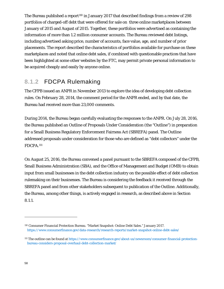The Bureau published a report<sup>[110](#page-57-0)</sup> in January 2017 that described findings from a review of 298 portfolios of charged-off debt that were offered for sale on three online marketplaces between January of 2015 and August of 2015. Together, these portfolios were advertised as containing the information of more than 1.2 million consumer accounts. The Bureau reviewed debt listings, including advertised asking price, number of accounts, face value, age, and number of prior placements. The report described the characteristics of portfolios available for purchase on these marketplaces and noted that online debt sales, if combined with questionable practices that have been highlighted at some other websites by the FTC, may permit private personal information to be acquired cheaply and easily by anyone online.

## **8.1.2** FDCPA Rulemaking

The CFPB issued an ANPR in November 2013 to explore the idea of developing debt collection rules. On February 28, 2014, the comment period for the ANPR ended, and by that date, the Bureau had received more than 23,000 comments.

During 2014, the Bureau began carefully evaluating the responses to the ANPR. On July 28, 2016, the Bureau published an Outline of Proposals Under Consideration (the "Outline") in preparation for a Small Business Regulatory Enforcement Fairness Act (SBREFA) panel. The Outline addressed proposals under consideration for those who are defined as "debt collectors" under the FDCPA.[111](#page-57-1) 

On August 25, 2016, the Bureau convened a panel pursuant to the SBREFA composed of the CFPB, Small Business Administration (SBA), and the Office of Management and Budget (OMB) to obtain input from small businesses in the debt collection industry on the possible effect of debt collection rulemaking on their businesses. The Bureau is considering the feedback it received through the SBREFA panel and from other stakeholders subsequent to publication of the Outline. Additionally, the Bureau, among other things, is actively engaged in research, as described above in Section 8.1.1.

<span id="page-57-0"></span><sup>110</sup> Consumer Financial Protection Bureau. "Market Snapshot: Online Debt Sales." January 2017. <https://www.consumerfinance.gov/data-research/research-reports/market-snapshot-online-debt-sales/>

<span id="page-57-1"></span><sup>111</sup> The outline can be found a[t https://www.consumerfinance.gov/about-us/newsroom/consumer-financial-protection](https://www.consumerfinance.gov/about-us/newsroom/consumer-financial-protection-bureau-considers-proposal-overhaul-debt-collection-market/)[bureau-considers-proposal-overhaul-debt-collection-market/](https://www.consumerfinance.gov/about-us/newsroom/consumer-financial-protection-bureau-considers-proposal-overhaul-debt-collection-market/)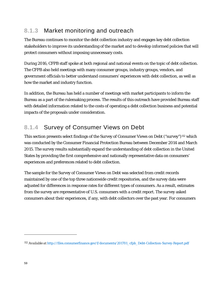# **8.1.3** Market monitoring and outreach

The Bureau continues to monitor the debt collection industry and engages key debt collection stakeholders to improve its understanding of the market and to develop informed policies that will protect consumers without imposing unnecessary costs.

During 2016, CFPB staff spoke at both regional and national events on the topic of debt collection. The CFPB also held meetings with many consumer groups, industry groups, vendors, and government officials to better understand consumers' experiences with debt collection, as well as how the market and industry function.

In addition, the Bureau has held a number of meetings with market participants to inform the Bureau as a part of the rulemaking process. The results of this outreach have provided Bureau staff with detailed information related to the costs of operating a debt collection business and potential impacts of the proposals under consideration.

## **8.1.4** Survey of Consumer Views on Debt

This section presents select findings of the Survey of Consumer Views on Debt ("survey")<sup>[112](#page-58-0)</sup> which was conducted by the Consumer Financial Protection Bureau between December 2014 and March 2015. The survey results substantially expand the understanding of debt collection in the United States by providing the first comprehensive and nationally representative data on consumers' experiences and preferences related to debt collection.

The sample for the Survey of Consumer Views on Debt was selected from credit records maintained by one of the top three nationwide credit repositories, and the survey data were adjusted for differences in response rates for different types of consumers. As a result, estimates from the survey are representative of U.S. consumers with a credit report. The survey asked consumers about their experiences, if any, with debt collectors over the past year. For consumers

<span id="page-58-0"></span><sup>112</sup> *Available at* [http://files.consumerfinance.gov/f/documents/201701\\_cfpb\\_Debt-Collection-Survey-Report.pdf](http://files.consumerfinance.gov/f/documents/201701_cfpb_Debt-Collection-Survey-Report.pdf)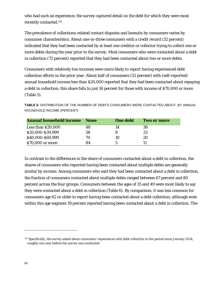who had such an experience, the survey captured detail on the debt for which they were most recently contacted.[113](#page-59-0)

The prevalence of collections-related contact disputes and lawsuits by consumers varies by consumer characteristics. About one-in-three consumers with a credit record (32 percent) indicated that they had been contacted by at least one creditor or collector trying to collect one or more debts during the year prior to the survey. Most consumers who were contacted about a debt in collection (72 percent) reported that they had been contacted about two or more debts.

Consumers with relatively low incomes were more likely to report having experienced debt collection efforts in the prior year. About half of consumers (52 percent) with (self-reported) annual household income less than \$20,000 reported that they had been contacted about repaying a debt in collection; this share falls to just 16 percent for those with income of \$70,000 or more (Table 5).

**Annual household income None One debt Two or more**  Less than \$20,000 48 14 38 \$20,000-\$39,999 58 8 33 \$40,000-\$69,999 70 10 20 \$70,000 or more 84 5 11

**TABLE 5:** DISTRIBUTION OF THE NUMBER OF DEBTS CONSUMERS WERE CONTACTED ABOUT, BY ANNUAL HOUSEHOLD INCOME (PERCENT)

In contrast to the differences in the share of consumers contacted about a debt in collection, the shares of consumers who reported having been contacted about multiple debts are generally similar by income. Among consumers who said they had been contacted about a debt in collection, the fraction of consumers contacted about multiple debts ranged between 67 percent and 80 percent across the four groups. Consumers between the ages of 35 and 49 were most likely to say they were contacted about a debt in collection (Table 6). By comparison, it was less common for consumers age 62 or older to report having been contacted about a debt collection; although even within this age segment 19 percent reported having been contacted about a debt in collection. The

<span id="page-59-0"></span><sup>&</sup>lt;sup>113</sup> Specifically, the survey asked about consumers' experiences with debt collection in the period since January 2014, roughly one year before the survey was conducted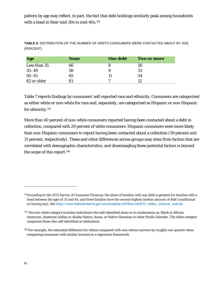pattern by age may reflect, in part, the fact that debt holdings similarly peak among households with a head in their mid-30s to mid-40s.[114](#page-60-0)

| Age          | <b>None</b> | <b>One debt</b> | <b>Two or more</b> |
|--------------|-------------|-----------------|--------------------|
| Less than 35 | 66          |                 | 26                 |
| $35 - 49$    | 58          |                 | 33                 |
| $50 - 61$    | 65          |                 | 24                 |
| 62 or older  | 81          |                 |                    |

**TABLE 6:** DISTRIBUTION OF THE NUMBER OF DEBTS CONSUMERS WERE CONTACTED ABOUT BY AGE (PERCENT)

Table 7 reports findings by consumers' self-reported race and ethnicity. Consumers are categorized as either white or non-white for race and, separately, are categorized as Hispanic or non-Hispanic for ethnicity.<sup>[115](#page-60-1)</sup>

More than 40 percent of non-white consumers reported having been contacted about a debt in collection, compared with 29 percent of white consumers. Hispanic consumers were more likely than non-Hispanic consumers to report having been contacted about a collection (39 percent and 31 percent, respectively). These and other differences across groups may stem from factors that are correlated with demographic characteristics, and disentangling these potential factors is beyond the scope of this report.<sup>[116](#page-60-2)</sup>

<span id="page-60-0"></span><sup>114</sup>According to the 2013 Survey of Consumer Finances, the share of families with any debt is greatest for families with a head between the ages of 35 and 44, and these families have the second-highest median amount of debt (conditional on having any). Se[e http://www.federalreserve.gov/econresdata/scf/files/scf2013\\_tables\\_internal\\_real.xls.](http://www.federalreserve.gov/econresdata/scf/files/scf2013_tables_internal_real.xls)

<span id="page-60-1"></span><sup>115</sup> The non-white category includes individuals who self-identified alone or in combination as: Black or African American; American Indian or Alaska Native; Asian; or Native Hawaiian or other Pacific Islander. The white category comprises those who self-identified as whitealone.

<span id="page-60-2"></span><sup>116</sup> For example, the estimated difference for whites compared with non-whites narrows by roughly one-quarter when comparing consumers with similar incomes in a regression framework.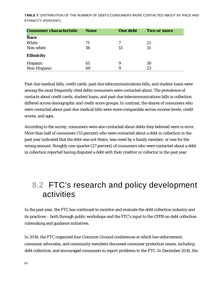**TABLE 7:** DISTRIBUTION OF THE NUMBER OF DEBTS CONSUMERS WERE CONTACTED ABOUT BY RACE AND ETHNICITY (PERCENT)

| <b>Consumer characteristic</b> | <b>None</b> | <b>One debt</b> | <b>Two or more</b> |
|--------------------------------|-------------|-----------------|--------------------|
| Race                           |             |                 |                    |
| White                          | 71          |                 | 21                 |
| Non-white                      | 56          | 13              | 31                 |
| <b>Ethnicity</b>               |             |                 |                    |
| Hispanic                       | 61          | 9               | 30                 |
| Non-Hispanic                   | 69          | 9               | 23                 |

Past-due medical bills, credit cards, past-due telecommunications bills, and student loans were among the most frequently cited debts consumers were contacted about. The prevalence of contacts about credit cards, student loans, and past-due telecommunications bills in collection differed across demographic and credit-score groups. In contrast, the shares of consumers who were contacted about past-due medical bills were more comparable across income levels, credit scores, and ages.

According to the survey, consumers were also contacted about debts they believed were in error. More than half of consumers (53 percent) who were contacted about a debt in collection in the past year indicated that the debt was not theirs, was owed by a family member, or was for the wrong amount. Roughly one-quarter (27 percent) of consumers who were contacted about a debt in collection reported having disputed a debt with their creditor or collector in the past year.

# **8.2** FTC's research and policy development activities

In the past year, the FTC has continued to monitor and evaluate the debt collection industry and its practices – both through public workshops and the FTC's input to the CFPB on debt collection rulemaking and guidance initiatives.

In 2016, the FTC organized four Common Ground conferences at which law enforcement, consumer advocates, and community members discussed consumer protection issues, including debt collection, and encouraged consumers to report problems to the FTC. In December 2016, the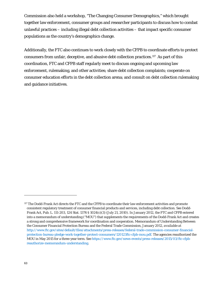Commission also held a workshop, "The Changing Consumer Demographics," which brought together law enforcement, consumer groups and researcher participants to discuss how to combat unlawful practices – including illegal debt collection activities – that impact specific consumer populations as the country's demographics change.

Additionally, the FTC also continues to work closely with the CFPB to coordinate efforts to protect consumers from unfair, deceptive, and abusive debt collection practices.[117](#page-62-0) As part of this coordination, FTC and CFPB staff regularly meet to discuss ongoing and upcoming law enforcement, rulemaking, and other activities; share debt collection complaints; cooperate on consumer education efforts in the debt collection arena; and consult on debt collection rulemaking and guidance initiatives.

<span id="page-62-0"></span><sup>117</sup> The Dodd-Frank Act directs the FTC and the CFPB to coordinate their law enforcement activities and promote consistent regulatory treatment of consumer financial products and services, including debt collection. *See* Dodd-Frank Act, Pub. L. 111-203, 124 Stat. 1376 § 1024(c)(3) (July 21, 2010). In January 2012, the FTC and CFPB entered into a memorandum of understanding ("MOU") that supplements the requirements of the Dodd-Frank Act and creates a strong and comprehensive framework for coordination and cooperation. Memorandum of Understanding Between the Consumer Financial Protection Bureau and the Federal Trade Commission, January 2012, *available at*  [http://www.ftc.gov/sites/default/files/attachments/press-releases/federal-trade-commission-consumer-financial](http://www.ftc.gov/sites/default/files/attachments/press-releases/federal-trade-commission-consumer-financial-protection-bureau-pledge-work-together-protect-consumers/120123ftc-cfpb-mou.pdf)[protection-bureau-pledge-work-together-protect-consumers/120123ftc-cfpb-mou.pdf.](http://www.ftc.gov/sites/default/files/attachments/press-releases/federal-trade-commission-consumer-financial-protection-bureau-pledge-work-together-protect-consumers/120123ftc-cfpb-mou.pdf) The agencies reauthorized the MOU in May 2015 for a three-year term. *See* [https://www.ftc.gov/news-events/press-releases/2015/03/ftc-cfpb](https://www.ftc.gov/news-events/press-releases/2015/03/ftc-cfpb-reauthorize-memorandum-understanding)[reauthorize-memorandum-understanding.](https://www.ftc.gov/news-events/press-releases/2015/03/ftc-cfpb-reauthorize-memorandum-understanding)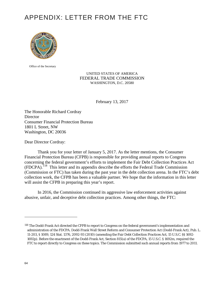# APPENDIX: LETTER FROM THE FTC



Office of the Secretary

UNITED STATES OF AMERICA FEDERAL TRADE COMMISSION WASHINGTON, D.C. 20580

February 13, 2017

The Honorable Richard Cordray **Director** Consumer Financial Protection Bureau 1801 L Street, NW Washington, DC 20036

Dear Director Cordray:

Thank you for your letter of January 5, 2017. As the letter mentions, the Consumer Financial Protection Bureau (CFPB) is responsible for providing annual reports to Congress concerning the federal government's efforts to implement the Fair Debt Collection Practices Act (FDCPA).[118](#page-63-0) This letter and its appendix describe the efforts the Federal Trade Commission (Commission or FTC) has taken during the past year in the debt collection arena. In the FTC's debt collection work, the CFPB has been a valuable partner. We hope that the information in this letter will assist the CFPB in preparing this year's report.

In 2016, the Commission continued its aggressive law enforcement activities against abusive, unfair, and deceptive debt collection practices. Among other things, the FTC:

<span id="page-63-0"></span><sup>&</sup>lt;sup>118</sup> The Dodd-Frank Act directed the CFPB to report to Congress on the federal government's implementation and administration of the FDCPA. Dodd-Frank Wall Street Reform and Consumer Protection Act (Dodd-Frank Act), Pub. L. 11-203, § 1089, 124 Stat. 1376, 2092-93 (2010) (amending the Fair Debt Collection Practices Act, 15 U.S.C. §§ 1692- 1692p). Before the enactment of the Dodd-Frank Act, Section 815(a) of the FDCPA, 15 U.S.C. § 1692m, required the FTC to report directly to Congress on these topics. The Commission submitted such annual reports from 1977 to 2011.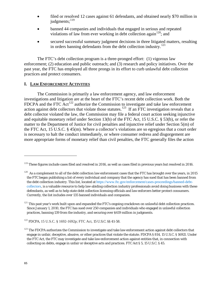- filed or resolved 12 cases against 61 defendants, and obtained nearly \$70 million in judgments; $^{119}$  $^{119}$  $^{119}$
- banned 44 companies and individuals that engaged in serious and repeated violations of law from ever working in debt collection again  $120$ ; and
- secured successful summary judgment decisions in three litigated matters, resulting in orders banning defendants from the debt collection industry.<sup>[121](#page-64-2)</sup>

The FTC's debt collection program is a three-pronged effort: (1) vigorous law enforcement; (2) education and public outreach; and (3) research and policy initiatives. Over the past year, the FTC has employed all three prongs in its effort to curb unlawful debt collection practices and protect consumers.

## **I. LAW ENFORCEMENT ACTIVITIES**

The Commission is primarily a law enforcement agency, and law enforcement investigations and litigation are at the heart of the FTC's recent debt collection work. Both the FDCPA and the FTC Act<sup>[122](#page-64-3)</sup> authorize the Commission to investigate and take law enforcement action against debt collectors that violate those statutes.<sup>[123](#page-64-4)</sup> If an FTC investigation reveals that a debt collector violated the law, the Commission may file a federal court action seeking injunctive and equitable monetary relief under Section 13(b) of the FTC Act, 15 U.S.C. § 53(b), or refer the matter to the Department of Justice for civil penalties and injunctive relief under Section 5(m) of the FTC Act, 15 U.S.C. § 45(m). Where a collector's violations are so egregious that a court order is necessary to halt the conduct immediately, or where consumer redress and disgorgement are more appropriate forms of monetary relief than civil penalties, the FTC generally files the action

<span id="page-64-0"></span> $119$  These figures include cases filed and resolved in 2016, as well as cases filed in previous years but resolved in 2016.

<span id="page-64-1"></span> $120$  As a complement to all of the debt collection law enforcement cases that the FTC has brought over the years, in 2015 the FTC began publishing a list of every individual and company that the agency has sued that has been banned from the debt collection industry. This list, located at [https://www.ftc.gov/enforcement/cases-proceedings/banned-debt](https://www.ftc.gov/enforcement/cases-proceedings/banned-debt-collectors)[collectors](https://www.ftc.gov/enforcement/cases-proceedings/banned-debt-collectors), is a valuable resource to help law-abiding collection industry professionals avoid doing business with these defendants, as well as to help state debt collection licensing officials and law enforcers better protect consumers. Currently, the list includes over 135 banned individuals and companies.

<span id="page-64-2"></span> $121$  This past year's work built upon and expanded the FTC's ongoing crackdown on unlawful debt collection practices. Since January 1, 2010, the FTC has sued over 250 companies and individuals who engaged in unlawful collection practices, banning 139 from the industry, and securing over \$419 million in judgments.

<span id="page-64-3"></span><sup>122</sup> FDCPA, 15 U.S.C. § 1692-1692p; FTC Act, 15 U.S.C. §§ 41-58.

<span id="page-64-4"></span> $123$  The FDCPA authorizes the Commission to investigate and take law enforcement action against debt collectors that engage in unfair, deceptive, abusive, or other practices that violate the statute. FDCPA § 814, 15 U.S.C. § 1692*l*. Under the FTC Act, the FTC may investigate and take law enforcement action against entities that, in connection with collecting on debts, engage in unfair or deceptive acts and practices. FTC Act § 5, 15 U.S.C. § 45.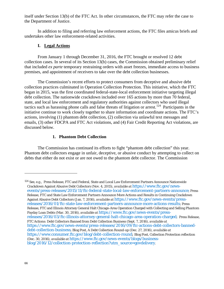itself under Section 13(b) of the FTC Act. In other circumstances, the FTC may refer the case to the Department of Justice.

In addition to filing and referring law enforcement actions, the FTC files amicus briefs and undertakes other law enforcement-related activities.

### **I. Legal Actions**

From January 1 through December 31, 2016, the FTC brought or resolved 12 debt collection cases. In several of its Section 13(b) cases, the Commission obtained preliminary relief that included *ex parte* temporary restraining orders with asset freezes, immediate access to business premises, and appointment of receivers to take over the debt collection businesses.

The Commission's recent efforts to protect consumers from deceptive and abusive debt collection practices culminated in Operation Collection Protection. This initiative, which the FTC began in 2015, was the first coordinated federal-state-local enforcement initiative targeting illegal debt collection. The nationwide crackdown included over 165 actions by more than 70 federal, state, and local law enforcement and regulatory authorities against collectors who used illegal tactics such as harassing phone calls and false threats of litigation or arrest.[124](#page-65-0) Participants in the initiative continue to work closely together to share information and coordinate actions. The FTC's actions, involving (1) phantom debt collection, (2) collection via unlawful text messages and emails, (3) other FDCPA and FTC Act violations, and (4) Fair Credit Reporting Act violations, are discussed below.

## **1. Phantom Debt Collection**

The Commission has continued its efforts to fight "phantom debt collection" this year. Phantom debt collectors engage in unfair, deceptive, or abusive conduct by attempting to collect on debts that either do not exist or are not owed to the phantom debt collector. The Commission

<span id="page-65-0"></span><sup>124</sup> *See, e.g.,* Press Release, FTC and Federal, State and Local Law Enforcement Partners Announce Nationwide Crackdown Against Abusive Debt Collectors (Nov. 4, 2015), *available at* [https://www.ftc.gov/news](https://www.ftc.gov/news-events/press-releases/2015/11/ftc-federal-state-local-law-enforcement-partners-announce)[events/press-releases/2015/11/ftc-federal-state-local-law-enforcement-partners-announce;](https://www.ftc.gov/news-events/press-releases/2015/11/ftc-federal-state-local-law-enforcement-partners-announce) Press Release, FTC and State Law Enforcement Partners Announce More Actions and Results in Continuing Crackdown Against Abusive Debt Collectors (Jan. 7, 2016), *available at* [https://www.ftc.gov/news-events/press](https://www.ftc.gov/news-events/press-releases/2016/01/ftc-state-law-enforcement-partners-announce-more-actions-results)[releases/2016/01/ftc-state-law-enforcement-partners-announce-more-actions-results;](https://www.ftc.gov/news-events/press-releases/2016/01/ftc-state-law-enforcement-partners-announce-more-actions-results) Press Release, FTC and Illinois Attorney General Halt Chicago-Area Operation Charged with Collecting and Selling Phantom Payday Loan Debts (Mar. 30, 2016), *available at* [https://www.ftc.gov/news-events/press](https://www.ftc.gov/news-events/press-releases/2016/03/ftc-illinois-attorney-general-halt-chicago-area-operation-charged)[releases/2016/03/ftc-illinois-attorney-general-halt-chicago-area-operation-charged;](https://www.ftc.gov/news-events/press-releases/2016/03/ftc-illinois-attorney-general-halt-chicago-area-operation-charged) Press Release, FTC Actions: Debt Collectors Banned from Debt Collection Business (Sept. 7, 2016), *available at* [https://www.ftc.gov/news-events/press-releases/2016/09/ftc-actions-debt-collectors-banned](https://www.ftc.gov/news-events/press-releases/2016/09/ftc-actions-debt-collectors-banned-debt-collection-business)[debt-collection-business;](https://www.ftc.gov/news-events/press-releases/2016/09/ftc-actions-debt-collectors-banned-debt-collection-business) Blog Post, A Debt Collection Round-up (Dec. 27, 2016), *available at* [https://www.consumer.ftc.gov/blog/debt-collection-round;](https://www.consumer.ftc.gov/blog/debt-collection-round) Blog Post, Collection Protection reflection (Dec. 30, 2016), *available at* [https://www.ftc.gov/news-events/blogs/business](https://www.ftc.gov/news-events/blogs/business-blog/2016/12/collection-protection-reflection?utm_source=govdelivery)[blog/2016/12/collection-protection-reflection?utm\\_source=govdelivery.](https://www.ftc.gov/news-events/blogs/business-blog/2016/12/collection-protection-reflection?utm_source=govdelivery)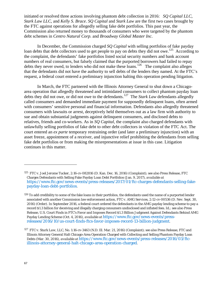initiated or resolved three actions involving phantom debt collection in 2016:*SQ Capital LLC*, *Stark Law LLC*, and *Kelly S. Brace*. *SQ Capital* and *Stark Law* are the first two cases brought by the FTC against operations for allegedly selling fake debt portfolios. This past year, the Commission also returned money to thousands of consumers who were targeted by the phantom debt schemes in *Centro Natural Corp.* and *Broadway Global Master Inc*.

In December, the Commission charged *SQ Capital* with selling portfolios of fake payday loan debts that debt collectors used to get people to pay on debts they did not owe.<sup>[125](#page-66-0)</sup> According to the complaint, the defendants' fake portfolios listed social security numbers and bank account numbers of real consumers, but falsely claimed that the purported borrowers had failed to repay debts they never owed, to lenders who did not make these loans.<sup>[126](#page-66-1)</sup> The complaint also alleges that the defendants did not have the authority to sell debts of the lenders they named. At the FTC's request, a federal court entered a preliminary injunction halting this operation pending litigation.

In March, the FTC partnered with the Illinois Attorney General to shut down a Chicagoarea operation that allegedly threatened and intimidated consumers to collect phantom payday loan debts they did not owe, or did not owe to the defendants.[127](#page-66-2) The *Stark Law* defendants allegedly called consumers and demanded immediate payment for supposedly delinquent loans, often armed with consumers' sensitive personal and financial information. Defendants also allegedly threatened consumers with lawsuits or arrest, deceptively held themselves out as a law firm with authority to sue and obtain substantial judgments against delinquent consumers, and disclosed debts to relatives, friends and co-workers. As in *SQ Capital,* the complaint also charged defendants with unlawfully selling portfolios of fake debt to other debt collectors in violation of the FTC Act. The court entered an *ex parte* temporary restraining order (and later a preliminary injunction) with an asset freeze, appointment of a receiver, and injunctive relief prohibiting the defendants from selling fake debt portfolios or from making the misrepresentations at issue in this case. Litigation continues in this matter.

<span id="page-66-0"></span><sup>125</sup> *FTC v. Joel Jerome Tucker*, 2:16-cv-082816 (D. Kan. Dec. 16, 2016) (Complaint); *see also* Press Release, FTC Charges Defendants with Selling Fake Payday Loan Debt Portfolios (Jan. 9, 2017), *available at* [https://www.ftc.gov/news-events/press-releases/2017/01/ftc-charges-defendants-selling-fake](https://www.ftc.gov/news-events/press-releases/2017/01/ftc-charges-defendants-selling-fake-payday-loan-debt-portfolios)[payday-loan-debt-portfolios.](https://www.ftc.gov/news-events/press-releases/2017/01/ftc-charges-defendants-selling-fake-payday-loan-debt-portfolios)

<span id="page-66-1"></span> $126$  To add credibility to some of the fake loans in their portfolios, the defendants used the name of a purported lender associated with another Commission law enforcement action, *FTC v. AMG Services*, 2:12-cv-00536 (D. Nev. Sept. 30, 2016) (Order). In September 2016, a federal court ordered the defendants in the *AMG* payday lending scheme to pay a record \$1.3 billion for deceiving and illegally charging consumers undisclosed and inflated fees. *Id.; see also* Press Release, U.S. Court Finds in FTC's Favor and Imposes Record \$1.3 Billion Judgment Against Defendants Behind AMG Payday Lending Scheme (Oct. 4, 2016), *available at* [https://www.ftc.gov/news-events/press](https://www.ftc.gov/news-events/press-releases/2016/10/us-court-finds-ftcs-favor-imposes-record-13-billion-judgment)[releases/2016/10/us-court-finds-ftcs-favor-imposes-record-13-billion-judgment.](https://www.ftc.gov/news-events/press-releases/2016/10/us-court-finds-ftcs-favor-imposes-record-13-billion-judgment)

<span id="page-66-2"></span><sup>127</sup> *FTC v. Stark Law, LLC*, No. 1:16-cv-3463 (N.D. Ill. Mar. 21, 2016) (Complaint); *see also* Press Release, FTC and Illinois Attorney General Halt Chicago-Area Operation Charged with Collecting and Selling Phantom Payday Loan Debts (Mar. 30, 2016), *available at* [https://www.ftc.gov/news-events/press-releases/2016/03/ftc](https://www.ftc.gov/news-events/press-releases/2016/03/ftc-illinois-attorney-general-halt-chicago-area-operation-charged)[illinois-attorney-general-halt-chicago-area-operation-charged](https://www.ftc.gov/news-events/press-releases/2016/03/ftc-illinois-attorney-general-halt-chicago-area-operation-charged)*.*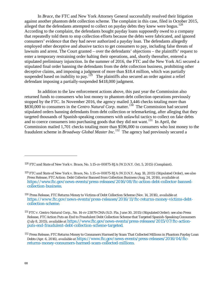In *Brace*, the FTC and New York Attorney General successfully resolved their litigation against another phantom debt collection scheme*.* The complaint in this case, filed in October 2015, alleged that the defendants attempted to collect on payday debts they knew were bogus.<sup>[128](#page-67-0)</sup> According to the complaint, the defendants bought payday loans supposedly owed to a company that repeatedly told them to stop collection efforts because the debts were fabricated, and ignored consumers' evidence that they had never authorized a payday loan. The defendants allegedly employed other deceptive and abusive tactics to get consumers to pay, including false threats of lawsuits and arrest. The Court granted – over the defendants' objections – the plaintiffs' request to enter a temporary restraining order halting their operations, and, shortly thereafter, entered a stipulated preliminary injunction. In the summer of 2016, the FTC and the New York AG secured a stipulated final order banning the defendants from the debt collection business, prohibiting other deceptive claims, and imposing a judgment of more than \$18.4 million, which was partially suspended based on inability to pay.<sup>129</sup> The plaintiffs also secured an order against a relief defendant imposing a partially-suspended \$418,000 judgment.

In addition to the law enforcement actions above, this past year the Commission also returned funds to consumers who lost money to phantom debt collection operations previously stopped by the FTC. In November 2016, the agency mailed 3,446 checks totaling more than \$830,000 to consumers in the *Centro Natural Corp*. matter.<sup>[130](#page-67-2)</sup> The Commission had secured stipulated orders banning defendants from debt collection or telemarketing, after alleging that they targeted thousands of Spanish-speaking consumers with unlawful tactics to collect on fake debts and to coerce consumers into purchasing goods that they did not want.<sup>[131](#page-67-3)</sup> In April, the Commission mailed 1,701 checks totaling more than \$596,000 to consumers who lost money to the fraudulent scheme in *Broadway Global Master Inc*. [132](#page-67-4) The agency had previously secured a

<span id="page-67-0"></span><sup>128</sup> *FTC and State of New York v. Brace*, No. 1:15-cv-00875-RJA (W.D.N.Y. Oct. 5, 2015) (Complaint).

<span id="page-67-1"></span><sup>129</sup> *FTC and State of New York v. Brace*, No. 1:15-cv-00875-RJA (W.D.N.Y. Aug. 18, 2015) (Stipulated Order), *see also*  Press Release, FTC Action: Debt Collector Banned from Collection Business (Aug, 24, 2016), *available at*  [https://www.ftc.gov/news-events/press-releases/2016/08/ftc-action-debt-collector-banned](https://www.ftc.gov/news-events/press-releases/2016/08/ftc-action-debt-collector-banned-collection-business)[collection-business.](https://www.ftc.gov/news-events/press-releases/2016/08/ftc-action-debt-collector-banned-collection-business)

<span id="page-67-2"></span><sup>130</sup> Press Release, FTC Returns Money to Victims of Debt Collection Scheme (Nov. 14, 2016), *available at [https://www.ftc.gov/news-events/press-releases/2016/11/ftc-returns-money-victims-debt](https://www.ftc.gov/news-events/press-releases/2016/11/ftc-returns-money-victims-debt-collection-scheme)[collection-scheme.](https://www.ftc.gov/news-events/press-releases/2016/11/ftc-returns-money-victims-debt-collection-scheme)*

<span id="page-67-3"></span><sup>131</sup> *FTC v. Centro Natural Corp.,* No. 14-cv-23879 CMA (S.D. Fla. June 30, 2015) (Stipulated Order); *see also* Press Release, FTC Action Puts an End to Fraudulent Debt Collection Scheme that Targeted Spanish-Speaking Consumers (July 8, 2015), *available at* [https://www.ftc.gov/news-events/press-releases/2015/07/ftc-action](https://www.ftc.gov/news-events/press-releases/2015/07/ftc-action-puts-end-fraudulent-debt-collection-scheme-targeted)[puts-end-fraudulent-debt-collection-scheme-targeted.](https://www.ftc.gov/news-events/press-releases/2015/07/ftc-action-puts-end-fraudulent-debt-collection-scheme-targeted)

<span id="page-67-4"></span><sup>&</sup>lt;sup>132</sup> Press Release, FTC Returns Money to Consumers Harmed by Scam That Collected Millions in Phantom Payday Loan Debts (Apr. 6, 2016), *available at* [https://www.ftc.gov/news-events/press-releases/2016/04/ftc](https://www.ftc.gov/news-events/press-releases/2016/04/ftc-returns-money-consumers-harmed-scam-collected-millions)[returns-money-consumers-harmed-scam-collected-millions.](https://www.ftc.gov/news-events/press-releases/2016/04/ftc-returns-money-consumers-harmed-scam-collected-millions)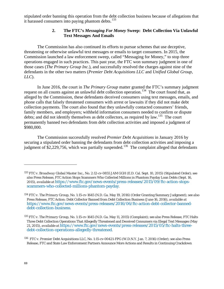stipulated order banning this operation from the debt collection business because of allegations that it harassed consumers into paying phantom debts. $133$ 

### **2. The FTC's** *Messaging For Money* **Sweep: Debt Collection Via Unlawful Text Messages And Emails**

The Commission has also continued its efforts to pursue schemes that use deceptive, threatening or otherwise unlawful text messages or emails to target consumers. In 2015, the Commission launched a law enforcement sweep, called "Messaging for Money," to stop three operations engaged in such practices. This past year, the FTC won summary judgment in one of those cases (*The Primary Group Inc.*), and successfully resolved the charges against nine of the defendants in the other two matters (*Premier Debt Acquisitions LLC* and *Unified Global Group, LLC*).

In June 2016, the court in *The Primary Group* matter granted the FTC's summary judgment request on all counts against an unlawful debt collection operation.<sup>134</sup> The court found that, as alleged by the Commission, these defendants deceived consumers using text messages, emails, and phone calls that falsely threatened consumers with arrest or lawsuits if they did not make debt collection payments. The court also found that they unlawfully contacted consumers' friends, family members, and employers; withheld information consumers needed to confirm or dispute debts; and did not identify themselves as debt collectors, as required by law.<sup>[135](#page-68-2)</sup> The court permanently banned two defendants from debt collection activities and imposed a judgment of \$980,000.

The Commission successfully resolved *Premier Debt Acquisitions* in January 2016 by securing a stipulated order banning the defendants from debt collection activities and imposing a judgment of \$2,229,756, which was partially suspended.<sup>136</sup> The complaint alleged that defendants

<span id="page-68-0"></span><sup>133</sup> *FTC v. Broadway Global Master Inc.*, No. 2:12-cv-0855 JAM GGH (E.D. Cal. Sept. 10, 2015) (Stipulated Order); *see also* Press Release, FTC Action Stops Scammers Who Collected Millions in Phantom Payday Loan Debts (Sept. 16, 2015), *available at* [https://www.ftc.gov/news-events/press-releases/2015/09/ftc-action-stops](https://www.ftc.gov/news-events/press-releases/2015/09/ftc-action-stops-scammers-who-collected-millions-phantom-payday)[scammers-who-collected-millions-phantom-payday.](https://www.ftc.gov/news-events/press-releases/2015/09/ftc-action-stops-scammers-who-collected-millions-phantom-payday)

<span id="page-68-1"></span><sup>134</sup> *FTC v. The Primary Group*, No. 1:15-cv-1645 (N.D. Ga. May 19, 2016) (Order Granting Summary Judgment); *see also*  Press Release, FTC Action: Debt Collector Banned from Debt Collection Business (June 16, 2016), *available at* [https://www.ftc.gov/news-events/press-releases/2016/06/ftc-action-debt-collector-banned](https://www.ftc.gov/news-events/press-releases/2016/06/ftc-action-debt-collector-banned-debt-collection-business)[debt-collection-business.](https://www.ftc.gov/news-events/press-releases/2016/06/ftc-action-debt-collector-banned-debt-collection-business)

<span id="page-68-2"></span><sup>135</sup> *FTC v. The Primary Group*, No. 1:15-cv-1645 (N.D. Ga. May 11, 2015) (Complaint); *see also* Press Release, FTC Halts Three Debt Collection Operations That Allegedly Threatened and Deceived Consumers via Illegal Text Messages (May 21, 2015), *available at* [https://www.ftc.gov/news-events/press-releases/2015/05/ftc-halts-three](https://www.ftc.gov/news-events/press-releases/2015/05/ftc-halts-three-debt-collection-operations-allegedly-threatened)[debt-collection-operations-allegedly-threatened.](https://www.ftc.gov/news-events/press-releases/2015/05/ftc-halts-three-debt-collection-operations-allegedly-threatened)

<span id="page-68-3"></span><sup>136</sup> *FTC v. Premier Debt Acquisitions LLC*, No. 1:15-cv-00421-FPG (W.D.N.Y. Jan. 7, 2016) (Order); *see also* Press Release, FTC and State Law Enforcement Partners Announce More Actions and Results in Continuing Crackdown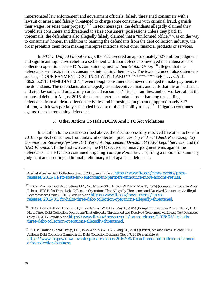impersonated law enforcement and government officials, falsely threatened consumers with a lawsuit or arrest, and falsely threatened to charge some consumers with criminal fraud, garnish their wages, or seize their property.<sup>[137](#page-69-0)</sup> In text messages, the defendants allegedly claimed they would sue consumers and threatened to seize consumers' possessions unless they paid. In voicemails, the defendants also allegedly falsely claimed that a "uniformed officer" was on the way to consumers' homes. In addition to banning the defendants from the debt collection industry, the order prohibits them from making misrepresentations about other financial products or services.

In *FTC v. Unified Global Group*, the FTC secured an approximately \$27 million judgment and significant injunctive relief in a settlement with four defendants involved in an abusive debt collection operation. The FTC's complaint against *Unified Global Group*<sup>[138](#page-69-1)</sup> alleged that the defendants sent texts to trick consumers into calling them back. The texts included false statements such as, "YOUR PAYMENT DECLINED WITH CARD \*\*\*\*-\*\*\*\*-\*\*\*\*-5463 . . . CALL 866.256.2117 IMMEDIATELY," even though consumers had never arranged to make payments to the defendants. The defendants also allegedly used deceptive emails and calls that threatened arrest and civil lawsuits, and unlawfully contacted consumers' friends, families, and co-workers about the supposed debts. In August 2016, the court entered a stipulated order banning the settling defendants from all debt collection activities and imposing a judgment of approximately \$27 million, which was partially suspended because of their inability to pay.<sup>139</sup> Litigation continues against the sole remaining defendant.

## **3. Other Actions To Halt FDCPA And FTC Act Violations**

In addition to the cases described above, the FTC successfully resolved five other actions in 2016 to protect consumers from unlawful collection practices: (1) *Federal Check Processing*; (2) *Commercial Recovery Systems*; (3) *Warrant Enforcement Division*; (4) *AFS Legal Services*; and (5) *BAM Financial*. In the first two cases, the FTC secured summary judgment wins against the defendants. The FTC also continued litigating *Vantage Point Services*, filing a motion for summary judgment and securing additional preliminary relief against a defendant.

Against Abusive Debt Collectors (Jan. 7, 2016), *available at* [https://www.ftc.gov/news-events/press](https://www.ftc.gov/news-events/press-releases/2016/01/ftc-state-law-enforcement-partners-announce-more-actions-results)[releases/2016/01/ftc-state-law-enforcement-partners-announce-more-actions-results.](https://www.ftc.gov/news-events/press-releases/2016/01/ftc-state-law-enforcement-partners-announce-more-actions-results)

<span id="page-69-0"></span><sup>137</sup> *FTC v. Premier Debt Acquisitions LLC*, No. 1:15-cv-00421-FPG (W.D.N.Y. May 11, 2015) (Complaint); *see also* Press Release, FTC Halts Three Debt Collection Operations That Allegedly Threatened and Deceived Consumers via Illegal Text Messages (May 21, 2015), *available at* [https://www.ftc.gov/news-events/press](https://www.ftc.gov/news-events/press-releases/2015/05/ftc-halts-three-debt-collection-operations-allegedly-threatened)[releases/2015/05/ftc-halts-three-debt-collection-operations-allegedly-threatened.](https://www.ftc.gov/news-events/press-releases/2015/05/ftc-halts-three-debt-collection-operations-allegedly-threatened)

<span id="page-69-1"></span><sup>138</sup> *FTC v. Unified Global Group, LLC*, 15-cv-422-W (W.D.N.Y. May 11, 2015) (Complaint); *see also* Press Release, FTC Halts Three Debt Collection Operations That Allegedly Threatened and Deceived Consumers via Illegal Text Messages (May 21, 2015), *available at* [https://www.ftc.gov/news-events/press-releases/2015/05/ftc-halts](https://www.ftc.gov/news-events/press-releases/2015/05/ftc-halts-three-debt-collection-operations-allegedly-threatened)[three-debt-collection-operations-allegedly-threatened.](https://www.ftc.gov/news-events/press-releases/2015/05/ftc-halts-three-debt-collection-operations-allegedly-threatened)

<span id="page-69-2"></span>139 *FTC v. Unified Global Group, LLC*, 15-cv-422-W (W.D.N.Y. Aug. 26, 2016) (Order); *see also* Press Release, FTC Actions: Debt Collectors Banned from Debt Collection Business (Sept. 7, 2016) available at [https://www.ftc.gov/news-events/press-releases/2016/09/ftc-actions-debt-collectors-banned](https://www.ftc.gov/news-events/press-releases/2016/09/ftc-actions-debt-collectors-banned-debt-collection-business)[debt-collection-business.](https://www.ftc.gov/news-events/press-releases/2016/09/ftc-actions-debt-collectors-banned-debt-collection-business)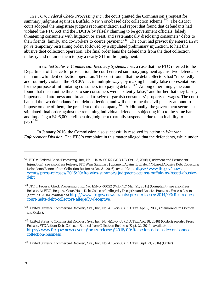In *FTC v. Federal Check Processing Inc.*, the court granted the Commission's request for summary judgment against a Buffalo, New York-based debt collection scheme.<sup>[140](#page-70-0)</sup> The district court adopted the magistrate judge's recommendation and report that found that defendants had violated the FTC Act and the FDCPA by falsely claiming to be government officials, falsely threatening consumers with litigation or arrest, and systematically disclosing consumers' debts to their friends, family, and co-workers to coerce payment.<sup>[141](#page-70-1)</sup> The court had previously entered an  $ex$ *parte* temporary restraining order, followed by a stipulated preliminary injunction, to halt this abusive debt collection operation. The final order bans the defendants from the debt collection industry and requires them to pay a nearly \$11 million judgment.

In *United States v. Commercial Recovery Systems, Inc.*, a case that the FTC referred to the Department of Justice for prosecution, the court entered summary judgment against two defendants in an unlawful debt collection operation. The court found that the debt collectors had "repeatedly and routinely violated the FDCPA . . . in multiple ways, by making blatantly false representations for the purpose of intimidating consumers into paying debts."<sup>[142](#page-70-2)</sup> Among other things, the court found that their routine threats to sue consumers were "patently false," and further that they falsely impersonated attorneys and threatened to seize or garnish consumers' property or wages. The court banned the two defendants from debt collection, and will determine the civil penalty amount to impose on one of them, the president of the company.<sup>143</sup> Additionally, the government secured a stipulated final order against the remaining individual defendant subjecting him to the same ban and imposing a \$496,000 civil penalty judgment (partially suspended due to an inability to pay).  $144$ 

In January 2016, the Commission also successfully resolved its action in *Warrant Enforcement Division*. The FTC's complaint in this matter alleged that the defendants, while under

<span id="page-70-0"></span><sup>140</sup> *FTC v. Federal Check Processing, Inc.*, No. 1:14-cv-00122 (W.D.N.Y Oct. 13, 2016) (Judgment and Permanent Injunction); *see also* Press Release, FTC Wins Summary Judgment Against Buffalo, NY-based Abusive Debt Collectors; Defendants Banned from Collection Business (Oct. 31, 2016), *available at* [https://www.ftc.gov/news](https://www.ftc.gov/news-events/press-releases/2016/10/ftc-wins-summary-judgment-against-buffalo-ny-based-abusive-debt)[events/press-releases/2016/10/ftc-wins-summary-judgment-against-buffalo-ny-based-abusive](https://www.ftc.gov/news-events/press-releases/2016/10/ftc-wins-summary-judgment-against-buffalo-ny-based-abusive-debt)[debt.](https://www.ftc.gov/news-events/press-releases/2016/10/ftc-wins-summary-judgment-against-buffalo-ny-based-abusive-debt)

<span id="page-70-1"></span><sup>141</sup> *FTC v. Federal Check Processing, Inc.*, No. 1:14-cv-00122 (W.D.N.Y Mar. 25, 2014) (Complaint), *see also* Press Release, At FTC's Request, Court Halts Debt Collector's Allegedly Deceptive and Abusive Practices, Freezes Assets (Sept. 23, 2014), *available at* [http://www.ftc.gov/news-events/press-releases/2014/03/ftcs-request](http://www.ftc.gov/news-events/press-releases/2014/03/ftcs-request-court-halts-debt-collectors-allegedly-deceptive)[court-halts-debt-collectors-allegedly-deceptive.](http://www.ftc.gov/news-events/press-releases/2014/03/ftcs-request-court-halts-debt-collectors-allegedly-deceptive)

<span id="page-70-2"></span><sup>142</sup> *United States v. Commercial Recovery Sys., Inc.*, No. 4:15-cv-36 (E.D. Tex. Apr. 7, 2016) (Memorandum Opinion and Order).

<span id="page-70-3"></span><sup>143</sup> *United States v. Commercial Recovery Sys., Inc.*, No. 4:15-cv-36 (E.D. Tex. Apr. 18, 2016) (Order); s*ee also* Press Release, FTC Action: Debt Collector Banned from Collection Business (Sept. 22, 2016), *available at* [https://www.ftc.gov/news-events/press-releases/2016/09/ftc-action-debt-collector-banned](https://www.ftc.gov/news-events/press-releases/2016/09/ftc-action-debt-collector-banned-collection-business)[collection-business.](https://www.ftc.gov/news-events/press-releases/2016/09/ftc-action-debt-collector-banned-collection-business)

<span id="page-70-4"></span><sup>144</sup> *United States v. Commercial Recovery Sys*., Inc., No. 4:15-cv-36 (E.D. Tex. Sept. 21, 2016) (Order)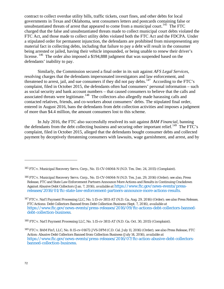contract to collect overdue utility bills, traffic tickets, court fines, and other debts for local governments in Texas and Oklahoma, sent consumers letters and postcards containing false or unsubstantiated threats of arrest that appeared to come from a municipal court.<sup>145</sup> The FTC charged that the false and unsubstantiated threats made to collect municipal court debts violated the FTC Act, and those made to collect utility debts violated both the FTC Act and the FDCPA. Under a stipulated order for permanent injunction, the defendants are prohibited from misrepresenting any material fact in collecting debts, including that failure to pay a debt will result in the consumer being arrested or jailed, having their vehicle impounded, or being unable to renew their driver's license. <sup>146</sup> The order also imposed a \$194,888 judgment that was suspended based on the defendants' inability to pay.

Similarly, the Commission secured a final order in its suit against *AFS Legal Services*, resolving charges that the defendants impersonated investigators and law enforcement, and threatened to arrest, jail, and sue consumers if they did not pay debts.<sup>147</sup> According to the FTC's complaint, filed in October 2015, the defendants often had consumers' personal information – such as social security and bank account numbers – that caused consumers to believe that the calls and associated threats were legitimate.<sup>[148](#page-71-3)</sup> The collectors also allegedly made harassing calls and contacted relatives, friends, and co-workers about consumers' debts. The stipulated final order, entered in August 2016, bans the defendants from debt collection activities and imposes a judgment of more than \$4.4 million, the amount consumers lost to this scheme.

In July 2016, the FTC also successfully resolved its suit against *BAM Financial*, banning the defendants from the debt collecting business and securing other important relief.<sup>[149](#page-71-4)</sup> The FTC's complaint, filed in October 2015, alleged that the defendants bought consumer debts and collected payment by deceptively threatening consumers with lawsuits, wage garnishment, and arrest, and by

<span id="page-71-0"></span><sup>145</sup> *FTC v. Municipal Recovery Servs. Corp*., No. 15-CV-04064-N (N.D. Tex. Dec. 24, 2015) (Complaint).

<span id="page-71-1"></span><sup>146</sup> *FTC v. Municipal Recovery Servs. Corp*., No. 15-CV-04064-N (N.D. Tex. Jan. 29, 2016) (Order); *see also*, Press Release, FTC and State Law Enforcement Partners Announce More Actions and Results in Continuing Crackdown Against Abusive Debt Collectors (Jan. 7, 2016), *available at* [https://www.ftc.gov/news-events/press](https://www.ftc.gov/news-events/press-releases/2016/01/ftc-state-law-enforcement-partners-announce-more-actions-results)[releases/2016/01/ftc-state-law-enforcement-partners-announce-more-actions-results.](https://www.ftc.gov/news-events/press-releases/2016/01/ftc-state-law-enforcement-partners-announce-more-actions-results)

<span id="page-71-2"></span><sup>147</sup> *FTC v. Nat'l Payment Processing LLC*, No. 1:15-cv-3811-AT (N.D. Ga. Aug. 29, 2016) (Order); *see also* Press Release, FTC Actions: Debt Collectors Banned from Debt Collection Business (Sept. 7, 2016), *available at* [https://www.ftc.gov/news-events/press-releases/2016/09/ftc-actions-debt-collectors-banned](https://www.ftc.gov/news-events/press-releases/2016/09/ftc-actions-debt-collectors-banned-debt-collection-business)[debt-collection-business.](https://www.ftc.gov/news-events/press-releases/2016/09/ftc-actions-debt-collectors-banned-debt-collection-business)

<span id="page-71-3"></span><sup>148</sup> *FTC v. Nat'l Payment Processing LLC*, No. 1:15-cv-3811-AT (N.D. Ga. Oct. 30, 2015) (Complaint).

<span id="page-71-4"></span><sup>149</sup> *FTC v. BAM Fin'l, LLC*, No. 8:15-cv-01672-JVS-DFM (C.D. Cal. July 11, 2016) (Order); *see also* Press Release, FTC Action: Abusive Debt Collectors Banned from Collection Business (July 14, 2016), *available at* [https://www.ftc.gov/news-events/press-releases/2016/07/ftc-action-abusive-debt-collectors](https://www.ftc.gov/news-events/press-releases/2016/07/ftc-action-abusive-debt-collectors-banned-collection-business)[banned-collection-business.](https://www.ftc.gov/news-events/press-releases/2016/07/ftc-action-abusive-debt-collectors-banned-collection-business)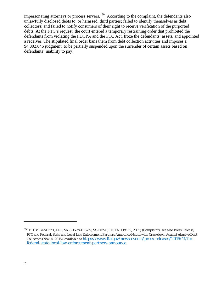impersonating attorneys or process servers.<sup>[150](#page-72-0)</sup> According to the complaint, the defendants also unlawfully disclosed debts to, or harassed, third parties; failed to identify themselves as debt collectors; and failed to notify consumers of their right to receive verification of the purported debts. At the FTC's request, the court entered a temporary restraining order that prohibited the defendants from violating the FDCPA and the FTC Act, froze the defendants' assets, and appointed a receiver. The stipulated final order bans them from debt collection activities and imposes a \$4,802,646 judgment, to be partially suspended upon the surrender of certain assets based on defendants' inability to pay.

<span id="page-72-0"></span><sup>150</sup> *FTC v. BAM Fin'l, LLC*, No. 8:15-cv-01672-JVS-DFM (C.D. Cal. Oct. 19, 2015) (Complaint); *see also* Press Release, FTC and Federal, State and Local Law Enforcement Partners Announce Nationwide Crackdown Against Abusive Debt Collectors (Nov. 4, 2015), *available at* [https://www.ftc.gov/news-events/press-releases/2015/11/ftc](https://www.ftc.gov/news-events/press-releases/2015/11/ftc-federal-state-local-law-enforcement-partners-announce)[federal-state-local-law-enforcement-partners-announce.](https://www.ftc.gov/news-events/press-releases/2015/11/ftc-federal-state-local-law-enforcement-partners-announce)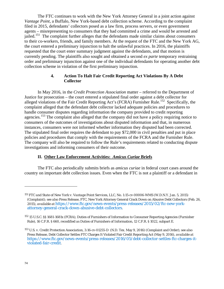The FTC continues to work with the New York Attorney General in a joint action against *Vantage Point*, a Buffalo, New York-based debt collection scheme. According to the complaint filed in 2015, defendants' collectors posed as a law firm, process servers, or even government agents – misrepresenting to consumers that they had committed a crime and would be arrested and jailed.<sup>[151](#page-73-0)</sup> The complaint further alleges that the defendants made similar claims about consumers to their co-workers, friends, and family members. At the request of the FTC and the New York AG, the court entered a preliminary injunction to halt the unlawful practices. In 2016, the plaintiffs requested that the court enter summary judgment against the defendants, and that motion is currently pending. The plaintiffs also sought and obtained a second *ex parte* temporary restraining order and preliminary injunction against one of the individual defendants for operating another debt collection scheme in violation of the first preliminary injunction.

#### **4. Action To Halt Fair Credit Reporting Act Violations By A Debt Collector**

In May 2016, in the *Credit Protection Association* matter – referred to the Department of Justice for prosecution – the court entered a stipulated final order against a debt collector for alleged violations of the Fair Credit Reporting Act's (FCRA) Furnisher Rule.<sup>152</sup> Specifically, the complaint alleged that the defendant debt collector lacked adequate policies and procedures to handle consumer disputes regarding information the company provided to credit reporting agencies.<sup>[153](#page-73-2)</sup> The complaint also alleged that the company did not have a policy requiring notice to consumers of the outcomes of investigations about disputed information and that, in numerous instances, consumers were not informed whether information they disputed had been corrected. The stipulated final order requires the defendant to pay \$72,000 in civil penalties and put in place policies and procedures that comply with the requirements of the FCRA and the Furnisher Rule. The company will also be required to follow the Rule's requirements related to conducting dispute investigations and informing consumers of their outcome.

#### **II. Other Law Enforcement Activities:** *Amicus Curiae* **Briefs**

The FTC also periodically submits briefs as *amicus curiae* in federal court cases around the country on important debt collection issues. Even when the FTC is not a plaintiff or a defendant in

-

<span id="page-73-0"></span><sup>151</sup> *FTC and State of New York v. Vantage Point Services, LLC*, No. 1:15-cv-00006-WMS (W.D.N.Y. Jan. 5, 2015) (Complaint); *see also* Press Release, FTC, New York Attorney General Crack Down on Abusive Debt Collectors (Feb. 26, 2015), *available at* [https://www.ftc.gov/news-events/press-releases/2015/02/ftc-new-york](https://www.ftc.gov/news-events/press-releases/2015/02/ftc-new-york-attorney-general-crack-down-abusive-debt-collectors)[attorney-general-crack-down-abusive-debt-collectors.](https://www.ftc.gov/news-events/press-releases/2015/02/ftc-new-york-attorney-general-crack-down-abusive-debt-collectors)

<span id="page-73-1"></span><sup>152</sup> 15 U.S.C. §§ 1681-1681x (FCRA); Duties of Furnishers of Information to Consumer Reporting Agencies (Furnisher Rule), 16 C.F.R. § 660, *recodified as* Duties of Furnishers of Information, 12 C.F.R. § 1022, subpart E.

<span id="page-73-2"></span><sup>153</sup> *U.S. v. Credit Protection Association*, 3:16-cv-01255-D (N.D. Tex. May 9, 2016) (Complaint and Order); *see also*  Press Release, Debt Collector Settles FTC Charges It Violated Fair Credit Reporting Act (May 9, 2016), *available at* [https://www.ftc.gov/news-events/press-releases/2016/05/debt-collector-settles-ftc-charges-it](https://www.ftc.gov/news-events/press-releases/2016/05/debt-collector-settles-ftc-charges-it-violated-fair-credit)[violated-fair-credit.](https://www.ftc.gov/news-events/press-releases/2016/05/debt-collector-settles-ftc-charges-it-violated-fair-credit)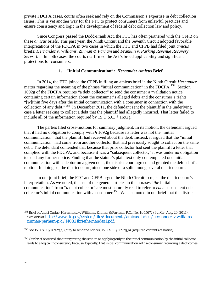private FDCPA cases, courts often seek and rely on the Commission's expertise in debt collection issues. This is yet another way for the FTC to protect consumers from unlawful practices and ensure consistency and logic in the development of federal debt collection law and policy.

Since Congress passed the Dodd-Frank Act, the FTC has often partnered with the CFPB on these *amicus* briefs. This past year, the Ninth Circuit and the Seventh Circuit adopted favorable interpretations of the FDCPA in two cases in which the FTC and CFPB had filed joint *amicus* briefs: *Hernandez v. Williams, Zinman & Parham* and *Franklin v. Parking Revenue Recovery Servs. Inc*. In both cases, the courts reaffirmed the Act's broad applicability and significant protections for consumers.

### **1. "Initial Communication":** *Hernandez Amicus* **Brief**

In 2014, the FTC joined the CFPB in filing an amicus brief in the Ninth Circuit *Hernandez*  matter regarding the meaning of the phrase "initial communication" in the FDCPA.<sup>[154](#page-74-0)</sup> Section 1692g of the FDCPA requires "a debt collector" to send the consumer a "validation notice" containing certain information about the consumer's alleged debts and the consumer's rights "[w]ithin five days after the initial communication with a consumer in connection with the collection of any debt."<sup>[155](#page-74-1)</sup> In December 2011, the defendant sent the plaintiff in the underlying case a letter seeking to collect a debt that the plaintiff had allegedly incurred. That letter failed to include all of the information required by 15 U.S.C. § 1692g.

The parties filed cross-motions for summary judgment. In its motion, the defendant argued that it had no obligation to comply with § 1692g because its letter was not the "initial communication" that the plaintiff had received about the debt. Instead, it argued that the "initial communication" had come from another collector that had previously sought to collect on the same debt. The defendant contended that because that prior collector had sent the plaintiff a letter that complied with the FDCPA, and because it was a "subsequent collector," it was under no obligation to send any further notice. Finding that the statute's plain text only contemplated one initial communication with a debtor on a given debt, the district court agreed and granted the defendant's motion. In doing so, the district court joined one side of a split among several district courts.

In our joint brief, the FTC and CFPB urged the Ninth Circuit to reject the district court's interpretation. As we noted, the use of the general articles in the phrases "*the* initial communication" from "*a* debt collector" are most naturally read to refer to *each* subsequent debt collector's initial communication with a consumer.<sup>[156](#page-74-2)</sup> We also noted in our brief that the district

<span id="page-74-0"></span><sup>154</sup> Brief of Amici Curiae, *Hernandez v. Williams, Zinman & Parham, P.C.*, No. 14-15672 (9th Cir. Aug. 20, 2014), *available at* [http://www.ftc.gov/system/files/documents/amicus\\_briefs/hernandez-v.williams](http://www.ftc.gov/system/files/documents/amicus_briefs/hernandez-v.williams-zinman-parham-p.c./140821briefhernandez1.pdf)[zinman-parham-p.c./140821briefhernandez1.pdf.](http://www.ftc.gov/system/files/documents/amicus_briefs/hernandez-v.williams-zinman-parham-p.c./140821briefhernandez1.pdf)

<span id="page-74-1"></span><sup>155</sup> *See* 15 U.S.C. § 1692g(a) (duty to send the notice); 15 U.S.C. § 1692g(b) (required contents of notice).

<span id="page-74-2"></span><sup>&</sup>lt;sup>156</sup> Our brief observed that interpreting the statute as applying only to the initial communication by the initial collector leads to a logical inconsistency because, typically, that initial communication with a consumer regarding a debt comes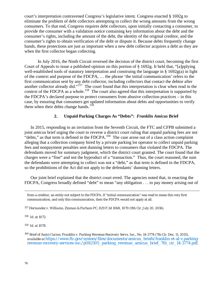court's interpretation contravened Congress's legislative intent. Congress enacted § 1692g to eliminate the problem of debt collectors attempting to collect the wrong amounts from the wrong consumers. To that end, Congress requires debt collectors, upon initially contacting a consumer, to provide the consumer with a validation notice containing key information about the debt and the consumer's rights, including the amount of the debt, the identity of the original creditor, and the consumer's rights to obtain verification of the debt or dispute it. Because debts frequently change hands, these protections are just as important when a new debt collector acquires a debt as they are when the first collector began collecting.

In July 2016, the Ninth Circuit reversed the decision of the district court, becoming the first Court of Appeals to issue a published opinion on this portion of § 1692g. It held that, "[a]pplying well-established tools of statutory interpretation and construing the language in § 1692g(a) in light of the context and purpose of the FDCPA, … the phrase 'the initial communication' refers to the first communication sent by any debt collector, including collectors that contact the debtor after another collector already did."<sup>157</sup> The court found that this interpretation is clear when read in the context of the FDCPA as a whole.<sup>158</sup> The court also agreed that this interpretation is supported by the FDCPA's declared purpose to protect consumers from abusive collection practices – in this case, by ensuring that consumers get updated information about debts and opportunities to verify them when their debts change hands.<sup>[159](#page-75-2)</sup>

### **2. Unpaid Parking Charges As "Debts":** *Franklin Amicus* **Brief**

In 2015, responding to an invitation from the Seventh Circuit, the FTC and CFPB submitted a joint *amicus* brief urging the court to reverse a district court ruling that unpaid parking fees are not "debts," as that term is defined in the FDCPA.<sup>[160](#page-75-3)</sup> The case arose out of a class action complaint alleging that a collection company hired by a private parking lot operator to collect unpaid parking fees and nonpayment penalties sent dunning letters to consumers that violated the FDCPA. The defendants moved for summary judgment, which the district court granted. The court found that the charges were a "fine" and not the byproduct of a "transaction." Thus, the court reasoned, the sum the defendants were attempting to collect was not a "debt," as that term is defined in the FDCPA, so the prohibitions of the Act did not apply to the defendants' dunning letters.

Our joint brief explained that the district court erred. The agencies noted that, in enacting the FDCPA, Congress broadly defined "debt" to mean "any obligation . . . to pay money arising out of

<span id="page-75-1"></span>158 *Id.* at 1072.

1

<span id="page-75-2"></span>159 *Id.* at 1078.

from a creditor, an entity not subject to the FDCPA. If "initial communication" was read to mean this very first communication, and only this communication, then the FDCPA would not apply at all.

<span id="page-75-0"></span><sup>157</sup> *Hernandez v. Williams, Zinman & Parham PC*, 829 F.3d 1068, 1070 (9th Cir. July 20, 2016).

<span id="page-75-3"></span><sup>160</sup> Brief of *Amici Curiae*, *Franklin v. Parking Revenue Recovery Servs. Inc*., No. 14-3774 (7th Cir. Dec. 11, 2015), *available at* [https://www.ftc.gov/system/files/documents/amicus\\_briefs/franklin-et-al-v.parking](https://www.ftc.gov/system/files/documents/amicus_briefs/franklin-et-al-v.parking-revenue-recovery-services-inc./p082105_parking_revenue_amicus_brief_7th_cir_14-3774.pdf)[revenue-recovery-services-inc./p082105\\_parking\\_revenue\\_amicus\\_brief\\_7th\\_cir\\_14-3774.pdf.](https://www.ftc.gov/system/files/documents/amicus_briefs/franklin-et-al-v.parking-revenue-recovery-services-inc./p082105_parking_revenue_amicus_brief_7th_cir_14-3774.pdf)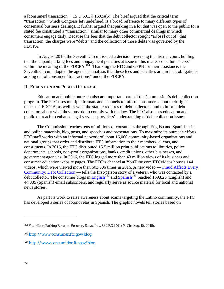a [consumer] transaction." 15 U.S.C. § 1692a(5). The brief argued that the critical term "transaction," which Congress left undefined, is a broad reference to many different types of consensual business dealings. It further argued that parking in a lot that was open to the public for a stated fee constituted a "transaction," similar to many other commercial dealings in which consumers engage daily. Because the fees that the debt collector sought "ar[ose] out of" that transaction, the charges were "debts" and the collection of those debts was governed by the FDCPA.

In August 2016, the Seventh Circuit issued a decision reversing the district court, holding that the unpaid parking fees and nonpayment penalties at issue in this matter constitute "debts" within the meaning of the FDCPA.<sup>161</sup> Thanking the FTC and CFPB for their assistance, the Seventh Circuit adopted the agencies' analysis that these fees and penalties are, in fact, obligations arising out of consumer "transactions" under the FDCPA.

#### **II. EDUCATION AND PUBLIC OUTREACH**

Education and public outreach also are important parts of the Commission's debt collection program. The FTC uses multiple formats and channels to inform consumers about their rights under the FDCPA, as well as what the statute requires of debt collectors; and to inform debt collectors about what they must do to comply with the law. The FTC also uses education and public outreach to enhance legal services providers' understanding of debt collection issues.

The Commission reaches tens of millions of consumers through English and Spanish print and online materials, blog posts, and speeches and presentations. To maximize its outreach efforts, FTC staff works with an informal network of about 16,000 community-based organizations and national groups that order and distribute FTC information to their members, clients, and constituents. In 2016, the FTC distributed 15.5 million print publications to libraries, police departments, schools, non-profit organizations, banks, credit unions, other businesses, and government agencies. In 2016, the FTC logged more than 43 million views of its business and consumer education website pages. The FTC's channel at YouTube.com/FTCvideos houses 144 videos, which were viewed more than 603,306 times in 2016. A new video — [Fraud Affects Every](https://www.consumer.ftc.gov/media/video-0115-fraud-affects-every-community-debt-collection)  [Community: Debt Collection](https://www.consumer.ftc.gov/media/video-0115-fraud-affects-every-community-debt-collection) - tells the first-person story of a veteran who was contacted by a debt collector. The consumer blogs in **English**<sup>[162](#page-76-1)</sup> and [Spanish](http://www.consumidor.ftc.gov/blog)<sup>[163](#page-76-2)</sup> reached 159,825 (English) and 44,835 (Spanish) email subscribers, and regularly serve as source material for local and national news stories.

As part its work to raise awareness about scams targeting the Latino community, the FTC has developed a series of fotonovelas in Spanish. The graphic novels tell stories based on

<span id="page-76-0"></span><sup>161</sup> Franklin v. Parking Revenue Recovery Servs. Inc., 832 F.3d 741 (7<sup>th</sup> Cir. Aug. 10, 2016).

<span id="page-76-1"></span><sup>162</sup> [http://www.consumer.ftc.gov/blog.](http://www.consumer.ftc.gov/blog)

<span id="page-76-2"></span><sup>163</sup> [http://www.consumidor.ftc.gov/blog.](http://www.consumidor.ftc.gov/blog)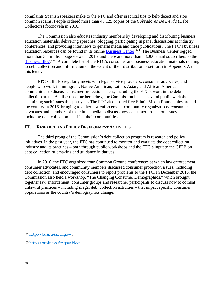complaints Spanish speakers make to the FTC and offer practical tips to help detect and stop common scams. People ordered more than 45,125 copies of the *Cobradores De Deuda* (Debt Collectors) fotonovela in 2016.

The Commission also educates industry members by developing and distributing business education materials, delivering speeches, blogging, participating in panel discussions at industry conferences, and providing interviews to general media and trade publications. The FTC's business education resources can be found in its online **Business Center.** <sup>164</sup> The Business Center logged more than 3.4 million page views in 2016, and there are more than 58,000 email subscribers to the [Business Blog.](http://business.ftc.gov/blog)<sup>165</sup> A complete list of the FTC's consumer and business education materials relating to debt collection and information on the extent of their distribution is set forth in Appendix A to this letter.

FTC staff also regularly meets with legal service providers, consumer advocates, and people who work in immigrant, Native American, Latino, Asian, and African American communities to discuss consumer protection issues, including the FTC's work in the debt collection arena. As discussed further below, the Commission hosted several public workshops examining such issues this past year. The FTC also hosted five Ethnic Media Roundtables around the country in 2016, bringing together law enforcement, community organizations, consumer advocates and members of the ethnic media to discuss how consumer protection issues including debt collection — affect their communities.

#### **III. RESEARCH AND POLICY DEVELOPMENT ACTIVITIES**

The third prong of the Commission's debt collection program is research and policy initiatives. In the past year, the FTC has continued to monitor and evaluate the debt collection industry and its practices – both through public workshops and the FTC's input to the CFPB on debt collection rulemaking and guidance initiatives.

In 2016, the FTC organized four Common Ground conferences at which law enforcement, consumer advocates, and community members discussed consumer protection issues, including debt collection, and encouraged consumers to report problems to the FTC. In December 2016, the Commission also held a workshop, "The Changing Consumer Demographics," which brought together law enforcement, consumer groups and researcher participants to discuss how to combat unlawful practices – including illegal debt collection activities – that impact specific consumer populations as the country's demographics change.

-

<span id="page-77-0"></span><sup>164</sup> [http://business.ftc.gov/.](http://business.ftc.gov/)

<span id="page-77-1"></span><sup>165</sup> [http://business.ftc.gov/blog.](http://business.ftc.gov/blog)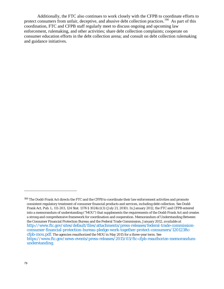Additionally, the FTC also continues to work closely with the CFPB to coordinate efforts to protect consumers from unfair, deceptive, and abusive debt collection practices.<sup>166</sup> As part of this coordination, FTC and CFPB staff regularly meet to discuss ongoing and upcoming law enforcement, rulemaking, and other activities; share debt collection complaints; cooperate on consumer education efforts in the debt collection arena; and consult on debt collection rulemaking and guidance initiatives.

<span id="page-78-0"></span><sup>166</sup> The Dodd-Frank Act directs the FTC and the CFPB to coordinate their law enforcement activities and promote consistent regulatory treatment of consumer financial products and services, including debt collection. *See* Dodd-Frank Act, Pub. L. 111-203, 124 Stat. 1376 § 1024(c)(3) (July 21, 2010). In January 2012, the FTC and CFPB entered into a memorandum of understanding ("MOU") that supplements the requirements of the Dodd-Frank Act and creates a strong and comprehensive framework for coordination and cooperation. Memorandum of Understanding Between the Consumer Financial Protection Bureau and the Federal Trade Commission, January 2012, *available at*  [http://www.ftc.gov/sites/default/files/attachments/press-releases/federal-trade-commission](http://www.ftc.gov/sites/default/files/attachments/press-releases/federal-trade-commission-consumer-financial-protection-bureau-pledge-work-together-protect-consumers/120123ftc-cfpb-mou.pdf)[consumer-financial-protection-bureau-pledge-work-together-protect-consumers/120123ftc](http://www.ftc.gov/sites/default/files/attachments/press-releases/federal-trade-commission-consumer-financial-protection-bureau-pledge-work-together-protect-consumers/120123ftc-cfpb-mou.pdf)[cfpb-mou.pdf.](http://www.ftc.gov/sites/default/files/attachments/press-releases/federal-trade-commission-consumer-financial-protection-bureau-pledge-work-together-protect-consumers/120123ftc-cfpb-mou.pdf) The agencies reauthorized the MOU in May 2015 for a three-year term. *See*  [https://www.ftc.gov/news-events/press-releases/2015/03/ftc-cfpb-reauthorize-memorandum](https://www.ftc.gov/news-events/press-releases/2015/03/ftc-cfpb-reauthorize-memorandum-understanding)[understanding.](https://www.ftc.gov/news-events/press-releases/2015/03/ftc-cfpb-reauthorize-memorandum-understanding)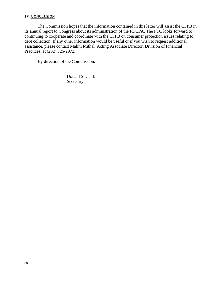### **IV.CONCLUSION**

The Commission hopes that the information contained in this letter will assist the CFPB in its annual report to Congress about its administration of the FDCPA. The FTC looks forward to continuing to cooperate and coordinate with the CFPB on consumer protection issues relating to debt collection. If any other information would be useful or if you wish to request additional assistance, please contact Malini Mithal, Acting Associate Director, Division of Financial Practices, at (202) 326-2972.

By direction of the Commission.

Donald S. Clark Secretary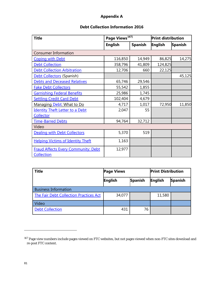## **Appendix A**

# **Debt Collection Information 2016**

| <b>Title</b>                                             | Page Views <sup>167]</sup> |                | <b>Print distribution</b> |                |
|----------------------------------------------------------|----------------------------|----------------|---------------------------|----------------|
|                                                          | <b>English</b>             | <b>Spanish</b> | <b>English</b>            | <b>Spanish</b> |
| <b>Consumer Information</b>                              |                            |                |                           |                |
| <b>Coping with Debt</b>                                  | 116,850                    | 14,949         | 86,825                    | 14,275         |
| <b>Debt Collection</b>                                   | 358,796                    | 41,809         | 124,825                   |                |
| <b>Debt Collection Arbitration</b>                       | 12,706                     | 660            | 22,125                    |                |
| Debt Collectors (Spanish)                                |                            |                |                           | 45,125         |
| <b>Debts and Deceased Relatives</b>                      | 65,746                     | 29,546         |                           |                |
| <b>Fake Debt Collectors</b>                              | 55,542                     | 1,855          |                           |                |
| <b>Garnishing Federal Benefits</b>                       | 25,986                     | 1,745          |                           |                |
| <b>Settling Credit Card Debt</b>                         | 102,404                    | 4,679          |                           |                |
| Managing Debt: What to Do                                | 4,717                      | 1,017          | 72,950                    | 11,850         |
| <b>Identity Theft Letter to a Debt</b>                   | 2,047                      | 55             |                           |                |
| Collector                                                |                            |                |                           |                |
| <b>Time-Barred Debts</b>                                 | 94,764                     | 32,712         |                           |                |
| Video                                                    |                            |                |                           |                |
| <b>Dealing with Debt Collectors</b>                      | 5,370                      | 519            |                           |                |
| <b>Helping Victims of Identity Theft</b>                 | 1,163                      |                |                           |                |
| <b>Fraud Affects Every Community: Debt</b><br>Collection | 12,977                     |                |                           |                |

| <b>Title</b>                                  | <b>Page Views</b> |                | <b>Print Distribution</b> |                |
|-----------------------------------------------|-------------------|----------------|---------------------------|----------------|
|                                               | <b>English</b>    | <b>Spanish</b> | English                   | <b>Spanish</b> |
| <b>Business Information</b>                   |                   |                |                           |                |
| <b>The Fair Debt Collection Practices Act</b> | 34,077            |                | 11,580                    |                |
| Video                                         |                   |                |                           |                |
| <b>Debt Collection</b>                        | 431               | 76             |                           |                |

<span id="page-80-0"></span><sup>167</sup> Page view numbers include pages viewed on FTC websites, but not pages viewed when non-FTC sites download and re-post FTC content.